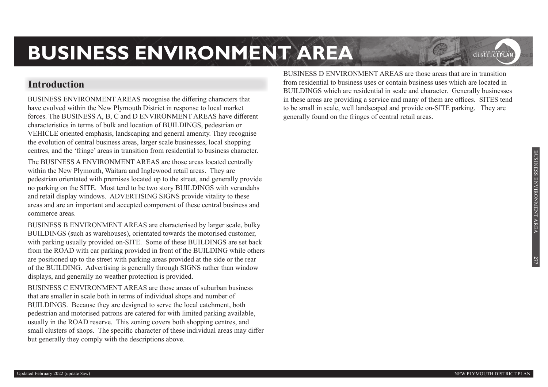#### **Introduction**

BUSINESS ENVIRONMENT AREAS recognise the differing characters that have evolved within the New Plymouth District in response to local market forces. The BUSINESS A, B, C and D ENVIRONMENT AREAS have different characteristics in terms of bulk and location of BUILDINGS, pedestrian or VEHICLE oriented emphasis, landscaping and general amenity. They recognise the evolution of central business areas, larger scale businesses, local shopping centres, and the 'fringe' areas in transition from residential to business character.

The BUSINESS A ENVIRONMENT AREAS are those areas located centrally within the New Plymouth, Waitara and Inglewood retail areas. They are pedestrian orientated with premises located up to the street, and generally provide no parking on the SITE. Most tend to be two story BUILDINGS with verandahs and retail display windows. ADVERTISING SIGNS provide vitality to these areas and are an important and accepted component of these central business and commerce areas.

BUSINESS B ENVIRONMENT AREAS are characterised by larger scale, bulky BUILDINGS (such as warehouses), orientated towards the motorised customer, with parking usually provided on-SITE. Some of these BUILDINGS are set back from the ROAD with car parking provided in front of the BUILDING while others are positioned up to the street with parking areas provided at the side or the rear of the BUILDING. Advertising is generally through SIGNS rather than window displays, and generally no weather protection is provided.

BUSINESS C ENVIRONMENT AREAS are those areas of suburban business that are smaller in scale both in terms of individual shops and number of BUILDINGS. Because they are designed to serve the local catchment, both pedestrian and motorised patrons are catered for with limited parking available, usually in the ROAD reserve. This zoning covers both shopping centres, and small clusters of shops. The specific character of these individual areas may differ but generally they comply with the descriptions above.

BUSINESS D ENVIRONMENT AREAS are those areas that are in transition from residential to business uses or contain business uses which are located in BUILDINGS which are residential in scale and character. Generally businesses in these areas are providing a service and many of them are offices. SITES tend to be small in scale, well landscaped and provide on-SITE parking. They are generally found on the fringes of central retail areas.

**277**

districtPLA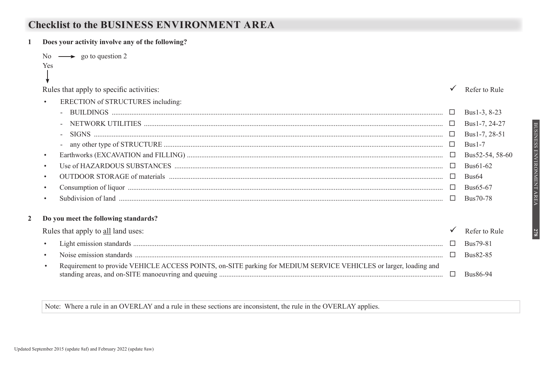## **Checklist to the BUSINESS ENVIRONMENT AREA**

|           | Does your activity involve any of the following?                                                                                                                                                                                                                                                                                                                                                                                                                                         |        |                   |
|-----------|------------------------------------------------------------------------------------------------------------------------------------------------------------------------------------------------------------------------------------------------------------------------------------------------------------------------------------------------------------------------------------------------------------------------------------------------------------------------------------------|--------|-------------------|
|           | No $\longrightarrow$ go to question 2                                                                                                                                                                                                                                                                                                                                                                                                                                                    |        |                   |
|           | Yes                                                                                                                                                                                                                                                                                                                                                                                                                                                                                      |        |                   |
|           |                                                                                                                                                                                                                                                                                                                                                                                                                                                                                          |        |                   |
|           | Rules that apply to specific activities:                                                                                                                                                                                                                                                                                                                                                                                                                                                 |        | Refer to Rule     |
| $\bullet$ | ERECTION of STRUCTURES including:                                                                                                                                                                                                                                                                                                                                                                                                                                                        |        |                   |
|           |                                                                                                                                                                                                                                                                                                                                                                                                                                                                                          | $\Box$ | Bus1-3, 8-23      |
|           |                                                                                                                                                                                                                                                                                                                                                                                                                                                                                          |        | Bus1-7, 24-27     |
|           | $\begin{minipage}[c]{0.5\textwidth} \centering \begin{tabular}[c]{@{}l@{}} \textbf{SIGNS} & \textcolor{red}{\textbf{3.5}} & \textcolor{red}{\textbf{5.5}} & \textcolor{red}{\textbf{6.5}} & \textcolor{red}{\textbf{6.5}} & \textcolor{red}{\textbf{6.5}} & \textcolor{red}{\textbf{6.5}} & \textcolor{red}{\textbf{6.5}} & \textcolor{red}{\textbf{6.5}} & \textcolor{red}{\textbf{6.5}} & \textcolor{red}{\textbf{6.5}} & \textcolor{red}{\textbf{6.5}} & \textcolor{red}{\textbf{6.5$ |        | Bus1-7, 28-51     |
|           |                                                                                                                                                                                                                                                                                                                                                                                                                                                                                          |        | $Bus1-7$          |
| $\bullet$ |                                                                                                                                                                                                                                                                                                                                                                                                                                                                                          |        | Bus52-54, 58-60   |
|           |                                                                                                                                                                                                                                                                                                                                                                                                                                                                                          | $\Box$ | Bus61-62          |
| $\bullet$ |                                                                                                                                                                                                                                                                                                                                                                                                                                                                                          | $\Box$ | Bus <sub>64</sub> |
|           |                                                                                                                                                                                                                                                                                                                                                                                                                                                                                          |        | Bus65-67          |
|           |                                                                                                                                                                                                                                                                                                                                                                                                                                                                                          | $\Box$ | Bus70-78          |
|           | Do you meet the following standards?                                                                                                                                                                                                                                                                                                                                                                                                                                                     |        |                   |
|           |                                                                                                                                                                                                                                                                                                                                                                                                                                                                                          |        |                   |
|           | Rules that apply to all land uses:                                                                                                                                                                                                                                                                                                                                                                                                                                                       |        | Refer to Rule     |
| $\bullet$ |                                                                                                                                                                                                                                                                                                                                                                                                                                                                                          | $\Box$ | Bus79-81          |
| $\bullet$ |                                                                                                                                                                                                                                                                                                                                                                                                                                                                                          | $\Box$ | Bus82-85          |
| $\bullet$ | Requirement to provide VEHICLE ACCESS POINTS, on-SITE parking for MEDIUM SERVICE VEHICLES or larger, loading and                                                                                                                                                                                                                                                                                                                                                                         |        |                   |
|           |                                                                                                                                                                                                                                                                                                                                                                                                                                                                                          | $\Box$ | Bus86-94          |
|           |                                                                                                                                                                                                                                                                                                                                                                                                                                                                                          |        |                   |

Note: Where a rule in an OVERLAY and a rule in these sections are inconsistent, the rule in the OVERLAY applies.

**278** 

 $\mathbf{1}$ 

 $\overline{2}$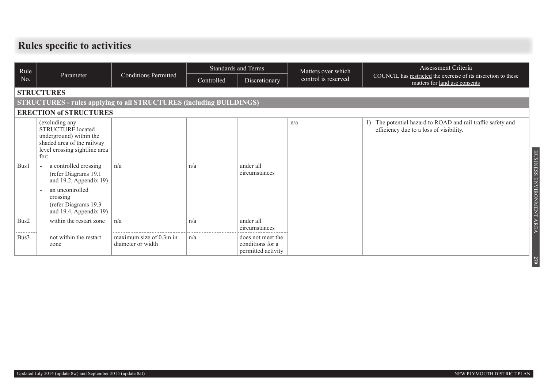# **Rules specific to activities**

| Rule               |                                                                                                                                              |                                              | <b>Standards and Terms</b> |                                                             | Matters over which  | Assessment Criteria                                                                                 |  |  |  |  |  |
|--------------------|----------------------------------------------------------------------------------------------------------------------------------------------|----------------------------------------------|----------------------------|-------------------------------------------------------------|---------------------|-----------------------------------------------------------------------------------------------------|--|--|--|--|--|
| No.                | Parameter                                                                                                                                    | <b>Conditions Permitted</b>                  | Controlled                 | Discretionary                                               | control is reserved | COUNCIL has restricted the exercise of its discretion to these<br>matters for land use consents     |  |  |  |  |  |
|                    | <b>STRUCTURES</b>                                                                                                                            |                                              |                            |                                                             |                     |                                                                                                     |  |  |  |  |  |
|                    | <b>STRUCTURES - rules applying to all STRUCTURES (including BUILDINGS)</b>                                                                   |                                              |                            |                                                             |                     |                                                                                                     |  |  |  |  |  |
|                    | <b>ERECTION of STRUCTURES</b>                                                                                                                |                                              |                            |                                                             |                     |                                                                                                     |  |  |  |  |  |
|                    | (excluding any<br><b>STRUCTURE</b> located<br>underground) within the<br>shaded area of the railway<br>level crossing sightline area<br>for: |                                              |                            |                                                             | n/a                 | The potential hazard to ROAD and rail traffic safety and<br>efficiency due to a loss of visibility. |  |  |  |  |  |
| Bus1               | a controlled crossing<br>(refer Diagrams 19.1)<br>and $19.2$ , Appendix 19)                                                                  | n/a                                          | n/a                        | under all<br>circumstances                                  |                     |                                                                                                     |  |  |  |  |  |
| -----------        | an uncontrolled<br>crossing<br>(refer Diagrams 19.3)<br>and 19.4, Appendix 19)                                                               |                                              |                            |                                                             |                     | BUSINESS ENVIRONMENT AREA                                                                           |  |  |  |  |  |
| Bus2<br>---------- | within the restart zone                                                                                                                      | $\ln/a$                                      | n/a                        | under all<br>circumstances                                  |                     |                                                                                                     |  |  |  |  |  |
| Bus3               | not within the restart<br>zone                                                                                                               | maximum size of 0.3m in<br>diameter or width | n/a                        | does not meet the<br>conditions for a<br>permitted activity |                     |                                                                                                     |  |  |  |  |  |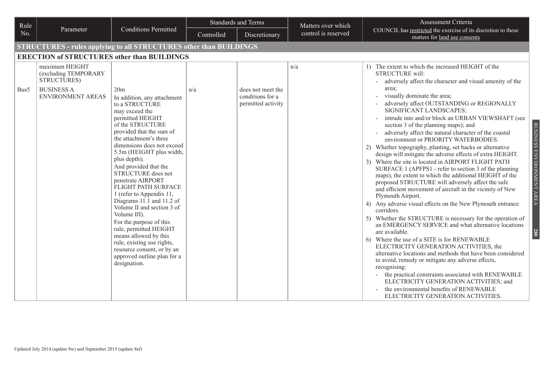| Rule |                                                                                                 |                                                                                                                                                                                                                                                                                                                                                                                                                                                                                                                                                                                                                                           |            | <b>Standards and Terms</b><br>Matters over which            |                     | Assessment Criteria                                                                                                                                                                                                                                                                                                                                                                                                                                                                                                                                                                                                                                                                                                                                                                                                                                                                                                                                                                                                                                                                                                                                                                                                                                                                                                                                                                                                                                                                                                                                                                     |  |  |  |  |  |
|------|-------------------------------------------------------------------------------------------------|-------------------------------------------------------------------------------------------------------------------------------------------------------------------------------------------------------------------------------------------------------------------------------------------------------------------------------------------------------------------------------------------------------------------------------------------------------------------------------------------------------------------------------------------------------------------------------------------------------------------------------------------|------------|-------------------------------------------------------------|---------------------|-----------------------------------------------------------------------------------------------------------------------------------------------------------------------------------------------------------------------------------------------------------------------------------------------------------------------------------------------------------------------------------------------------------------------------------------------------------------------------------------------------------------------------------------------------------------------------------------------------------------------------------------------------------------------------------------------------------------------------------------------------------------------------------------------------------------------------------------------------------------------------------------------------------------------------------------------------------------------------------------------------------------------------------------------------------------------------------------------------------------------------------------------------------------------------------------------------------------------------------------------------------------------------------------------------------------------------------------------------------------------------------------------------------------------------------------------------------------------------------------------------------------------------------------------------------------------------------------|--|--|--|--|--|
| No.  | Parameter                                                                                       | <b>Conditions Permitted</b>                                                                                                                                                                                                                                                                                                                                                                                                                                                                                                                                                                                                               | Controlled | Discretionary                                               | control is reserved | COUNCIL has restricted the exercise of its discretion to these<br>matters for land use consents                                                                                                                                                                                                                                                                                                                                                                                                                                                                                                                                                                                                                                                                                                                                                                                                                                                                                                                                                                                                                                                                                                                                                                                                                                                                                                                                                                                                                                                                                         |  |  |  |  |  |
|      | <b>STRUCTURES - rules applying to all STRUCTURES other than BUILDINGS</b>                       |                                                                                                                                                                                                                                                                                                                                                                                                                                                                                                                                                                                                                                           |            |                                                             |                     |                                                                                                                                                                                                                                                                                                                                                                                                                                                                                                                                                                                                                                                                                                                                                                                                                                                                                                                                                                                                                                                                                                                                                                                                                                                                                                                                                                                                                                                                                                                                                                                         |  |  |  |  |  |
|      | <b>ERECTION of STRUCTURES other than BUILDINGS</b>                                              |                                                                                                                                                                                                                                                                                                                                                                                                                                                                                                                                                                                                                                           |            |                                                             |                     |                                                                                                                                                                                                                                                                                                                                                                                                                                                                                                                                                                                                                                                                                                                                                                                                                                                                                                                                                                                                                                                                                                                                                                                                                                                                                                                                                                                                                                                                                                                                                                                         |  |  |  |  |  |
| Bus5 | maximum HEIGHT<br>(excluding TEMPORARY<br>STRUCTURES)<br><b>BUSINESS A</b><br>ENVIRONMENT AREAS | 20m<br>In addition, any attachment<br>to a STRUCTURE<br>may exceed the<br>permitted HEIGHT<br>of the STRUCTURE<br>provided that the sum of<br>the attachment's three<br>dimensions does not exceed<br>5.5m (HEIGHT plus width,<br>plus depth);<br>And provided that the<br>STRUCTURE does not<br>penetrate AIRPORT<br>FLIGHT PATH SURFACE<br>1 (refer to Appendix 11,<br>Diagrams 11.1 and 11.2 of<br>Volume II and section 3 of<br>Volume III).<br>For the purpose of this<br>rule, permitted HEIGHT<br>means allowed by this<br>rule, existing use rights,<br>resource consent, or by an<br>approved outline plan for a<br>designation. | n/a        | does not meet the<br>conditions for a<br>permitted activity | n/a                 | 1) The extent to which the increased HEIGHT of the<br><b>STRUCTURE will:</b><br>adversely affect the character and visual amenity of the<br>area;<br>visually dominate the area;<br>adversely affect OUTSTANDING or REGIONALLY<br>SIGNIFICANT LANDSCAPES;<br>intrude into and/or block an URBAN VIEWSHAFT (see<br>BUSINESS ENVIRONMENT AREA<br>section 3 of the planning maps); and<br>adversely affect the natural character of the coastal<br>environment or PRIORITY WATERBODIES.<br>2) Whether topography, planting, set backs or alternative<br>design will mitigate the adverse effects of extra HEIGHT.<br>3) Where the site is located in AIRPORT FLIGHT PATH<br>SURFACE 1 (APFPS1 - refer to section 3 of the planning<br>maps), the extent to which the additional HEIGHT of the<br>proposed STRUCTURE will adversely affect the safe<br>and efficient movement of aircraft in the vicinity of New<br>Plymouth Airport.<br>4) Any adverse visual effects on the New Plymouth entrance<br>corridors.<br>Whether the STRUCTURE is necessary for the operation of<br>5)<br>an EMERGENCY SERVICE and what alternative locations<br>are available.<br><b>280</b><br>Where the use of a SITE is for RENEWABLE<br>6)<br>ELECTRICITY GENERATION ACTIVITIES, the<br>alternative locations and methods that have been considered<br>to avoid, remedy or mitigate any adverse effects,<br>recognising:<br>the practical constraints associated with RENEWABLE<br>ELECTRICITY GENERATION ACTIVITIES; and<br>the environmental benefits of RENEWABLE<br>ELECTRICITY GENERATION ACTIVITIES. |  |  |  |  |  |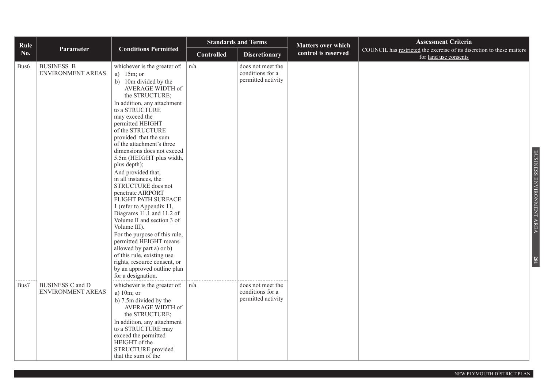| Rule             |                                              |                                                                                                                                                                                                                                                                                                                                                                                                                                                                                                                                                                                                                                                                                                                                                                                                   |                   | <b>Standards and Terms</b>                                  | <b>Matters over which</b> | <b>Assessment Criteria</b>                                                                      |
|------------------|----------------------------------------------|---------------------------------------------------------------------------------------------------------------------------------------------------------------------------------------------------------------------------------------------------------------------------------------------------------------------------------------------------------------------------------------------------------------------------------------------------------------------------------------------------------------------------------------------------------------------------------------------------------------------------------------------------------------------------------------------------------------------------------------------------------------------------------------------------|-------------------|-------------------------------------------------------------|---------------------------|-------------------------------------------------------------------------------------------------|
| No.              | Parameter                                    | <b>Conditions Permitted</b>                                                                                                                                                                                                                                                                                                                                                                                                                                                                                                                                                                                                                                                                                                                                                                       | <b>Controlled</b> | <b>Discretionary</b>                                        | control is reserved       | COUNCIL has restricted the exercise of its discretion to these matters<br>for land use consents |
| Bus <sub>6</sub> | <b>BUSINESS B</b><br>ENVIRONMENT AREAS       | whichever is the greater of: $\vert$<br>a) $15m$ ; or<br>b) 10m divided by the<br>AVERAGE WIDTH of<br>the STRUCTURE;<br>In addition, any attachment<br>to a STRUCTURE<br>may exceed the<br>permitted HEIGHT<br>of the STRUCTURE<br>provided that the sum<br>of the attachment's three<br>dimensions does not exceed<br>5.5m (HEIGHT plus width,<br>plus depth);<br>And provided that,<br>in all instances, the<br>STRUCTURE does not<br>penetrate AIRPORT<br>FLIGHT PATH SURFACE<br>1 (refer to Appendix 11,<br>Diagrams 11.1 and 11.2 of<br>Volume II and section 3 of<br>Volume III).<br>For the purpose of this rule,<br>permitted HEIGHT means<br>allowed by part a) or b)<br>of this rule, existing use<br>rights, resource consent, or<br>by an approved outline plan<br>for a designation. | n/a               | does not meet the<br>conditions for a<br>permitted activity |                           | BUSINESS ENVIRONMENT AREA<br>281                                                                |
| Bus7             | <b>BUSINESS C and D</b><br>ENVIRONMENT AREAS | whichever is the greater of: $\vert$<br>a) $10m$ ; or<br>b) 7.5m divided by the<br>AVERAGE WIDTH of<br>the STRUCTURE;<br>In addition, any attachment<br>to a STRUCTURE may<br>exceed the permitted<br>HEIGHT of the<br>STRUCTURE provided<br>that the sum of the                                                                                                                                                                                                                                                                                                                                                                                                                                                                                                                                  | n/a               | does not meet the<br>conditions for a<br>permitted activity |                           |                                                                                                 |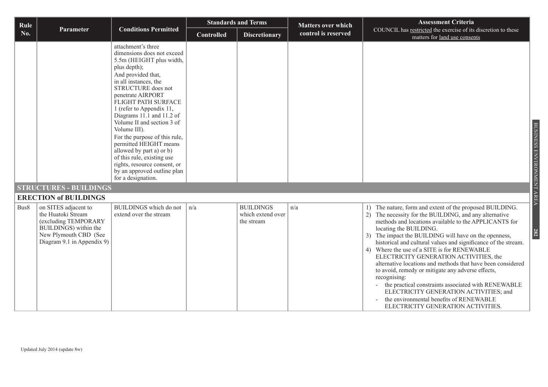| Rule |                                                                                                                                                    |                                                                                                                                                                                                                                                                                                                                                                                                                                                                                                                                |                   | <b>Standards and Terms</b>                          | <b>Matters over which</b> | <b>Assessment Criteria</b>                                                                                                                                                                                                                                                                                                                                                                                                                                                                                                                                                                                                                                                                                                                      |
|------|----------------------------------------------------------------------------------------------------------------------------------------------------|--------------------------------------------------------------------------------------------------------------------------------------------------------------------------------------------------------------------------------------------------------------------------------------------------------------------------------------------------------------------------------------------------------------------------------------------------------------------------------------------------------------------------------|-------------------|-----------------------------------------------------|---------------------------|-------------------------------------------------------------------------------------------------------------------------------------------------------------------------------------------------------------------------------------------------------------------------------------------------------------------------------------------------------------------------------------------------------------------------------------------------------------------------------------------------------------------------------------------------------------------------------------------------------------------------------------------------------------------------------------------------------------------------------------------------|
| No.  | Parameter                                                                                                                                          | <b>Conditions Permitted</b>                                                                                                                                                                                                                                                                                                                                                                                                                                                                                                    | <b>Controlled</b> | <b>Discretionary</b>                                | control is reserved       | COUNCIL has restricted the exercise of its discretion to these<br>matters for land use consents                                                                                                                                                                                                                                                                                                                                                                                                                                                                                                                                                                                                                                                 |
|      |                                                                                                                                                    | attachment's three<br>dimensions does not exceed<br>5.5m (HEIGHT plus width,<br>plus depth);<br>And provided that,<br>in all instances, the<br>STRUCTURE does not<br>penetrate AIRPORT<br>FLIGHT PATH SURFACE<br>1 (refer to Appendix 11,<br>Diagrams 11.1 and 11.2 of<br>Volume II and section 3 of<br>Volume III).<br>For the purpose of this rule,<br>permitted HEIGHT means<br>allowed by part a) or b)<br>of this rule, existing use<br>rights, resource consent, or<br>by an approved outline plan<br>for a designation. |                   |                                                     |                           |                                                                                                                                                                                                                                                                                                                                                                                                                                                                                                                                                                                                                                                                                                                                                 |
|      | <b>STRUCTURES - BUILDINGS</b>                                                                                                                      |                                                                                                                                                                                                                                                                                                                                                                                                                                                                                                                                |                   |                                                     |                           |                                                                                                                                                                                                                                                                                                                                                                                                                                                                                                                                                                                                                                                                                                                                                 |
|      | <b>ERECTION of BUILDINGS</b>                                                                                                                       |                                                                                                                                                                                                                                                                                                                                                                                                                                                                                                                                |                   |                                                     |                           |                                                                                                                                                                                                                                                                                                                                                                                                                                                                                                                                                                                                                                                                                                                                                 |
| Bus8 | on SITES adjacent to<br>the Huatoki Stream<br>(excluding TEMPORARY<br>BUILDINGS) within the<br>New Plymouth CBD (See<br>Diagram 9.1 in Appendix 9) | BUILDINGS which do not<br>extend over the stream                                                                                                                                                                                                                                                                                                                                                                                                                                                                               | n/a               | <b>BUILDINGS</b><br>which extend over<br>the stream | n/a                       | The nature, form and extent of the proposed BUILDING.<br>2) The necessity for the BUILDING, and any alternative<br>methods and locations available to the APPLICANTS for<br>locating the BUILDING.<br>3) The impact the BUILDING will have on the openness,<br>historical and cultural values and significance of the stream.<br>Where the use of a SITE is for RENEWABLE<br>4)<br>ELECTRICITY GENERATION ACTIVITIES, the<br>alternative locations and methods that have been considered<br>to avoid, remedy or mitigate any adverse effects,<br>recognising:<br>the practical constraints associated with RENEWABLE<br>ELECTRICITY GENERATION ACTIVITIES; and<br>the environmental benefits of RENEWABLE<br>ELECTRICITY GENERATION ACTIVITIES. |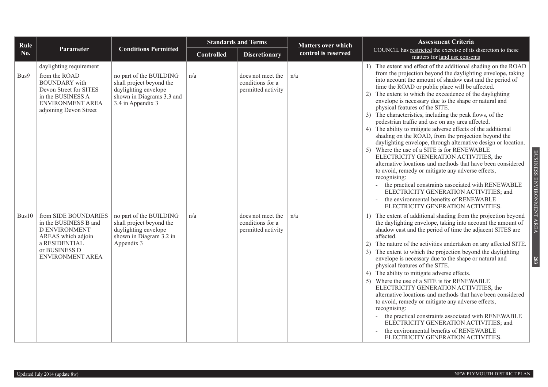| Rule  |                                                                                                                                                               |                                                                                                                               | <b>Standards and Terms</b> |                                                             | <b>Matters over which</b> | <b>Assessment Criteria</b>                                                                                                                                                                                                                                                                                                                                                                                                                                                                                                                                                                                                                                                                                                                                                                                                                                                                                                                                                                                                                                                                                                                              |
|-------|---------------------------------------------------------------------------------------------------------------------------------------------------------------|-------------------------------------------------------------------------------------------------------------------------------|----------------------------|-------------------------------------------------------------|---------------------------|---------------------------------------------------------------------------------------------------------------------------------------------------------------------------------------------------------------------------------------------------------------------------------------------------------------------------------------------------------------------------------------------------------------------------------------------------------------------------------------------------------------------------------------------------------------------------------------------------------------------------------------------------------------------------------------------------------------------------------------------------------------------------------------------------------------------------------------------------------------------------------------------------------------------------------------------------------------------------------------------------------------------------------------------------------------------------------------------------------------------------------------------------------|
| No.   | Parameter                                                                                                                                                     | <b>Conditions Permitted</b>                                                                                                   | <b>Controlled</b>          | <b>Discretionary</b>                                        | control is reserved       | COUNCIL has restricted the exercise of its discretion to these<br>matters for land use consents                                                                                                                                                                                                                                                                                                                                                                                                                                                                                                                                                                                                                                                                                                                                                                                                                                                                                                                                                                                                                                                         |
| Bus9  | daylighting requirement<br>from the ROAD<br><b>BOUNDARY</b> with<br>Devon Street for SITES<br>in the BUSINESS A<br>ENVIRONMENT AREA<br>adjoining Devon Street | no part of the BUILDING<br>shall project beyond the<br>daylighting envelope<br>shown in Diagrams 3.3 and<br>3.4 in Appendix 3 | n/a                        | does not meet the<br>conditions for a<br>permitted activity | n/a                       | 1) The extent and effect of the additional shading on the ROAD<br>from the projection beyond the daylighting envelope, taking<br>into account the amount of shadow cast and the period of<br>time the ROAD or public place will be affected.<br>2) The extent to which the exceedence of the daylighting<br>envelope is necessary due to the shape or natural and<br>physical features of the SITE.<br>3) The characteristics, including the peak flows, of the<br>pedestrian traffic and use on any area affected.<br>4) The ability to mitigate adverse effects of the additional<br>shading on the ROAD, from the projection beyond the<br>daylighting envelope, through alternative design or location.<br>5) Where the use of a SITE is for RENEWABLE<br>BUSINESS ENVIRONMENT AREA<br>ELECTRICITY GENERATION ACTIVITIES, the<br>alternative locations and methods that have been considered<br>to avoid, remedy or mitigate any adverse effects,<br>recognising:<br>the practical constraints associated with RENEWABLE<br>ELECTRICITY GENERATION ACTIVITIES; and<br>the environmental benefits of RENEWABLE<br>ELECTRICITY GENERATION ACTIVITIES. |
| Bus10 | from SIDE BOUNDARIES<br>in the BUSINESS B and<br><b>D ENVIRONMENT</b><br>AREAS which adjoin<br>a RESIDENTIAL<br>or BUSINESS D<br><b>ENVIRONMENT AREA</b>      | no part of the BUILDING<br>shall project beyond the<br>daylighting envelope<br>shown in Diagram 3.2 in<br>Appendix 3          | n/a                        | does not meet the<br>conditions for a<br>permitted activity | n/a                       | 1) The extent of additional shading from the projection beyond<br>the daylighting envelope, taking into account the amount of<br>shadow cast and the period of time the adjacent SITES are<br>affected.<br>The nature of the activities undertaken on any affected SITE.<br>2)<br>3) The extent to which the projection beyond the daylighting<br>envelope is necessary due to the shape or natural and<br>283<br>physical features of the SITE.<br>4) The ability to mitigate adverse effects.<br>5) Where the use of a SITE is for RENEWABLE<br>ELECTRICITY GENERATION ACTIVITIES, the<br>alternative locations and methods that have been considered<br>to avoid, remedy or mitigate any adverse effects,<br>recognising:<br>the practical constraints associated with RENEWABLE<br>ELECTRICITY GENERATION ACTIVITIES; and<br>the environmental benefits of RENEWABLE<br>ELECTRICITY GENERATION ACTIVITIES.                                                                                                                                                                                                                                          |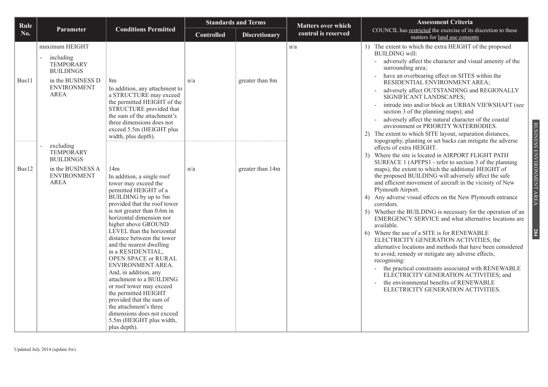| Rule       |                                                                                                                               |                                                                                                                                                                                                                                                                                                                                                                                                                                                                                                                                                                                                                                      |                   | <b>Standards and Terms</b> | <b>Matters over which</b> | <b>Assessment Criteria</b>                                                                                                                                                                                                                                                                                                                                                                                                                                                                                                                                                                                                                                                                                                                                                                                                                                                                                                                                                                                                                                                    |
|------------|-------------------------------------------------------------------------------------------------------------------------------|--------------------------------------------------------------------------------------------------------------------------------------------------------------------------------------------------------------------------------------------------------------------------------------------------------------------------------------------------------------------------------------------------------------------------------------------------------------------------------------------------------------------------------------------------------------------------------------------------------------------------------------|-------------------|----------------------------|---------------------------|-------------------------------------------------------------------------------------------------------------------------------------------------------------------------------------------------------------------------------------------------------------------------------------------------------------------------------------------------------------------------------------------------------------------------------------------------------------------------------------------------------------------------------------------------------------------------------------------------------------------------------------------------------------------------------------------------------------------------------------------------------------------------------------------------------------------------------------------------------------------------------------------------------------------------------------------------------------------------------------------------------------------------------------------------------------------------------|
| No.        | Parameter                                                                                                                     | <b>Conditions Permitted</b>                                                                                                                                                                                                                                                                                                                                                                                                                                                                                                                                                                                                          | <b>Controlled</b> | <b>Discretionary</b>       | control is reserved       | COUNCIL has restricted the exercise of its discretion to these<br>matters for land use consents                                                                                                                                                                                                                                                                                                                                                                                                                                                                                                                                                                                                                                                                                                                                                                                                                                                                                                                                                                               |
| Bus11      | maximum HEIGHT<br>including<br><b>TEMPORARY</b><br><b>BUILDINGS</b><br>in the BUSINESS D<br><b>ENVIRONMENT</b><br><b>AREA</b> | 8 <sub>m</sub><br>In addition, any attachment to<br>a STRUCTURE may exceed<br>the permitted HEIGHT of the<br>STRUCTURE provided that<br>the sum of the attachment's<br>three dimensions does not<br>exceed 5.5m (HEIGHT plus<br>width, plus depth).                                                                                                                                                                                                                                                                                                                                                                                  | n/a               | greater than 8m            | n/a                       | 1) The extent to which the extra HEIGHT of the proposed<br><b>BUILDING</b> will:<br>adversely affect the character and visual amenity of the<br>$\equiv$<br>surrounding area;<br>have an overbearing effect on SITES within the<br>RESIDENTIAL ENVIRONMENT AREA;<br>adversely affect OUTSTANDING and REGIONALLY<br>SIGNIFICANT LANDSCAPES;<br>intrude into and/or block an URBAN VIEWSHAFT (see<br>section 3 of the planning maps); and<br>adversely affect the natural character of the coastal<br>environment or PRIORITY WATERBODIES.<br>2) The extent to which SITE layout, separation distances,                                                                                                                                                                                                                                                                                                                                                                                                                                                                         |
| .<br>Bus12 | excluding<br><b>TEMPORARY</b><br><b>BUILDINGS</b><br>in the BUSINESS A<br><b>ENVIRONMENT</b><br><b>AREA</b>                   | 14m<br>In addition, a single roof<br>tower may exceed the<br>permitted HEIGHT of a<br>BUILDING by up to 5m<br>provided that the roof tower<br>is not greater than 0.6m in<br>horizontal dimension nor<br>higher above GROUND<br>LEVEL than the horizontal<br>distance between the tower<br>and the nearest dwelling<br>in a RESIDENTIAL,<br><b>OPEN SPACE or RURAL</b><br>ENVIRONMENT AREA.<br>And, in addition, any<br>attachment to a BUILDING<br>or roof tower may exceed<br>the permitted HEIGHT<br>provided that the sum of<br>the attachment's three<br>dimensions does not exceed<br>5.5m (HEIGHT plus width,<br>plus depth). | n/a               | greater than 14m           |                           | BUSINESS ENVIRONMENT AREA<br>topography, planting or set backs can mitigate the adverse<br>effects of extra HEIGHT.<br>3) Where the site is located in AIRPORT FLIGHT PATH<br>SURFACE 1 (APFPS1 - refer to section 3 of the planning<br>maps), the extent to which the additional HEIGHT of<br>the proposed BUILDING will adversely affect the safe<br>and efficient movement of aircraft in the vicinity of New<br>Plymouth Airport.<br>4) Any adverse visual effects on the New Plymouth entrance<br>corridors.<br>5) Whether the BUILDING is necessary for the operation of an<br>EMERGENCY SERVICE and what alternative locations are<br>available.<br>284<br>6) Where the use of a SITE is for RENEWABLE<br>ELECTRICITY GENERATION ACTIVITIES, the<br>alternative locations and methods that have been considered<br>to avoid, remedy or mitigate any adverse effects,<br>recognising:<br>the practical constraints associated with RENEWABLE<br>ELECTRICITY GENERATION ACTIVITIES; and<br>the environmental benefits of RENEWABLE<br>ELECTRICITY GENERATION ACTIVITIES. |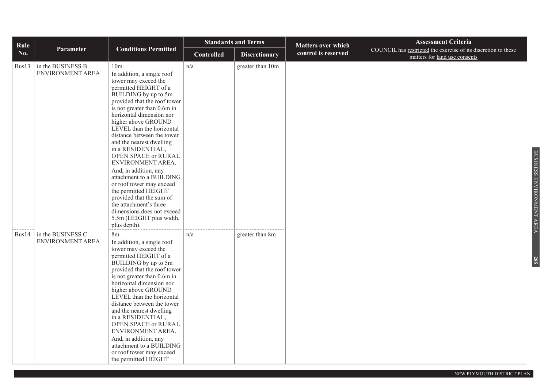| Rule       |                                              |                                                                                                                                                                                                                                                                                                                                                                                                                                                                                                                                                                                                                                           | <b>Standards and Terms</b> |                      | <b>Matters over which</b> | <b>Assessment Criteria</b>                                                                      |
|------------|----------------------------------------------|-------------------------------------------------------------------------------------------------------------------------------------------------------------------------------------------------------------------------------------------------------------------------------------------------------------------------------------------------------------------------------------------------------------------------------------------------------------------------------------------------------------------------------------------------------------------------------------------------------------------------------------------|----------------------------|----------------------|---------------------------|-------------------------------------------------------------------------------------------------|
| <b>No.</b> | Parameter                                    | <b>Conditions Permitted</b>                                                                                                                                                                                                                                                                                                                                                                                                                                                                                                                                                                                                               | <b>Controlled</b>          | <b>Discretionary</b> | control is reserved       | COUNCIL has restricted the exercise of its discretion to these<br>matters for land use consents |
| Bus13      | in the BUSINESS B<br><b>ENVIRONMENT AREA</b> | 10 <sub>m</sub><br>In addition, a single roof<br>tower may exceed the<br>permitted HEIGHT of a<br>BUILDING by up to 5m<br>provided that the roof tower<br>is not greater than 0.6m in<br>horizontal dimension nor<br>higher above GROUND<br>LEVEL than the horizontal<br>distance between the tower<br>and the nearest dwelling<br>in a RESIDENTIAL,<br>OPEN SPACE or RURAL<br>ENVIRONMENT AREA.<br>And, in addition, any<br>attachment to a BUILDING<br>or roof tower may exceed<br>the permitted HEIGHT<br>provided that the sum of<br>the attachment's three<br>dimensions does not exceed<br>5.5m (HEIGHT plus width,<br>plus depth). | n/a                        | greater than 10m     |                           |                                                                                                 |
| Bus14      | in the BUSINESS C<br><b>ENVIRONMENT AREA</b> | 8m<br>In addition, a single roof<br>tower may exceed the<br>permitted HEIGHT of a<br>BUILDING by up to 5m<br>provided that the roof tower<br>is not greater than 0.6m in<br>horizontal dimension nor<br>higher above GROUND<br>LEVEL than the horizontal<br>distance between the tower<br>and the nearest dwelling<br>in a RESIDENTIAL,<br>OPEN SPACE or RURAL<br>ENVIRONMENT AREA.<br>And, in addition, any<br>attachment to a BUILDING<br>or roof tower may exceed<br>the permitted HEIGHT                                                                                                                                              | n/a                        | greater than 8m      |                           |                                                                                                 |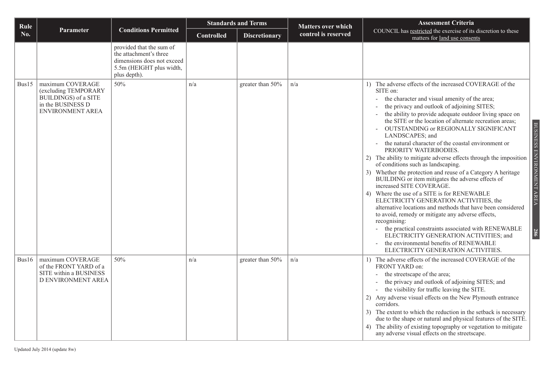| Rule  |                                                                                                                  |                                                                                                                              |                   | <b>Standards and Terms</b> | <b>Matters over which</b> | <b>Assessment Criteria</b>                                                                                                                                                                                                                                                                                                                                                                                                                                                                                                                                                                                                                                                                                                                                                                                                                                                                                                                                                                                                                                                                                       |                                  |
|-------|------------------------------------------------------------------------------------------------------------------|------------------------------------------------------------------------------------------------------------------------------|-------------------|----------------------------|---------------------------|------------------------------------------------------------------------------------------------------------------------------------------------------------------------------------------------------------------------------------------------------------------------------------------------------------------------------------------------------------------------------------------------------------------------------------------------------------------------------------------------------------------------------------------------------------------------------------------------------------------------------------------------------------------------------------------------------------------------------------------------------------------------------------------------------------------------------------------------------------------------------------------------------------------------------------------------------------------------------------------------------------------------------------------------------------------------------------------------------------------|----------------------------------|
| No.   | Parameter                                                                                                        | <b>Conditions Permitted</b>                                                                                                  | <b>Controlled</b> | <b>Discretionary</b>       | control is reserved       | COUNCIL has restricted the exercise of its discretion to these<br>matters for land use consents                                                                                                                                                                                                                                                                                                                                                                                                                                                                                                                                                                                                                                                                                                                                                                                                                                                                                                                                                                                                                  |                                  |
|       |                                                                                                                  | provided that the sum of<br>the attachment's three<br>dimensions does not exceed<br>5.5m (HEIGHT plus width,<br>plus depth). |                   |                            |                           |                                                                                                                                                                                                                                                                                                                                                                                                                                                                                                                                                                                                                                                                                                                                                                                                                                                                                                                                                                                                                                                                                                                  |                                  |
| Bus15 | maximum COVERAGE<br>(excluding TEMPORARY<br>BUILDINGS) of a SITE<br>in the BUSINESS D<br><b>ENVIRONMENT AREA</b> | 50%                                                                                                                          | n/a               | greater than 50%           | n/a                       | 1) The adverse effects of the increased COVERAGE of the<br>SITE on:<br>the character and visual amenity of the area;<br>the privacy and outlook of adjoining SITES;<br>the ability to provide adequate outdoor living space on<br>the SITE or the location of alternate recreation areas;<br>OUTSTANDING or REGIONALLY SIGNIFICANT<br>LANDSCAPES; and<br>the natural character of the coastal environment or<br>PRIORITY WATERBODIES.<br>2) The ability to mitigate adverse effects through the imposition<br>of conditions such as landscaping.<br>3) Whether the protection and reuse of a Category A heritage<br>BUILDING or item mitigates the adverse effects of<br>increased SITE COVERAGE.<br>4) Where the use of a SITE is for RENEWABLE<br>ELECTRICITY GENERATION ACTIVITIES, the<br>alternative locations and methods that have been considered<br>to avoid, remedy or mitigate any adverse effects,<br>recognising:<br>the practical constraints associated with RENEWABLE<br>ELECTRICITY GENERATION ACTIVITIES; and<br>the environmental benefits of RENEWABLE<br>ELECTRICITY GENERATION ACTIVITIES. | BUSINESS ENVIRONMENT AREA<br>286 |
| Bus16 | maximum COVERAGE<br>of the FRONT YARD of a<br>SITE within a BUSINESS<br>D ENVIRONMENT AREA                       | 50%                                                                                                                          | n/a               | greater than 50%           | n/a                       | 1) The adverse effects of the increased COVERAGE of the<br>FRONT YARD on:<br>the streetscape of the area;<br>the privacy and outlook of adjoining SITES; and<br>the visibility for traffic leaving the SITE.<br>2) Any adverse visual effects on the New Plymouth entrance<br>corridors.<br>3) The extent to which the reduction in the setback is necessary<br>due to the shape or natural and physical features of the SITE.<br>4) The ability of existing topography or vegetation to mitigate<br>any adverse visual effects on the streetscape.                                                                                                                                                                                                                                                                                                                                                                                                                                                                                                                                                              |                                  |

Updated July 2014 (update 8w)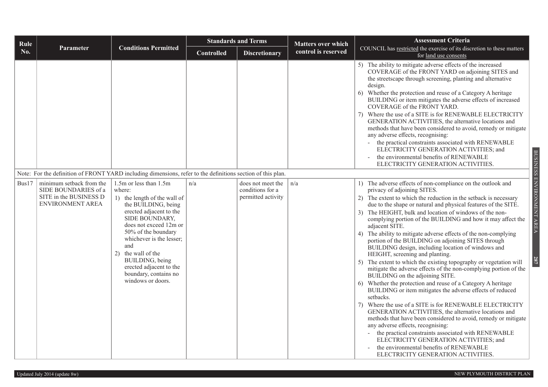| Rule  |                                                                                                             |                                                                                                                                                                                                                                                                                                                                            |                   | <b>Standards and Terms</b>                                  | <b>Matters over which</b> | <b>Assessment Criteria</b>                                                                                                                                                                                                                                                                                                                                                                                                                                                                                                                                                                                                                                                                                                                                                                                                                                                                                                                                                                                                                                                                                                                                                                                                                                                                                                       |
|-------|-------------------------------------------------------------------------------------------------------------|--------------------------------------------------------------------------------------------------------------------------------------------------------------------------------------------------------------------------------------------------------------------------------------------------------------------------------------------|-------------------|-------------------------------------------------------------|---------------------------|----------------------------------------------------------------------------------------------------------------------------------------------------------------------------------------------------------------------------------------------------------------------------------------------------------------------------------------------------------------------------------------------------------------------------------------------------------------------------------------------------------------------------------------------------------------------------------------------------------------------------------------------------------------------------------------------------------------------------------------------------------------------------------------------------------------------------------------------------------------------------------------------------------------------------------------------------------------------------------------------------------------------------------------------------------------------------------------------------------------------------------------------------------------------------------------------------------------------------------------------------------------------------------------------------------------------------------|
| No.   | Parameter                                                                                                   | <b>Conditions Permitted</b>                                                                                                                                                                                                                                                                                                                | <b>Controlled</b> | <b>Discretionary</b>                                        | control is reserved       | COUNCIL has restricted the exercise of its discretion to these matters<br>for land use consents                                                                                                                                                                                                                                                                                                                                                                                                                                                                                                                                                                                                                                                                                                                                                                                                                                                                                                                                                                                                                                                                                                                                                                                                                                  |
|       |                                                                                                             |                                                                                                                                                                                                                                                                                                                                            |                   |                                                             |                           | 5) The ability to mitigate adverse effects of the increased<br>COVERAGE of the FRONT YARD on adjoining SITES and<br>the streetscape through screening, planting and alternative<br>design.<br>6) Whether the protection and reuse of a Category A heritage<br>BUILDING or item mitigates the adverse effects of increased<br>COVERAGE of the FRONT YARD.<br>7) Where the use of a SITE is for RENEWABLE ELECTRICITY<br>GENERATION ACTIVITIES, the alternative locations and<br>methods that have been considered to avoid, remedy or mitigate<br>any adverse effects, recognising:<br>the practical constraints associated with RENEWABLE<br>ELECTRICITY GENERATION ACTIVITIES; and<br>the environmental benefits of RENEWABLE<br>ELECTRICITY GENERATION ACTIVITIES.                                                                                                                                                                                                                                                                                                                                                                                                                                                                                                                                                             |
|       | Note: For the definition of FRONT YARD including dimensions, refer to the definitions section of this plan. |                                                                                                                                                                                                                                                                                                                                            |                   |                                                             |                           |                                                                                                                                                                                                                                                                                                                                                                                                                                                                                                                                                                                                                                                                                                                                                                                                                                                                                                                                                                                                                                                                                                                                                                                                                                                                                                                                  |
| Bus17 | minimum setback from the<br>SIDE BOUNDARIES of a<br>SITE in the BUSINESS D<br>ENVIRONMENT AREA              | 1.5m or less than 1.5m<br>where:<br>1) the length of the wall of<br>the BUILDING, being<br>erected adjacent to the<br>SIDE BOUNDARY,<br>does not exceed 12m or<br>50% of the boundary<br>whichever is the lesser;<br>and<br>2) the wall of the<br>BUILDING, being<br>erected adjacent to the<br>boundary, contains no<br>windows or doors. | n/a               | does not meet the<br>conditions for a<br>permitted activity | n/a                       | 1) The adverse effects of non-compliance on the outlook and<br>privacy of adjoining SITES.<br>2) The extent to which the reduction in the setback is necessary<br>due to the shape or natural and physical features of the SITE.<br>3) The HEIGHT, bulk and location of windows of the non-<br>complying portion of the BUILDING and how it may affect the<br>adjacent SITE.<br>4) The ability to mitigate adverse effects of the non-complying<br>portion of the BUILDING on adjoining SITES through<br>BUILDING design, including location of windows and<br>HEIGHT, screening and planting.<br>5) The extent to which the existing topography or vegetation will<br>mitigate the adverse effects of the non-complying portion of the<br>BUILDING on the adjoining SITE.<br>6) Whether the protection and reuse of a Category A heritage<br>BUILDING or item mitigates the adverse effects of reduced<br>setbacks.<br>7) Where the use of a SITE is for RENEWABLE ELECTRICITY<br>GENERATION ACTIVITIES, the alternative locations and<br>methods that have been considered to avoid, remedy or mitigate<br>any adverse effects, recognising:<br>the practical constraints associated with RENEWABLE<br>ELECTRICITY GENERATION ACTIVITIES; and<br>the environmental benefits of RENEWABLE<br>ELECTRICITY GENERATION ACTIVITIES. |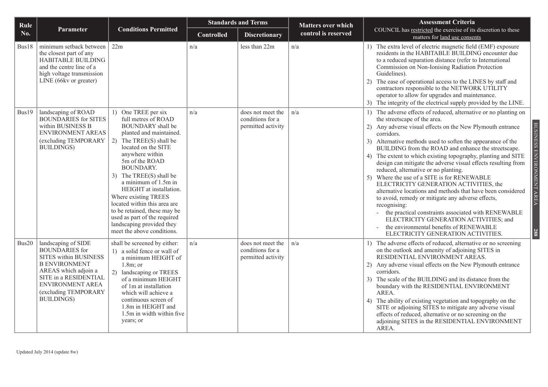| Rule  |                                                                                                                                                                                                                  |                                                                                                                                                                                                                                                                                                                                                                                                                                                                               |                   | <b>Standards and Terms</b>                                  | <b>Matters over which</b> | <b>Assessment Criteria</b>                                                                                                                                                                                                                                                                                                                                                                                                                                                                                                                                                                                                                                                                                                                                                                                                                                                                                                      |
|-------|------------------------------------------------------------------------------------------------------------------------------------------------------------------------------------------------------------------|-------------------------------------------------------------------------------------------------------------------------------------------------------------------------------------------------------------------------------------------------------------------------------------------------------------------------------------------------------------------------------------------------------------------------------------------------------------------------------|-------------------|-------------------------------------------------------------|---------------------------|---------------------------------------------------------------------------------------------------------------------------------------------------------------------------------------------------------------------------------------------------------------------------------------------------------------------------------------------------------------------------------------------------------------------------------------------------------------------------------------------------------------------------------------------------------------------------------------------------------------------------------------------------------------------------------------------------------------------------------------------------------------------------------------------------------------------------------------------------------------------------------------------------------------------------------|
| No.   | Parameter                                                                                                                                                                                                        | <b>Conditions Permitted</b>                                                                                                                                                                                                                                                                                                                                                                                                                                                   | <b>Controlled</b> | <b>Discretionary</b>                                        | control is reserved       | COUNCIL has restricted the exercise of its discretion to these<br>matters for land use consents                                                                                                                                                                                                                                                                                                                                                                                                                                                                                                                                                                                                                                                                                                                                                                                                                                 |
| Bus18 | minimum setback between<br>the closest part of any<br><b>HABITABLE BUILDING</b><br>and the centre line of a<br>high voltage transmission<br>LINE (66kv or greater)                                               | 22m                                                                                                                                                                                                                                                                                                                                                                                                                                                                           | n/a               | less than 22m                                               | n/a                       | 1) The extra level of electric magnetic field (EMF) exposure<br>residents in the HABITABLE BUILDING encounter due<br>to a reduced separation distance (refer to International<br>Commission on Non-Ionising Radiation Protection<br>Guidelines).<br>The ease of operational access to the LINES by staff and<br>2)<br>contractors responsible to the NETWORK UTILITY<br>operator to allow for upgrades and maintenance.<br>3) The integrity of the electrical supply provided by the LINE.                                                                                                                                                                                                                                                                                                                                                                                                                                      |
| Bus19 | landscaping of ROAD<br><b>BOUNDARIES</b> for SITES<br>within BUSINESS B<br>ENVIRONMENT AREAS<br>(excluding TEMPORARY<br><b>BUILDINGS</b> )                                                                       | 1) One TREE per six<br>full metres of ROAD<br><b>BOUNDARY</b> shall be<br>planted and maintained.<br>2) The TREE(S) shall be<br>located on the SITE<br>anywhere within<br>5m of the ROAD<br><b>BOUNDARY.</b><br>3) The TREE(S) shall be<br>a minimum of 1.5m in<br>HEIGHT at installation.<br>Where existing TREES<br>located within this area are<br>to be retained, these may be<br>used as part of the required<br>landscaping provided they<br>meet the above conditions. | n/a               | does not meet the<br>conditions for a<br>permitted activity | n/a                       | The adverse effects of reduced, alternative or no planting on<br>1)<br>the streetscape of the area.<br>BUSINESS ENVIRONMENT AREA<br>2) Any adverse visual effects on the New Plymouth entrance<br>corridors.<br>3) Alternative methods used to soften the appearance of the<br>BUILDING from the ROAD and enhance the streetscape.<br>The extent to which existing topography, planting and SITE<br>design can mitigate the adverse visual effects resulting from<br>reduced, alternative or no planting.<br>5) Where the use of a SITE is for RENEWABLE<br>ELECTRICITY GENERATION ACTIVITIES, the<br>alternative locations and methods that have been considered<br>to avoid, remedy or mitigate any adverse effects,<br>recognising:<br>the practical constraints associated with RENEWABLE<br>ELECTRICITY GENERATION ACTIVITIES; and<br>the environmental benefits of RENEWABLE<br>288<br>ELECTRICITY GENERATION ACTIVITIES. |
| Bus20 | landscaping of SIDE<br><b>BOUNDARIES</b> for<br>SITES within BUSINESS<br><b>B ENVIRONMENT</b><br>AREAS which adjoin a<br>SITE in a RESIDENTIAL<br>ENVIRONMENT AREA<br>(excluding TEMPORARY<br><b>BUILDINGS</b> ) | shall be screened by either:<br>1) a solid fence or wall of<br>a minimum HEIGHT of<br>$1.8m$ ; or<br>2) landscaping or TREES<br>of a minimum HEIGHT<br>of 1m at installation<br>which will achieve a<br>continuous screen of<br>1.8m in HEIGHT and<br>1.5m in width within five<br>years; or                                                                                                                                                                                  | n/a               | does not meet the<br>conditions for a<br>permitted activity | n/a                       | 1) The adverse effects of reduced, alternative or no screening<br>on the outlook and amenity of adjoining SITES in<br>RESIDENTIAL ENVIRONMENT AREAS.<br>2) Any adverse visual effects on the New Plymouth entrance<br>corridors.<br>3) The scale of the BUILDING and its distance from the<br>boundary with the RESIDENTIAL ENVIRONMENT<br>AREA.<br>The ability of existing vegetation and topography on the<br>4)<br>SITE or adjoining SITES to mitigate any adverse visual<br>effects of reduced, alternative or no screening on the<br>adjoining SITES in the RESIDENTIAL ENVIRONMENT<br>AREA.                                                                                                                                                                                                                                                                                                                               |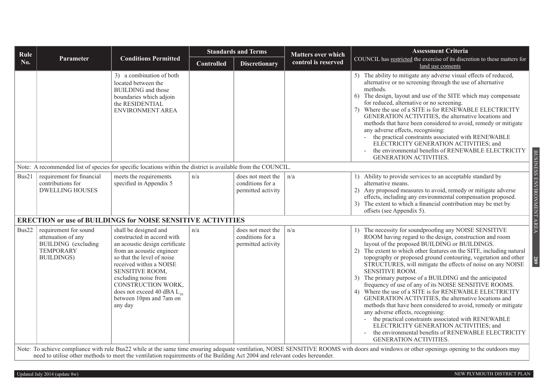| Rule  |                                                                                                                    |                                                                                                                                                                                                                                                                                                                       |                   | <b>Standards and Terms</b>                                  | <b>Matters over which</b> | <b>Assessment Criteria</b>                                                                                                                                                                                                                                                                                                                                                                                                                                                                                                                                                                                                                                                                                                                                                                                                                                                                                                                          |
|-------|--------------------------------------------------------------------------------------------------------------------|-----------------------------------------------------------------------------------------------------------------------------------------------------------------------------------------------------------------------------------------------------------------------------------------------------------------------|-------------------|-------------------------------------------------------------|---------------------------|-----------------------------------------------------------------------------------------------------------------------------------------------------------------------------------------------------------------------------------------------------------------------------------------------------------------------------------------------------------------------------------------------------------------------------------------------------------------------------------------------------------------------------------------------------------------------------------------------------------------------------------------------------------------------------------------------------------------------------------------------------------------------------------------------------------------------------------------------------------------------------------------------------------------------------------------------------|
| No.   | Parameter                                                                                                          | <b>Conditions Permitted</b>                                                                                                                                                                                                                                                                                           | <b>Controlled</b> | <b>Discretionary</b>                                        | control is reserved       | COUNCIL has restricted the exercise of its discretion to these matters for<br>land use consents                                                                                                                                                                                                                                                                                                                                                                                                                                                                                                                                                                                                                                                                                                                                                                                                                                                     |
|       |                                                                                                                    | 3) a combination of both<br>located between the<br><b>BUILDING</b> and those<br>boundaries which adjoin<br>the RESIDENTIAL<br><b>ENVIRONMENT AREA</b>                                                                                                                                                                 |                   |                                                             |                           | 5) The ability to mitigate any adverse visual effects of reduced,<br>alternative or no screening through the use of alternative<br>methods.<br>6) The design, layout and use of the SITE which may compensate<br>for reduced, alternative or no screening.<br>7) Where the use of a SITE is for RENEWABLE ELECTRICITY<br>GENERATION ACTIVITIES, the alternative locations and<br>methods that have been considered to avoid, remedy or mitigate<br>any adverse effects, recognising:<br>the practical constraints associated with RENEWABLE<br>ELECTRICITY GENERATION ACTIVITIES; and<br>the environmental benefits of RENEWABLE ELECTRICITY<br><b>GENERATION ACTIVITIES.</b>                                                                                                                                                                                                                                                                       |
|       |                                                                                                                    | Note: A recommended list of species for specific locations within the district is available from the COUNCIL.                                                                                                                                                                                                         |                   |                                                             |                           |                                                                                                                                                                                                                                                                                                                                                                                                                                                                                                                                                                                                                                                                                                                                                                                                                                                                                                                                                     |
| Bus21 | requirement for financial<br>contributions for<br><b>DWELLING HOUSES</b>                                           | meets the requirements<br>specified in Appendix 5<br><b>ERECTION or use of BUILDINGS for NOISE SENSITIVE ACTIVITIES</b>                                                                                                                                                                                               | n/a               | does not meet the<br>conditions for a<br>permitted activity | n/a                       | BUSINESS ENVIRONMENT AREA<br>1) Ability to provide services to an acceptable standard by<br>alternative means.<br>2) Any proposed measures to avoid, remedy or mitigate adverse<br>effects, including any environmental compensation proposed.<br>3) The extent to which a financial contribution may be met by<br>offsets (see Appendix 5).                                                                                                                                                                                                                                                                                                                                                                                                                                                                                                                                                                                                        |
|       |                                                                                                                    |                                                                                                                                                                                                                                                                                                                       |                   |                                                             |                           |                                                                                                                                                                                                                                                                                                                                                                                                                                                                                                                                                                                                                                                                                                                                                                                                                                                                                                                                                     |
| Bus22 | requirement for sound<br>attenuation of any<br><b>BUILDING</b> (excluding<br><b>TEMPORARY</b><br><b>BUILDINGS)</b> | shall be designed and<br>constructed in accord with<br>an acoustic design certificate<br>from an acoustic engineer<br>so that the level of noise<br>received within a NOISE<br>SENSITIVE ROOM,<br>excluding noise from<br>CONSTRUCTION WORK,<br>does not exceed 40 dBA $L_{10}$<br>between 10pm and 7am on<br>any day | n/a               | does not meet the<br>conditions for a<br>permitted activity | n/a                       | 1) The necessity for soundproofing any NOISE SENSITIVE<br>ROOM having regard to the design, construction and room<br>layout of the proposed BUILDING or BUILDINGS.<br>The extent to which other features on the SITE, including natural<br>(2)<br>topography or proposed ground contouring, vegetation and other<br>289<br>STRUCTURES, will mitigate the effects of noise on any NOISE<br>SENSITIVE ROOM.<br>3) The primary purpose of a BUILDING and the anticipated<br>frequency of use of any of its NOISE SENSITIVE ROOMS.<br>4) Where the use of a SITE is for RENEWABLE ELECTRICITY<br>GENERATION ACTIVITIES, the alternative locations and<br>methods that have been considered to avoid, remedy or mitigate<br>any adverse effects, recognising:<br>- the practical constraints associated with RENEWABLE<br>ELECTRICITY GENERATION ACTIVITIES; and<br>the environmental benefits of RENEWABLE ELECTRICITY<br><b>GENERATION ACTIVITIES.</b> |
|       |                                                                                                                    | need to utilise other methods to meet the ventilation requirements of the Building Act 2004 and relevant codes hereunder.                                                                                                                                                                                             |                   |                                                             |                           | Note: To achieve compliance with rule Bus22 while at the same time ensuring adequate ventilation, NOISE SENSITIVE ROOMS with doors and windows or other openings opening to the outdoors may                                                                                                                                                                                                                                                                                                                                                                                                                                                                                                                                                                                                                                                                                                                                                        |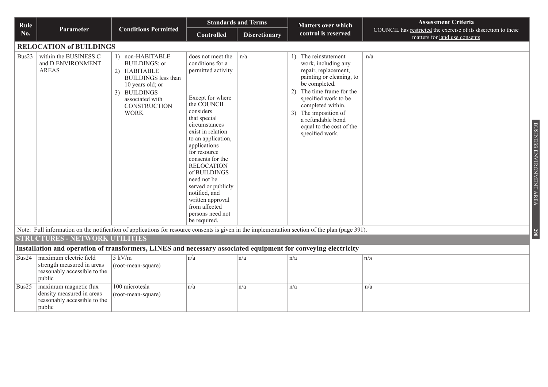| Rule  |                                                                                                                |                                                                                                                                                                       |                                                                                                                                                                                                                                                                                                                                                                                                                 | <b>Standards and Terms</b> | <b>Matters over which</b>                                                                                                                                                                                                                                                                  | <b>Assessment Criteria</b>                                                                      |
|-------|----------------------------------------------------------------------------------------------------------------|-----------------------------------------------------------------------------------------------------------------------------------------------------------------------|-----------------------------------------------------------------------------------------------------------------------------------------------------------------------------------------------------------------------------------------------------------------------------------------------------------------------------------------------------------------------------------------------------------------|----------------------------|--------------------------------------------------------------------------------------------------------------------------------------------------------------------------------------------------------------------------------------------------------------------------------------------|-------------------------------------------------------------------------------------------------|
| No.   | Parameter                                                                                                      | <b>Conditions Permitted</b>                                                                                                                                           | <b>Controlled</b>                                                                                                                                                                                                                                                                                                                                                                                               | <b>Discretionary</b>       | control is reserved                                                                                                                                                                                                                                                                        | COUNCIL has restricted the exercise of its discretion to these<br>matters for land use consents |
|       | <b>RELOCATION of BUILDINGS</b>                                                                                 |                                                                                                                                                                       |                                                                                                                                                                                                                                                                                                                                                                                                                 |                            |                                                                                                                                                                                                                                                                                            |                                                                                                 |
| Bus23 | within the BUSINESS C<br>and D ENVIRONMENT<br><b>AREAS</b>                                                     | 1) non-HABITABLE<br>BUILDINGS; or<br>2) HABITABLE<br><b>BUILDINGS</b> less than<br>10 years old; or<br>3) BUILDINGS<br>associated with<br>CONSTRUCTION<br><b>WORK</b> | does not meet the<br>conditions for a<br>permitted activity<br>Except for where<br>the COUNCIL<br>considers<br>that special<br>circumstances<br>exist in relation<br>to an application,<br>applications<br>for resource<br>consents for the<br><b>RELOCATION</b><br>of BUILDINGS<br>need not be<br>served or publicly<br>notified, and<br>written approval<br>from affected<br>persons need not<br>be required. | n/a                        | 1) The reinstatement<br>work, including any<br>repair, replacement,<br>painting or cleaning, to<br>be completed.<br>The time frame for the<br>(2)<br>specified work to be<br>completed within.<br>3) The imposition of<br>a refundable bond<br>equal to the cost of the<br>specified work. | n/a<br>BUSINESS ENVIRONMENT AREA                                                                |
|       |                                                                                                                |                                                                                                                                                                       |                                                                                                                                                                                                                                                                                                                                                                                                                 |                            | Note: Full information on the notification of applications for resource consents is given in the implementation section of the plan (page 391).                                                                                                                                            | <b>290</b>                                                                                      |
|       | <b>STRUCTURES - NETWORK UTILITIES</b>                                                                          |                                                                                                                                                                       |                                                                                                                                                                                                                                                                                                                                                                                                                 |                            |                                                                                                                                                                                                                                                                                            |                                                                                                 |
|       | Installation and operation of transformers, LINES and necessary associated equipment for conveying electricity |                                                                                                                                                                       |                                                                                                                                                                                                                                                                                                                                                                                                                 |                            |                                                                                                                                                                                                                                                                                            |                                                                                                 |
| Bus24 | maximum electric field<br>strength measured in areas<br>reasonably accessible to the<br>public                 | $5$ kV/m<br>(root-mean-square)                                                                                                                                        | n/a                                                                                                                                                                                                                                                                                                                                                                                                             | n/a                        | n/a                                                                                                                                                                                                                                                                                        | n/a                                                                                             |
| Bus25 | maximum magnetic flux<br>density measured in areas<br>reasonably accessible to the<br>public                   | 100 microtesla<br>(root-mean-square)                                                                                                                                  | n/a                                                                                                                                                                                                                                                                                                                                                                                                             | n/a                        | n/a                                                                                                                                                                                                                                                                                        | n/a                                                                                             |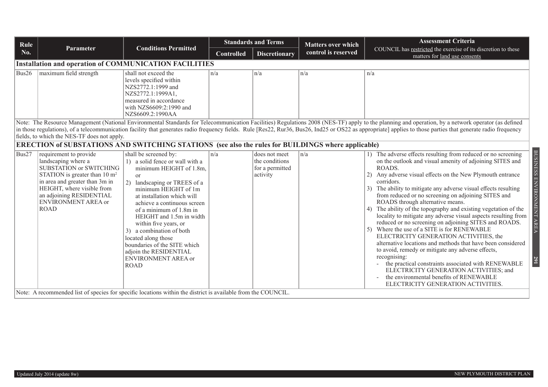| Rule          |                                                                                                                                                                                                                                                                                                                                                                                                                                                                    |                                                                                                                                                                                                                                                                                                                                                                                                                                                                                                                                                                                  | <b>Standards and Terms</b> |                                                                | <b>Matters over which</b> | <b>Assessment Criteria</b>                                                                                                                                                                                                                                                                                                                                                                                                                                                                                                                                                                                                                                                                                                                                                                                                                                                                                                                                                                                                        |  |  |  |  |
|---------------|--------------------------------------------------------------------------------------------------------------------------------------------------------------------------------------------------------------------------------------------------------------------------------------------------------------------------------------------------------------------------------------------------------------------------------------------------------------------|----------------------------------------------------------------------------------------------------------------------------------------------------------------------------------------------------------------------------------------------------------------------------------------------------------------------------------------------------------------------------------------------------------------------------------------------------------------------------------------------------------------------------------------------------------------------------------|----------------------------|----------------------------------------------------------------|---------------------------|-----------------------------------------------------------------------------------------------------------------------------------------------------------------------------------------------------------------------------------------------------------------------------------------------------------------------------------------------------------------------------------------------------------------------------------------------------------------------------------------------------------------------------------------------------------------------------------------------------------------------------------------------------------------------------------------------------------------------------------------------------------------------------------------------------------------------------------------------------------------------------------------------------------------------------------------------------------------------------------------------------------------------------------|--|--|--|--|
| No.           | <b>Parameter</b>                                                                                                                                                                                                                                                                                                                                                                                                                                                   | <b>Conditions Permitted</b>                                                                                                                                                                                                                                                                                                                                                                                                                                                                                                                                                      | <b>Controlled</b>          | <b>Discretionary</b>                                           | control is reserved       | COUNCIL has restricted the exercise of its discretion to these<br>matters for land use consents                                                                                                                                                                                                                                                                                                                                                                                                                                                                                                                                                                                                                                                                                                                                                                                                                                                                                                                                   |  |  |  |  |
|               |                                                                                                                                                                                                                                                                                                                                                                                                                                                                    | <b>Installation and operation of COMMUNICATION FACILITIES</b>                                                                                                                                                                                                                                                                                                                                                                                                                                                                                                                    |                            |                                                                |                           |                                                                                                                                                                                                                                                                                                                                                                                                                                                                                                                                                                                                                                                                                                                                                                                                                                                                                                                                                                                                                                   |  |  |  |  |
| Bus26         | maximum field strength                                                                                                                                                                                                                                                                                                                                                                                                                                             | shall not exceed the<br>levels specified within<br>NZS2772.1:1999 and<br>NZS2772.1:1999A1,<br>measured in accordance<br>with NZS6609:2:1990 and<br>NZS6609.2:1990AA                                                                                                                                                                                                                                                                                                                                                                                                              | $\ln/a$                    | n/a                                                            | n/a                       | n/a                                                                                                                                                                                                                                                                                                                                                                                                                                                                                                                                                                                                                                                                                                                                                                                                                                                                                                                                                                                                                               |  |  |  |  |
|               | Note: The Resource Management (National Environmental Standards for Telecommunication Facilities) Regulations 2008 (NES-TF) apply to the planning and operation, by a network operator (as defined<br>in those regulations), of a telecommunication facility that generates radio frequency fields. Rule [Res22, Rur36, Bus26, Ind25 or OS22 as appropriate] applies to those parties that generate radio frequency<br>fields, to which the NES-TF does not apply. |                                                                                                                                                                                                                                                                                                                                                                                                                                                                                                                                                                                  |                            |                                                                |                           |                                                                                                                                                                                                                                                                                                                                                                                                                                                                                                                                                                                                                                                                                                                                                                                                                                                                                                                                                                                                                                   |  |  |  |  |
|               |                                                                                                                                                                                                                                                                                                                                                                                                                                                                    | <b>ERECTION of SUBSTATIONS AND SWITCHING STATIONS</b> (see also the rules for BUILDINGS where applicable)                                                                                                                                                                                                                                                                                                                                                                                                                                                                        |                            |                                                                |                           |                                                                                                                                                                                                                                                                                                                                                                                                                                                                                                                                                                                                                                                                                                                                                                                                                                                                                                                                                                                                                                   |  |  |  |  |
| $\vert$ Bus27 | requirement to provide<br>landscaping where a<br><b>SUBSTATION or SWITCHING</b><br>STATION is greater than $10 \text{ m}^2$<br>in area and greater than 3m in<br>HEIGHT, where visible from<br>an adjoining RESIDENTIAL<br><b>ENVIRONMENT AREA or</b><br><b>ROAD</b>                                                                                                                                                                                               | shall be screened by:<br>1) a solid fence or wall with a<br>minimum HEIGHT of 1.8m,<br><sub>or</sub><br>2)<br>landscaping or TREES of a<br>minimum HEIGHT of 1m<br>at installation which will<br>achieve a continuous screen<br>of a minimum of 1.8m in<br>HEIGHT and 1.5m in width<br>within five years, or<br>3) a combination of both<br>located along those<br>boundaries of the SITE which<br>adjoin the RESIDENTIAL<br>ENVIRONMENT AREA or<br><b>ROAD</b><br>Note: A recommended list of species for specific locations within the district is available from the COUNCIL. | $\ln/a$                    | does not meet<br>the conditions<br>for a permitted<br>activity | $\ln/a$                   | BUSINESS ENVIRONMENT<br>1) The adverse effects resulting from reduced or no screening<br>on the outlook and visual amenity of adjoining SITES and<br>ROADS.<br>Any adverse visual effects on the New Plymouth entrance<br>corridors.<br>The ability to mitigate any adverse visual effects resulting<br>from reduced or no screening on adjoining SITES and<br>ROADS through alternative means.<br>The ability of the topography and existing vegetation of the<br>locality to mitigate any adverse visual aspects resulting from<br><b>AREA</b><br>reduced or no screening on adjoining SITES and ROADS.<br>5) Where the use of a SITE is for RENEWABLE<br>ELECTRICITY GENERATION ACTIVITIES, the<br>alternative locations and methods that have been considered<br>to avoid, remedy or mitigate any adverse effects,<br>recognising:<br>167<br>- the practical constraints associated with RENEWABLE<br>ELECTRICITY GENERATION ACTIVITIES; and<br>the environmental benefits of RENEWABLE<br>ELECTRICITY GENERATION ACTIVITIES. |  |  |  |  |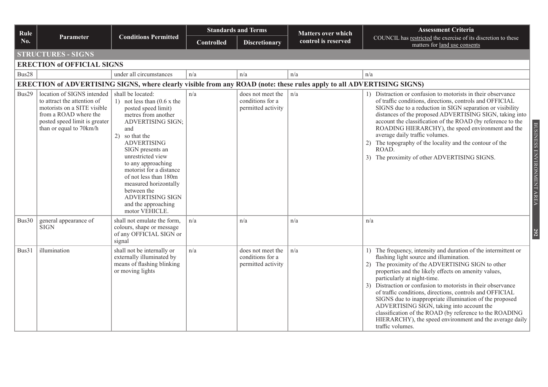| Rule  |                                                                                                                                                                               | <b>Conditions Permitted</b>                                                                                                                                                                                                                                                                                                                                                                                 | <b>Standards and Terms</b> |                                                             | <b>Matters over which</b> | <b>Assessment Criteria</b>                                                                                                                                                                                                                                                                                                                                                                                                                                                                                                                                                                                                              |  |  |  |  |
|-------|-------------------------------------------------------------------------------------------------------------------------------------------------------------------------------|-------------------------------------------------------------------------------------------------------------------------------------------------------------------------------------------------------------------------------------------------------------------------------------------------------------------------------------------------------------------------------------------------------------|----------------------------|-------------------------------------------------------------|---------------------------|-----------------------------------------------------------------------------------------------------------------------------------------------------------------------------------------------------------------------------------------------------------------------------------------------------------------------------------------------------------------------------------------------------------------------------------------------------------------------------------------------------------------------------------------------------------------------------------------------------------------------------------------|--|--|--|--|
| No.   | Parameter                                                                                                                                                                     |                                                                                                                                                                                                                                                                                                                                                                                                             | <b>Controlled</b>          | <b>Discretionary</b>                                        | control is reserved       | COUNCIL has restricted the exercise of its discretion to these<br>matters for land use consents                                                                                                                                                                                                                                                                                                                                                                                                                                                                                                                                         |  |  |  |  |
|       | <b>STRUCTURES - SIGNS</b>                                                                                                                                                     |                                                                                                                                                                                                                                                                                                                                                                                                             |                            |                                                             |                           |                                                                                                                                                                                                                                                                                                                                                                                                                                                                                                                                                                                                                                         |  |  |  |  |
|       | <b>ERECTION of OFFICIAL SIGNS</b>                                                                                                                                             |                                                                                                                                                                                                                                                                                                                                                                                                             |                            |                                                             |                           |                                                                                                                                                                                                                                                                                                                                                                                                                                                                                                                                                                                                                                         |  |  |  |  |
| Bus28 |                                                                                                                                                                               | under all circumstances                                                                                                                                                                                                                                                                                                                                                                                     | n/a                        | n/a                                                         | n/a                       | n/a                                                                                                                                                                                                                                                                                                                                                                                                                                                                                                                                                                                                                                     |  |  |  |  |
|       | ERECTION of ADVERTISING SIGNS, where clearly visible from any ROAD (note: these rules apply to all ADVERTISING SIGNS)                                                         |                                                                                                                                                                                                                                                                                                                                                                                                             |                            |                                                             |                           |                                                                                                                                                                                                                                                                                                                                                                                                                                                                                                                                                                                                                                         |  |  |  |  |
| Bus29 | location of SIGNS intended<br>to attract the attention of<br>motorists on a SITE visible<br>from a ROAD where the<br>posted speed limit is greater<br>than or equal to 70km/h | shall be located:<br>1) not less than $(0.6 \times$ the<br>posted speed limit)<br>metres from another<br><b>ADVERTISING SIGN;</b><br>and<br>2)<br>so that the<br><b>ADVERTISING</b><br>SIGN presents an<br>unrestricted view<br>to any approaching<br>motorist for a distance<br>of not less than 180m<br>measured horizontally<br>between the<br>ADVERTISING SIGN<br>and the approaching<br>motor VEHICLE. | n/a                        | does not meet the<br>conditions for a<br>permitted activity | n/a                       | 1) Distraction or confusion to motorists in their observance<br>of traffic conditions, directions, controls and OFFICIAL<br>SIGNS due to a reduction in SIGN separation or visibility<br>distances of the proposed ADVERTISING SIGN, taking into<br>account the classification of the ROAD (by reference to the<br>BUSINESS ENVIRONMENT AREA<br>ROADING HIERARCHY), the speed environment and the<br>average daily traffic volumes.<br>2) The topography of the locality and the contour of the<br>ROAD.<br>3) The proximity of other ADVERTISING SIGNS.                                                                                |  |  |  |  |
| Bus30 | general appearance of<br><b>SIGN</b>                                                                                                                                          | shall not emulate the form,<br>colours, shape or message<br>of any OFFICIAL SIGN or<br>signal                                                                                                                                                                                                                                                                                                               | n/a                        | n/a                                                         | n/a                       | n/a<br>292                                                                                                                                                                                                                                                                                                                                                                                                                                                                                                                                                                                                                              |  |  |  |  |
| Bus31 | illumination                                                                                                                                                                  | shall not be internally or<br>externally illuminated by<br>means of flashing blinking<br>or moving lights                                                                                                                                                                                                                                                                                                   | n/a                        | does not meet the<br>conditions for a<br>permitted activity | n/a                       | 1) The frequency, intensity and duration of the intermittent or<br>flashing light source and illumination.<br>The proximity of the ADVERTISING SIGN to other<br>2)<br>properties and the likely effects on amenity values,<br>particularly at night-time.<br>3) Distraction or confusion to motorists in their observance<br>of traffic conditions, directions, controls and OFFICIAL<br>SIGNS due to inappropriate illumination of the proposed<br>ADVERTISING SIGN, taking into account the<br>classification of the ROAD (by reference to the ROADING<br>HIERARCHY), the speed environment and the average daily<br>traffic volumes. |  |  |  |  |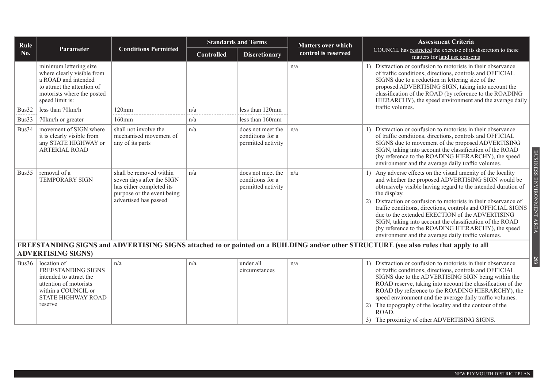| Rule  |                                                                                                                                                                                 |                                                                                                                                         |                   | <b>Standards and Terms</b>                                  | <b>Matters over which</b> | <b>Assessment Criteria</b>                                                                                                                                                                                                                                                                                                                                                                                                                                                                                                                                                                    |
|-------|---------------------------------------------------------------------------------------------------------------------------------------------------------------------------------|-----------------------------------------------------------------------------------------------------------------------------------------|-------------------|-------------------------------------------------------------|---------------------------|-----------------------------------------------------------------------------------------------------------------------------------------------------------------------------------------------------------------------------------------------------------------------------------------------------------------------------------------------------------------------------------------------------------------------------------------------------------------------------------------------------------------------------------------------------------------------------------------------|
| No.   | Parameter                                                                                                                                                                       | <b>Conditions Permitted</b>                                                                                                             | <b>Controlled</b> | control is reserved<br><b>Discretionary</b>                 |                           | COUNCIL has restricted the exercise of its discretion to these<br>matters for land use consents                                                                                                                                                                                                                                                                                                                                                                                                                                                                                               |
| Bus32 | minimum lettering size<br>where clearly visible from<br>a ROAD and intended<br>to attract the attention of<br>motorists where the posted<br>speed limit is:<br>less than 70km/h | $120$ mm                                                                                                                                | n/a               | less than 120mm                                             | n/a                       | 1) Distraction or confusion to motorists in their observance<br>of traffic conditions, directions, controls and OFFICIAL<br>SIGNS due to a reduction in lettering size of the<br>proposed ADVERTISING SIGN, taking into account the<br>classification of the ROAD (by reference to the ROADING<br>HIERARCHY), the speed environment and the average daily<br>traffic volumes.                                                                                                                                                                                                                 |
| Bus33 | 70km/h or greater                                                                                                                                                               | $160$ mm                                                                                                                                | n/a               | less than 160mm                                             |                           |                                                                                                                                                                                                                                                                                                                                                                                                                                                                                                                                                                                               |
| Bus34 | movement of SIGN where<br>it is clearly visible from<br>any STATE HIGHWAY or<br>ARTERIAL ROAD                                                                                   | shall not involve the<br>mechanised movement of<br>any of its parts                                                                     | n/a               | does not meet the<br>conditions for a<br>permitted activity | n/a                       | 1) Distraction or confusion to motorists in their observance<br>of traffic conditions, directions, controls and OFFICIAL<br>SIGNS due to movement of the proposed ADVERTISING<br>SIGN, taking into account the classification of the ROAD<br>(by reference to the ROADING HIERARCHY), the speed<br>environment and the average daily traffic volumes.                                                                                                                                                                                                                                         |
| Bus35 | removal of a<br><b>TEMPORARY SIGN</b>                                                                                                                                           | shall be removed within<br>seven days after the SIGN<br>has either completed its<br>purpose or the event being<br>advertised has passed | n/a               | does not meet the<br>conditions for a<br>permitted activity | n/a                       | BUSINESS ENVIRONMENT AREA<br>1) Any adverse effects on the visual amenity of the locality<br>and whether the proposed ADVERTISING SIGN would be<br>obtrusively visible having regard to the intended duration of<br>the display.<br>2) Distraction or confusion to motorists in their observance of<br>traffic conditions, directions, controls and OFFICIAL SIGNS<br>due to the extended ERECTION of the ADVERTISING<br>SIGN, taking into account the classification of the ROAD<br>(by reference to the ROADING HIERARCHY), the speed<br>environment and the average daily traffic volumes. |
|       | <b>ADVERTISING SIGNS)</b>                                                                                                                                                       |                                                                                                                                         |                   |                                                             |                           | FREESTANDING SIGNS and ADVERTISING SIGNS attached to or painted on a BUILDING and/or other STRUCTURE (see also rules that apply to all                                                                                                                                                                                                                                                                                                                                                                                                                                                        |
| Bus36 | location of<br>FREESTANDING SIGNS<br>intended to attract the<br>attention of motorists<br>within a COUNCIL or<br>STATE HIGHWAY ROAD<br>reserve                                  | n/a                                                                                                                                     | n/a               | under all<br>circumstances                                  | n/a                       | 293<br>1) Distraction or confusion to motorists in their observance<br>of traffic conditions, directions, controls and OFFICIAL<br>SIGNS due to the ADVERTISING SIGN being within the<br>ROAD reserve, taking into account the classification of the<br>ROAD (by reference to the ROADING HIERARCHY), the<br>speed environment and the average daily traffic volumes.<br>2) The topography of the locality and the contour of the<br>ROAD.<br>3) The proximity of other ADVERTISING SIGNS.                                                                                                    |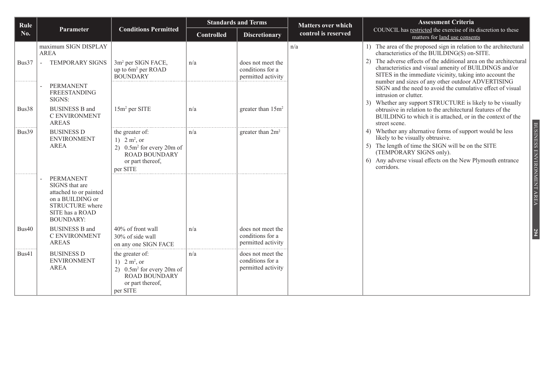| Rule  |                                                                                                                                            |                                                                                                                            | <b>Standards and Terms</b> |                                                             | <b>Matters over which</b> | <b>Assessment Criteria</b>                                                                                                                                                                                                                                                                                                                         |
|-------|--------------------------------------------------------------------------------------------------------------------------------------------|----------------------------------------------------------------------------------------------------------------------------|----------------------------|-------------------------------------------------------------|---------------------------|----------------------------------------------------------------------------------------------------------------------------------------------------------------------------------------------------------------------------------------------------------------------------------------------------------------------------------------------------|
| No.   | Parameter                                                                                                                                  | <b>Conditions Permitted</b>                                                                                                | <b>Controlled</b>          | <b>Discretionary</b>                                        | control is reserved       | COUNCIL has restricted the exercise of its discretion to these<br>matters for land use consents                                                                                                                                                                                                                                                    |
| Bus37 | maximum SIGN DISPLAY<br>AREA<br><b>TEMPORARY SIGNS</b>                                                                                     | 3m <sup>2</sup> per SIGN FACE,<br>up to 6m <sup>2</sup> per ROAD<br><b>BOUNDARY</b>                                        | n/a                        | does not meet the<br>conditions for a<br>permitted activity | n/a                       | 1) The area of the proposed sign in relation to the architectural<br>characteristics of the BUILDING(S) on-SITE.<br>The adverse effects of the additional area on the architectural<br>characteristics and visual amenity of BUILDINGS and/or<br>SITES in the immediate vicinity, taking into account the                                          |
| Bus38 | <b>PERMANENT</b><br><b>FREESTANDING</b><br>SIGNS:<br><b>BUSINESS B and</b><br>C ENVIRONMENT<br><b>AREAS</b>                                | 15m <sup>2</sup> per SITE                                                                                                  | n/a                        | greater than 15m <sup>2</sup>                               |                           | number and sizes of any other outdoor ADVERTISING<br>SIGN and the need to avoid the cumulative effect of visual<br>intrusion or clutter.<br>3) Whether any support STRUCTURE is likely to be visually<br>obtrusive in relation to the architectural features of the<br>BUILDING to which it is attached, or in the context of the<br>street scene. |
| Bus39 | <b>BUSINESS D</b><br><b>ENVIRONMENT</b><br><b>AREA</b>                                                                                     | the greater of:<br>1) $2 m^2$ , or<br>2) $0.5m^2$ for every 20m of<br><b>ROAD BOUNDARY</b><br>or part thereof,<br>per SITE | n/a                        | greater than 2m <sup>2</sup>                                |                           | BUSINESS ENVIRONMENT AREA<br>4) Whether any alternative forms of support would be less<br>likely to be visually obtrusive.<br>5) The length of time the SIGN will be on the SITE<br>(TEMPORARY SIGNS only).<br>6) Any adverse visual effects on the New Plymouth entrance<br>corridors.                                                            |
|       | <b>PERMANENT</b><br>SIGNS that are<br>attached to or painted<br>on a BUILDING or<br>STRUCTURE where<br>SITE has a ROAD<br><b>BOUNDARY:</b> |                                                                                                                            |                            |                                                             |                           |                                                                                                                                                                                                                                                                                                                                                    |
| Bus40 | <b>BUSINESS B and</b><br>C ENVIRONMENT<br><b>AREAS</b>                                                                                     | 40% of front wall<br>30% of side wall<br>on any one SIGN FACE                                                              | n/a                        | does not meet the<br>conditions for a<br>permitted activity |                           | 294                                                                                                                                                                                                                                                                                                                                                |
| Bus41 | <b>BUSINESS D</b><br><b>ENVIRONMENT</b><br><b>AREA</b>                                                                                     | the greater of:<br>1) $2 m^2$ , or<br>2) $0.5m^2$ for every 20m of<br><b>ROAD BOUNDARY</b><br>or part thereof,<br>per SITE | n/a                        | does not meet the<br>conditions for a<br>permitted activity |                           |                                                                                                                                                                                                                                                                                                                                                    |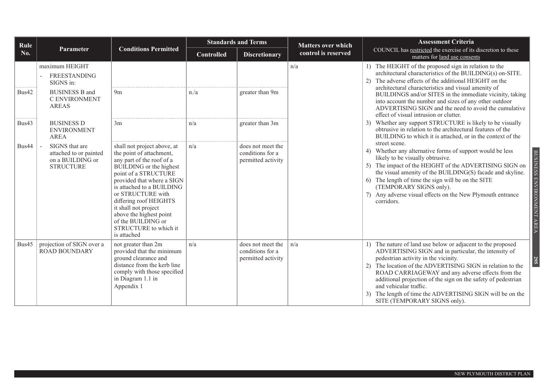| Rule  |                                                                                                       |                                                                                                                                                                                                                                                                                                                                                                    | <b>Standards and Terms</b> |                                                             | <b>Matters over which</b> | <b>Assessment Criteria</b>                                                                                                                                                                                                                                                                                                                                                                                                                                                     |
|-------|-------------------------------------------------------------------------------------------------------|--------------------------------------------------------------------------------------------------------------------------------------------------------------------------------------------------------------------------------------------------------------------------------------------------------------------------------------------------------------------|----------------------------|-------------------------------------------------------------|---------------------------|--------------------------------------------------------------------------------------------------------------------------------------------------------------------------------------------------------------------------------------------------------------------------------------------------------------------------------------------------------------------------------------------------------------------------------------------------------------------------------|
| No.   | Parameter                                                                                             | <b>Conditions Permitted</b>                                                                                                                                                                                                                                                                                                                                        | <b>Controlled</b>          | <b>Discretionary</b>                                        | control is reserved       | COUNCIL has restricted the exercise of its discretion to these<br>matters for land use consents                                                                                                                                                                                                                                                                                                                                                                                |
| Bus42 | maximum HEIGHT<br>FREESTANDING<br>SIGNS in:<br><b>BUSINESS B and</b><br>C ENVIRONMENT<br><b>AREAS</b> | 9 <sub>m</sub>                                                                                                                                                                                                                                                                                                                                                     | n/a                        | greater than 9m                                             | n/a                       | 1) The HEIGHT of the proposed sign in relation to the<br>architectural characteristics of the BUILDING(s) on-SITE.<br>The adverse effects of the additional HEIGHT on the<br>architectural characteristics and visual amenity of<br>BUILDINGS and/or SITES in the immediate vicinity, taking<br>into account the number and sizes of any other outdoor<br>ADVERTISING SIGN and the need to avoid the cumulative<br>effect of visual intrusion or clutter.                      |
| Bus43 | <b>BUSINESS D</b><br><b>ENVIRONMENT</b><br>AREA                                                       | 3m                                                                                                                                                                                                                                                                                                                                                                 | n/a                        | greater than 3m                                             |                           | Whether any support STRUCTURE is likely to be visually<br>3 <sup>)</sup><br>obtrusive in relation to the architectural features of the<br>BUILDING to which it is attached, or in the context of the                                                                                                                                                                                                                                                                           |
| Bus44 | SIGNS that are<br>attached to or painted<br>on a BUILDING or<br><b>STRUCTURE</b>                      | shall not project above, at<br>the point of attachment,<br>any part of the roof of a<br>BUILDING or the highest<br>point of a STRUCTURE<br>provided that where a SIGN<br>is attached to a BUILDING<br>or STRUCTURE with<br>differing roof HEIGHTS<br>it shall not project<br>above the highest point<br>of the BUILDING or<br>STRUCTURE to which it<br>is attached | n/a                        | does not meet the<br>conditions for a<br>permitted activity |                           | street scene.<br>4) Whether any alternative forms of support would be less<br><b>BUSINESS</b><br>likely to be visually obtrusive.<br>5) The impact of the HEIGHT of the ADVERTISING SIGN on<br>the visual amenity of the BUILDING(S) facade and skyline.<br>ENVIRONMENT AREA<br>6) The length of time the sign will be on the SITE<br>(TEMPORARY SIGNS only).<br>7) Any adverse visual effects on the New Plymouth entrance<br>corridors.                                      |
| Bus45 | projection of SIGN over a<br>ROAD BOUNDARY                                                            | not greater than 2m<br>provided that the minimum<br>ground clearance and<br>distance from the kerb line<br>comply with those specified<br>in Diagram 1.1 in<br>Appendix 1                                                                                                                                                                                          | n/a                        | does not meet the<br>conditions for a<br>permitted activity | n/a                       | 1) The nature of land use below or adjacent to the proposed<br>ADVERTISING SIGN and in particular, the intensity of<br>pedestrian activity in the vicinity.<br><b>295</b><br>The location of the ADVERTISING SIGN in relation to the<br>ROAD CARRIAGEWAY and any adverse effects from the<br>additional projection of the sign on the safety of pedestrian<br>and vehicular traffic.<br>The length of time the ADVERTISING SIGN will be on the<br>SITE (TEMPORARY SIGNS only). |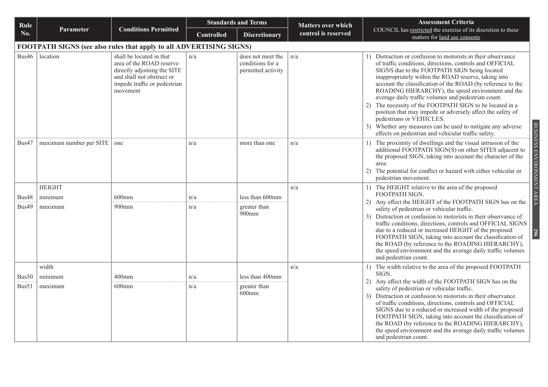| Rule  |                                                                     |                                                                                                                                                              | <b>Standards and Terms</b> |                                                             | <b>Matters over which</b> | <b>Assessment Criteria</b>                                                                                                                                                                                                                                                                                                                                                                                                                                                                                                                                                                                                                                                              |
|-------|---------------------------------------------------------------------|--------------------------------------------------------------------------------------------------------------------------------------------------------------|----------------------------|-------------------------------------------------------------|---------------------------|-----------------------------------------------------------------------------------------------------------------------------------------------------------------------------------------------------------------------------------------------------------------------------------------------------------------------------------------------------------------------------------------------------------------------------------------------------------------------------------------------------------------------------------------------------------------------------------------------------------------------------------------------------------------------------------------|
| No.   | Parameter                                                           | <b>Conditions Permitted</b>                                                                                                                                  | <b>Controlled</b>          | <b>Discretionary</b>                                        | control is reserved       | COUNCIL has restricted the exercise of its discretion to these<br>matters for land use consents                                                                                                                                                                                                                                                                                                                                                                                                                                                                                                                                                                                         |
|       | FOOTPATH SIGNS (see also rules that apply to all ADVERTISING SIGNS) |                                                                                                                                                              |                            |                                                             |                           |                                                                                                                                                                                                                                                                                                                                                                                                                                                                                                                                                                                                                                                                                         |
| Bus46 | location                                                            | shall be located in that<br>area of the ROAD reserve<br>directly adjoining the SITE<br>and shall not obstruct or<br>impede traffic or pedestrian<br>movement | n/a                        | does not meet the<br>conditions for a<br>permitted activity | n/a                       | 1) Distraction or confusion to motorists in their observance<br>of traffic conditions, directions, controls and OFFICIAL<br>SIGNS due to the FOOTPATH SIGN being located<br>inappropriately within the ROAD reserve, taking into<br>account the classification of the ROAD (by reference to the<br>ROADING HIERARCHY), the speed environment and the<br>average daily traffic volumes and pedestrian count.<br>2) The necessity of the FOOTPATH SIGN to be located in a<br>position that may impede or adversely affect the safety of<br>pedestrians or VEHICLES.<br>3) Whether any measures can be used to mitigate any adverse<br>effects on pedestrian and vehicular traffic safety. |
| Bus47 | $maximum$ number per SITE $\vert$ one                               |                                                                                                                                                              | n/a                        | more than one                                               | n/a                       | 1) The proximity of dwellings and the visual intrusion of the<br>additional FOOTPATH SIGN(S) on other SITES adjacent to<br>the proposed SIGN, taking into account the character of the<br>area.<br>The potential for conflict or hazard with either vehicular or<br>2)<br>pedestrian movement.                                                                                                                                                                                                                                                                                                                                                                                          |
|       | <b>HEIGHT</b>                                                       |                                                                                                                                                              |                            |                                                             | n/a                       | 1) The HEIGHT relative to the area of the proposed                                                                                                                                                                                                                                                                                                                                                                                                                                                                                                                                                                                                                                      |
| Bus48 | minimum                                                             | $600$ mm                                                                                                                                                     | n/a                        | less than 600mm                                             |                           | FOOTPATH SIGN.<br>2) Any effect the HEIGHT of the FOOTPATH SIGN has on the                                                                                                                                                                                                                                                                                                                                                                                                                                                                                                                                                                                                              |
| Bus49 | maximum                                                             | $900$ mm                                                                                                                                                     | n/a                        | greater than<br>900 <sub>mm</sub>                           |                           | safety of pedestrian or vehicular traffic.<br>Distraction or confusion to motorists in their observance of<br>3)<br>traffic conditions, directions, controls and OFFICIAL SIGNS<br>due to a reduced or increased HEIGHT of the proposed<br>FOOTPATH SIGN, taking into account the classification of<br>the ROAD (by reference to the ROADING HIERARCHY),<br>the speed environment and the average daily traffic volumes<br>and pedestrian count.                                                                                                                                                                                                                                        |
|       | width                                                               |                                                                                                                                                              |                            |                                                             | n/a                       | 1) The width relative to the area of the proposed FOOTPATH                                                                                                                                                                                                                                                                                                                                                                                                                                                                                                                                                                                                                              |
| Bus50 | minimum                                                             | $400$ mm                                                                                                                                                     | n/a                        | less than 400mm                                             |                           | SIGN.<br>2) Any effect the width of the FOOTPATH SIGN has on the                                                                                                                                                                                                                                                                                                                                                                                                                                                                                                                                                                                                                        |
| Bus51 | maximum                                                             | $600$ mm                                                                                                                                                     | n/a                        | greater than<br>$600$ mm                                    |                           | safety of pedestrian or vehicular traffic.<br>Distraction or confusion to motorists in their observance<br>3)<br>of traffic conditions, directions, controls and OFFICIAL<br>SIGNS due to a reduced or increased width of the proposed<br>FOOTPATH SIGN, taking into account the classification of<br>the ROAD (by reference to the ROADING HIERARCHY),<br>the speed environment and the average daily traffic volumes<br>and pedestrian count.                                                                                                                                                                                                                                         |

BUSINESS ENVIRONMENT AREA BUSINESS ENVIRONMENT AREA **296**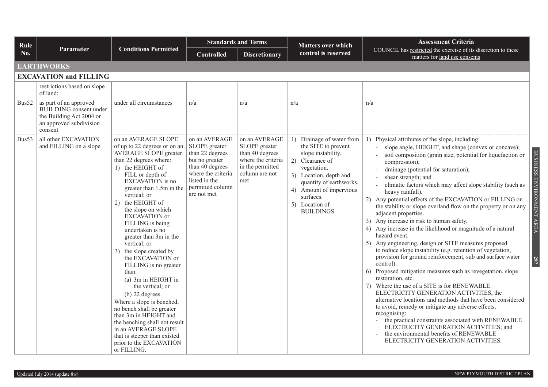| Rule  |                                                                                                                           |                                                                                                                                                                                                                                                                                                                                                                                                                                                                                                                                                                                                                                                                                                                                                  | <b>Standards and Terms</b>                                                                                                                                       |                                                                                                                      | <b>Matters over which</b>                                                                                                                                                                                                                    | <b>Assessment Criteria</b>                                                                                                                                                                                                                                                                                                                                                                                                                                                                                                                                                                                                                                                                                                                                                                                                                                                                                                                                                                                                                                                                                                                                                                                                                                                                                                                                                                             |
|-------|---------------------------------------------------------------------------------------------------------------------------|--------------------------------------------------------------------------------------------------------------------------------------------------------------------------------------------------------------------------------------------------------------------------------------------------------------------------------------------------------------------------------------------------------------------------------------------------------------------------------------------------------------------------------------------------------------------------------------------------------------------------------------------------------------------------------------------------------------------------------------------------|------------------------------------------------------------------------------------------------------------------------------------------------------------------|----------------------------------------------------------------------------------------------------------------------|----------------------------------------------------------------------------------------------------------------------------------------------------------------------------------------------------------------------------------------------|--------------------------------------------------------------------------------------------------------------------------------------------------------------------------------------------------------------------------------------------------------------------------------------------------------------------------------------------------------------------------------------------------------------------------------------------------------------------------------------------------------------------------------------------------------------------------------------------------------------------------------------------------------------------------------------------------------------------------------------------------------------------------------------------------------------------------------------------------------------------------------------------------------------------------------------------------------------------------------------------------------------------------------------------------------------------------------------------------------------------------------------------------------------------------------------------------------------------------------------------------------------------------------------------------------------------------------------------------------------------------------------------------------|
| No.   | <b>Parameter</b>                                                                                                          | <b>Conditions Permitted</b>                                                                                                                                                                                                                                                                                                                                                                                                                                                                                                                                                                                                                                                                                                                      | <b>Controlled</b>                                                                                                                                                | <b>Discretionary</b>                                                                                                 | control is reserved                                                                                                                                                                                                                          | COUNCIL has restricted the exercise of its discretion to these<br>matters for land use consents                                                                                                                                                                                                                                                                                                                                                                                                                                                                                                                                                                                                                                                                                                                                                                                                                                                                                                                                                                                                                                                                                                                                                                                                                                                                                                        |
|       | <b>EARTHWORKS</b>                                                                                                         |                                                                                                                                                                                                                                                                                                                                                                                                                                                                                                                                                                                                                                                                                                                                                  |                                                                                                                                                                  |                                                                                                                      |                                                                                                                                                                                                                                              |                                                                                                                                                                                                                                                                                                                                                                                                                                                                                                                                                                                                                                                                                                                                                                                                                                                                                                                                                                                                                                                                                                                                                                                                                                                                                                                                                                                                        |
|       | <b>EXCAVATION and FILLING</b>                                                                                             |                                                                                                                                                                                                                                                                                                                                                                                                                                                                                                                                                                                                                                                                                                                                                  |                                                                                                                                                                  |                                                                                                                      |                                                                                                                                                                                                                                              |                                                                                                                                                                                                                                                                                                                                                                                                                                                                                                                                                                                                                                                                                                                                                                                                                                                                                                                                                                                                                                                                                                                                                                                                                                                                                                                                                                                                        |
|       | restrictions based on slope<br>of land:                                                                                   |                                                                                                                                                                                                                                                                                                                                                                                                                                                                                                                                                                                                                                                                                                                                                  |                                                                                                                                                                  |                                                                                                                      |                                                                                                                                                                                                                                              |                                                                                                                                                                                                                                                                                                                                                                                                                                                                                                                                                                                                                                                                                                                                                                                                                                                                                                                                                                                                                                                                                                                                                                                                                                                                                                                                                                                                        |
| Bus52 | as part of an approved<br><b>BUILDING</b> consent under<br>the Building Act 2004 or<br>an approved subdivision<br>consent | under all circumstances                                                                                                                                                                                                                                                                                                                                                                                                                                                                                                                                                                                                                                                                                                                          | n/a                                                                                                                                                              | n/a                                                                                                                  | n/a                                                                                                                                                                                                                                          | n/a                                                                                                                                                                                                                                                                                                                                                                                                                                                                                                                                                                                                                                                                                                                                                                                                                                                                                                                                                                                                                                                                                                                                                                                                                                                                                                                                                                                                    |
| Bus53 | all other EXCAVATION<br>and FILLING on a slope                                                                            | on an AVERAGE SLOPE<br>of up to 22 degrees or on an<br><b>AVERAGE SLOPE greater</b><br>than 22 degrees where:<br>1) the HEIGHT of<br>FILL or depth of<br>EXCAVATION is no<br>greater than 1.5m in the<br>vertical; or<br>2) the HEIGHT of<br>the slope on which<br><b>EXCAVATION</b> or<br>FILLING is being<br>undertaken is no<br>greater than 3m in the<br>vertical; or<br>3) the slope created by<br>the EXCAVATION or<br>FILLING is no greater<br>than:<br>(a) 3m in HEIGHT in<br>the vertical; or<br>$(b)$ 22 degrees.<br>Where a slope is benched,<br>no bench shall be greater<br>than 3m in HEIGHT and<br>the benching shall not result<br>in an AVERAGE SLOPE<br>that is steeper than existed<br>prior to the EXCAVATION<br>or FILLING. | on an AVERAGE<br>SLOPE greater<br>than 22 degrees<br>but no greater<br>than 40 degrees<br>where the criteria<br>listed in the<br>permitted column<br>are not met | on an AVERAGE<br>SLOPE greater<br>than 40 degrees<br>where the criteria<br>in the permitted<br>column are not<br>met | 1) Drainage of water from<br>the SITE to prevent<br>slope instability.<br>2) Clearance of<br>vegetation.<br>3) Location, depth and<br>quantity of earthworks.<br>4) Amount of impervious<br>surfaces.<br>5) Location of<br><b>BUILDINGS.</b> | 1) Physical attributes of the slope, including:<br>slope angle, HEIGHT, and shape (convex or concave);<br><b>BUSINESS</b><br>soil composition (grain size, potential for liquefaction or<br>compression);<br>drainage (potential for saturation);<br>shear strength; and<br>ENVIRONMENT AREA<br>climatic factors which may affect slope stability (such as<br>heavy rainfall).<br>2) Any potential effects of the EXCAVATION or FILLING on<br>the stability or slope overland flow on the property or on any<br>adjacent properties.<br>3) Any increase in risk to human safety.<br>4) Any increase in the likelihood or magnitude of a natural<br>hazard event.<br>5) Any engineering, design or SITE measures proposed<br>to reduce slope instability (e.g. retention of vegetation,<br>provision for ground reinforcement, sub and surface water<br>297<br>control).<br>6) Proposed mitigation measures such as revegetation, slope<br>restoration, etc.<br>7) Where the use of a SITE is for RENEWABLE<br>ELECTRICITY GENERATION ACTIVITIES, the<br>alternative locations and methods that have been considered<br>to avoid, remedy or mitigate any adverse effects,<br>recognising:<br>the practical constraints associated with RENEWABLE<br>$\overline{\phantom{a}}$<br>ELECTRICITY GENERATION ACTIVITIES; and<br>the environmental benefits of RENEWABLE<br>ELECTRICITY GENERATION ACTIVITIES. |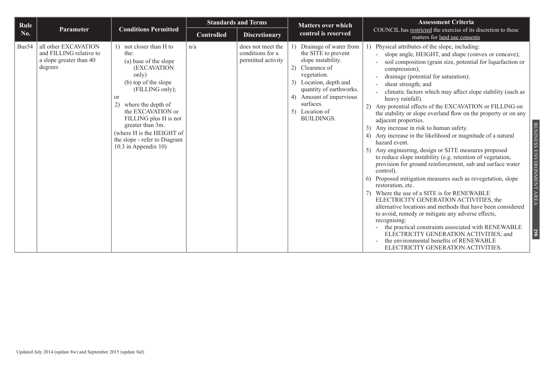| Rule  | <b>Standards and Terms</b>                                                            |                                                                                                                                                                                                                                                                                                                                 |                   |                                                             | <b>Matters over which</b>                                                                                                                                                                                                                       | <b>Assessment Criteria</b>                                                                                                                                                                                                                                                                                                                                                                                                                                                                                                                                                                                                                                                                                                                                                                                                                                                                                                                                                                                                                                                                                                                                                                                                                                                                                                     |
|-------|---------------------------------------------------------------------------------------|---------------------------------------------------------------------------------------------------------------------------------------------------------------------------------------------------------------------------------------------------------------------------------------------------------------------------------|-------------------|-------------------------------------------------------------|-------------------------------------------------------------------------------------------------------------------------------------------------------------------------------------------------------------------------------------------------|--------------------------------------------------------------------------------------------------------------------------------------------------------------------------------------------------------------------------------------------------------------------------------------------------------------------------------------------------------------------------------------------------------------------------------------------------------------------------------------------------------------------------------------------------------------------------------------------------------------------------------------------------------------------------------------------------------------------------------------------------------------------------------------------------------------------------------------------------------------------------------------------------------------------------------------------------------------------------------------------------------------------------------------------------------------------------------------------------------------------------------------------------------------------------------------------------------------------------------------------------------------------------------------------------------------------------------|
| No.   | <b>Parameter</b>                                                                      | <b>Conditions Permitted</b>                                                                                                                                                                                                                                                                                                     | <b>Controlled</b> | <b>Discretionary</b>                                        | control is reserved                                                                                                                                                                                                                             | COUNCIL has restricted the exercise of its discretion to these<br>matters for land use consents                                                                                                                                                                                                                                                                                                                                                                                                                                                                                                                                                                                                                                                                                                                                                                                                                                                                                                                                                                                                                                                                                                                                                                                                                                |
| Bus54 | all other EXCAVATION<br>and FILLING relative to<br>a slope greater than 40<br>degrees | 1) not closer than H to<br>the:<br>(a) base of the slope<br>(EXCAVATION<br>only)<br>(b) top of the slope<br>(FILLING only);<br><sub>or</sub><br>where the depth of<br>2)<br>the EXCAVATION or<br>FILLING plus H is not<br>greater than 3m.<br>(where H is the HEIGHT of<br>the slope - refer to Diagram<br>10.3 in Appendix 10) | n/a               | does not meet the<br>conditions for a<br>permitted activity | 1) Drainage of water from<br>the SITE to prevent<br>slope instability.<br>2) Clearance of<br>vegetation.<br>3) Location, depth and<br>quantity of earthworks.<br>4) Amount of impervious<br>surfaces.<br>5)<br>Location of<br><b>BUILDINGS.</b> | 1) Physical attributes of the slope, including:<br>slope angle, HEIGHT, and shape (convex or concave);<br>soil composition (grain size, potential for liquefaction or<br>compression);<br>drainage (potential for saturation);<br>shear strength; and<br>climatic factors which may affect slope stability (such as<br>heavy rainfall).<br>2) Any potential effects of the EXCAVATION or FILLING on<br>the stability or slope overland flow on the property or on any<br>adjacent properties.<br>3) Any increase in risk to human safety.<br>4) Any increase in the likelihood or magnitude of a natural<br>hazard event.<br>5) Any engineering, design or SITE measures proposed<br>to reduce slope instability (e.g. retention of vegetation,<br>provision for ground reinforcement, sub and surface water<br>control).<br>6) Proposed mitigation measures such as revegetation, slope<br>restoration, etc.<br>7) Where the use of a SITE is for RENEWABLE<br>ELECTRICITY GENERATION ACTIVITIES, the<br>alternative locations and methods that have been considered<br>to avoid, remedy or mitigate any adverse effects,<br>recognising:<br>- the practical constraints associated with RENEWABLE<br>ELECTRICITY GENERATION ACTIVITIES; and<br>the environmental benefits of RENEWABLE<br>ELECTRICITY GENERATION ACTIVITIES. |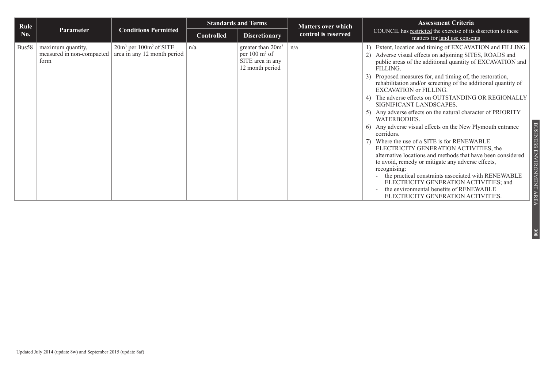| Rule  |                                                          |                                                           |                   | <b>Standards and Terms</b>                                                             | <b>Matters over which</b> | <b>Assessment Criteria</b>                                                                                                                                                                                                                                                                                                                                                                                                                                                                                                                                                                                                                                                                                                                                                                                                                                                                                                                                                                                            |
|-------|----------------------------------------------------------|-----------------------------------------------------------|-------------------|----------------------------------------------------------------------------------------|---------------------------|-----------------------------------------------------------------------------------------------------------------------------------------------------------------------------------------------------------------------------------------------------------------------------------------------------------------------------------------------------------------------------------------------------------------------------------------------------------------------------------------------------------------------------------------------------------------------------------------------------------------------------------------------------------------------------------------------------------------------------------------------------------------------------------------------------------------------------------------------------------------------------------------------------------------------------------------------------------------------------------------------------------------------|
| No.   | <b>Parameter</b>                                         | <b>Conditions Permitted</b>                               | <b>Controlled</b> | <b>Discretionary</b>                                                                   | control is reserved       | COUNCIL has restricted the exercise of its discretion to these<br>matters for land use consents                                                                                                                                                                                                                                                                                                                                                                                                                                                                                                                                                                                                                                                                                                                                                                                                                                                                                                                       |
| Bus58 | maximum quantity,<br>measured in non-compacted  <br>form | $20m3$ per $100m2$ of SITE<br>area in any 12 month period | n/a               | greater than $20m3$<br>per $100 \text{ m}^2$ of<br>SITE area in any<br>12 month period | n/a                       | Extent, location and timing of EXCAVATION and FILLING.<br>2) Adverse visual effects on adjoining SITES, ROADS and<br>public areas of the additional quantity of EXCAVATION and<br>FILLING.<br>3) Proposed measures for, and timing of, the restoration,<br>rehabilitation and/or screening of the additional quantity of<br><b>EXCAVATION or FILLING.</b><br>4) The adverse effects on OUTSTANDING OR REGIONALLY<br>SIGNIFICANT LANDSCAPES.<br>5) Any adverse effects on the natural character of PRIORITY<br>WATERBODIES.<br>6) Any adverse visual effects on the New Plymouth entrance<br>corridors.<br>7) Where the use of a SITE is for RENEWABLE<br>ELECTRICITY GENERATION ACTIVITIES, the<br>alternative locations and methods that have been considered<br>to avoid, remedy or mitigate any adverse effects,<br>recognising:<br>the practical constraints associated with RENEWABLE<br>ELECTRICITY GENERATION ACTIVITIES; and<br>the environmental benefits of RENEWABLE<br>ELECTRICITY GENERATION ACTIVITIES. |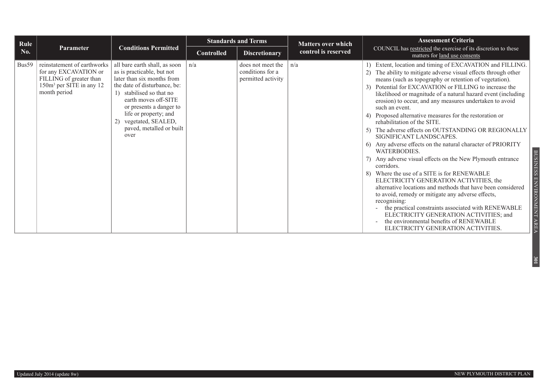| Rule  |                                                                                                                                         |                                                                                                                                                                                                                                                                                                   | <b>Standards and Terms</b> |                                                             | <b>Matters over which</b> | <b>Assessment Criteria</b>                                                                                                                                                                                                                                                                                                                                                                                                                                                                                                                                                                                                                                                                                                                                                                                                                                                                                                                                                                                                                                                                                                                           |
|-------|-----------------------------------------------------------------------------------------------------------------------------------------|---------------------------------------------------------------------------------------------------------------------------------------------------------------------------------------------------------------------------------------------------------------------------------------------------|----------------------------|-------------------------------------------------------------|---------------------------|------------------------------------------------------------------------------------------------------------------------------------------------------------------------------------------------------------------------------------------------------------------------------------------------------------------------------------------------------------------------------------------------------------------------------------------------------------------------------------------------------------------------------------------------------------------------------------------------------------------------------------------------------------------------------------------------------------------------------------------------------------------------------------------------------------------------------------------------------------------------------------------------------------------------------------------------------------------------------------------------------------------------------------------------------------------------------------------------------------------------------------------------------|
| No.   | Parameter                                                                                                                               | <b>Conditions Permitted</b>                                                                                                                                                                                                                                                                       | <b>Controlled</b>          | <b>Discretionary</b>                                        | control is reserved       | COUNCIL has restricted the exercise of its discretion to these<br>matters for land use consents                                                                                                                                                                                                                                                                                                                                                                                                                                                                                                                                                                                                                                                                                                                                                                                                                                                                                                                                                                                                                                                      |
| Bus59 | reinstatement of earthworks<br>for any EXCAVATION or<br>FILLING of greater than<br>150m <sup>3</sup> per SITE in any 12<br>month period | all bare earth shall, as soon<br>as is practicable, but not<br>later than six months from<br>the date of disturbance, be:<br>1) stabilised so that no<br>earth moves off-SITE<br>or presents a danger to<br>life or property; and<br>vegetated, SEALED,<br>2)<br>paved, metalled or built<br>over | n/a                        | does not meet the<br>conditions for a<br>permitted activity | n/a                       | Extent, location and timing of EXCAVATION and FILLING.<br>The ability to mitigate adverse visual effects through other<br>(2)<br>means (such as topography or retention of vegetation).<br>3) Potential for EXCAVATION or FILLING to increase the<br>likelihood or magnitude of a natural hazard event (including<br>erosion) to occur, and any measures undertaken to avoid<br>such an event.<br>4) Proposed alternative measures for the restoration or<br>rehabilitation of the SITE.<br>5) The adverse effects on OUTSTANDING OR REGIONALLY<br>SIGNIFICANT LANDSCAPES.<br>6) Any adverse effects on the natural character of PRIORITY<br>WATERBODIES.<br>7) Any adverse visual effects on the New Plymouth entrance<br>corridors.<br>8) Where the use of a SITE is for RENEWABLE<br>ELECTRICITY GENERATION ACTIVITIES, the<br>alternative locations and methods that have been considered<br>to avoid, remedy or mitigate any adverse effects,<br>recognising:<br>the practical constraints associated with RENEWABLE<br>ELECTRICITY GENERATION ACTIVITIES; and<br>the environmental benefits of RENEWABLE<br>ELECTRICITY GENERATION ACTIVITIES. |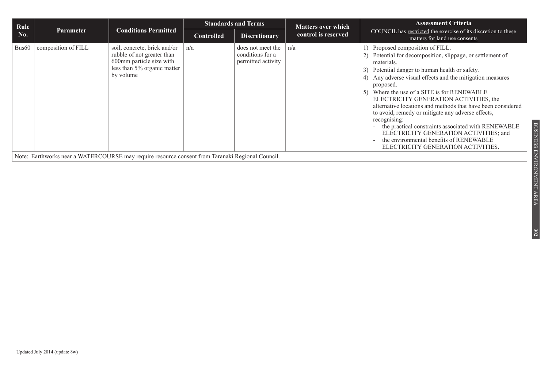| Rule              |                     |                                                                                                                                    |                   | <b>Standards and Terms</b>                                  | <b>Matters over which</b> | <b>Assessment Criteria</b>                                                                                                                                                                                                                                                                                                                                                                                                                                                                                                                                                                                                                                |
|-------------------|---------------------|------------------------------------------------------------------------------------------------------------------------------------|-------------------|-------------------------------------------------------------|---------------------------|-----------------------------------------------------------------------------------------------------------------------------------------------------------------------------------------------------------------------------------------------------------------------------------------------------------------------------------------------------------------------------------------------------------------------------------------------------------------------------------------------------------------------------------------------------------------------------------------------------------------------------------------------------------|
| No.               | <b>Parameter</b>    | <b>Conditions Permitted</b>                                                                                                        | <b>Controlled</b> | <b>Discretionary</b>                                        | control is reserved       | COUNCIL has restricted the exercise of its discretion to these<br>matters for land use consents                                                                                                                                                                                                                                                                                                                                                                                                                                                                                                                                                           |
| Bus <sub>60</sub> | composition of FILL | soil, concrete, brick and/or<br>rubble of not greater than<br>600mm particle size with<br>less than 5% organic matter<br>by volume | n/a               | does not meet the<br>conditions for a<br>permitted activity | n/a                       | 1) Proposed composition of FILL.<br>Potential for decomposition, slippage, or settlement of<br>materials.<br>3) Potential danger to human health or safety.<br>4) Any adverse visual effects and the mitigation measures<br>proposed.<br>Where the use of a SITE is for RENEWABLE<br>5)<br>ELECTRICITY GENERATION ACTIVITIES, the<br>alternative locations and methods that have been considered<br>to avoid, remedy or mitigate any adverse effects,<br>recognising:<br>- the practical constraints associated with RENEWABLE<br>ELECTRICITY GENERATION ACTIVITIES; and<br>the environmental benefits of RENEWABLE<br>ELECTRICITY GENERATION ACTIVITIES. |
|                   |                     | Note: Earthworks near a WATERCOURSE may require resource consent from Taranaki Regional Council.                                   |                   |                                                             |                           |                                                                                                                                                                                                                                                                                                                                                                                                                                                                                                                                                                                                                                                           |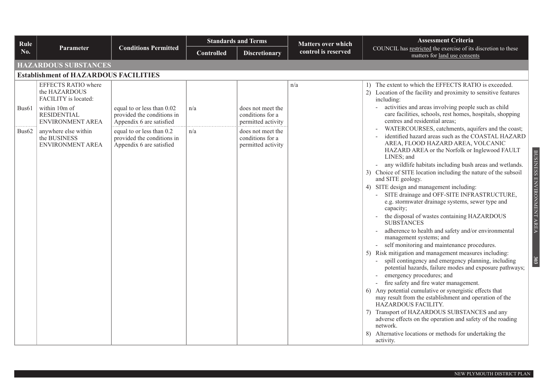| Rule              |                                                                                                                         |                                                                                      | <b>Standards and Terms</b> |                                                             | <b>Matters over which</b> | <b>Assessment Criteria</b>                                                                                                                                                                                                                                                                                                                                                                                                                                                                                                                                                                                                                                                                                                                                                                                                                                                                                                                                                                                                                                                                                                                                                                                                                                                                                                                                         |  |  |  |  |  |
|-------------------|-------------------------------------------------------------------------------------------------------------------------|--------------------------------------------------------------------------------------|----------------------------|-------------------------------------------------------------|---------------------------|--------------------------------------------------------------------------------------------------------------------------------------------------------------------------------------------------------------------------------------------------------------------------------------------------------------------------------------------------------------------------------------------------------------------------------------------------------------------------------------------------------------------------------------------------------------------------------------------------------------------------------------------------------------------------------------------------------------------------------------------------------------------------------------------------------------------------------------------------------------------------------------------------------------------------------------------------------------------------------------------------------------------------------------------------------------------------------------------------------------------------------------------------------------------------------------------------------------------------------------------------------------------------------------------------------------------------------------------------------------------|--|--|--|--|--|
| No.               | <b>Parameter</b>                                                                                                        | <b>Conditions Permitted</b>                                                          | <b>Controlled</b>          | <b>Discretionary</b>                                        | control is reserved       | COUNCIL has restricted the exercise of its discretion to these<br>matters for land use consents                                                                                                                                                                                                                                                                                                                                                                                                                                                                                                                                                                                                                                                                                                                                                                                                                                                                                                                                                                                                                                                                                                                                                                                                                                                                    |  |  |  |  |  |
|                   | <b>HAZARDOUS SUBSTANCES</b>                                                                                             |                                                                                      |                            |                                                             |                           |                                                                                                                                                                                                                                                                                                                                                                                                                                                                                                                                                                                                                                                                                                                                                                                                                                                                                                                                                                                                                                                                                                                                                                                                                                                                                                                                                                    |  |  |  |  |  |
|                   | <b>Establishment of HAZARDOUS FACILITIES</b>                                                                            |                                                                                      |                            |                                                             |                           |                                                                                                                                                                                                                                                                                                                                                                                                                                                                                                                                                                                                                                                                                                                                                                                                                                                                                                                                                                                                                                                                                                                                                                                                                                                                                                                                                                    |  |  |  |  |  |
| Bus <sub>61</sub> | EFFECTS RATIO where<br>the HAZARDOUS<br>FACILITY is located:<br>within 10m of<br><b>RESIDENTIAL</b><br>ENVIRONMENT AREA | equal to or less than 0.02<br>provided the conditions in<br>Appendix 6 are satisfied | n/a                        | does not meet the<br>conditions for a<br>permitted activity | n/a                       | 1) The extent to which the EFFECTS RATIO is exceeded.<br>2) Location of the facility and proximity to sensitive features<br>including:<br>activities and areas involving people such as child<br>care facilities, schools, rest homes, hospitals, shopping<br>centres and residential areas;                                                                                                                                                                                                                                                                                                                                                                                                                                                                                                                                                                                                                                                                                                                                                                                                                                                                                                                                                                                                                                                                       |  |  |  |  |  |
| Bus <sub>62</sub> | anywhere else within<br>the BUSINESS<br>ENVIRONMENT AREA                                                                | equal to or less than 0.2<br>provided the conditions in<br>Appendix 6 are satisfied  | n/a                        | does not meet the<br>conditions for a<br>permitted activity |                           | WATERCOURSES, catchments, aquifers and the coast;<br>identified hazard areas such as the COASTAL HAZARD<br>AREA, FLOOD HAZARD AREA, VOLCANIC<br>HAZARD AREA or the Norfolk or Inglewood FAULT<br>BUSINESS ENVIRONMENT AREA<br>LINES; and<br>any wildlife habitats including bush areas and wetlands.<br>3) Choice of SITE location including the nature of the subsoil<br>and SITE geology.<br>4) SITE design and management including:<br>SITE drainage and OFF-SITE INFRASTRUCTURE,<br>e.g. stormwater drainage systems, sewer type and<br>capacity;<br>the disposal of wastes containing HAZARDOUS<br><b>SUBSTANCES</b><br>adherence to health and safety and/or environmental<br>management systems; and<br>self monitoring and maintenance procedures.<br>5) Risk mitigation and management measures including:<br>303<br>spill contingency and emergency planning, including<br>potential hazards, failure modes and exposure pathways;<br>emergency procedures; and<br>fire safety and fire water management.<br>6) Any potential cumulative or synergistic effects that<br>may result from the establishment and operation of the<br>HAZARDOUS FACILITY.<br>7) Transport of HAZARDOUS SUBSTANCES and any<br>adverse effects on the operation and safety of the roading<br>network.<br>8) Alternative locations or methods for undertaking the<br>activity. |  |  |  |  |  |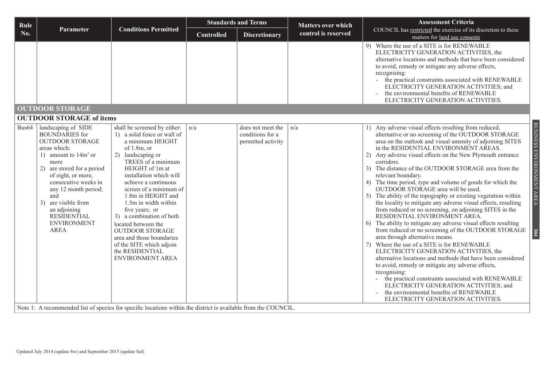| Rule              |                                                                                                                                                                                                                                                                                                                                          |                                                                                                                                                                                                                                                                                                                                                                                                                                                                                                                                                                                                                     |                   | <b>Standards and Terms</b>                                  |                                                  | <b>Assessment Criteria</b>                                                                                                                                                                                                                                                                                                                                                                                                                                                                                                                                                                                                                                                                                                                                                                                                                                                                                                                                                                                                                                                                                                                                                                                                                                                                                                         |
|-------------------|------------------------------------------------------------------------------------------------------------------------------------------------------------------------------------------------------------------------------------------------------------------------------------------------------------------------------------------|---------------------------------------------------------------------------------------------------------------------------------------------------------------------------------------------------------------------------------------------------------------------------------------------------------------------------------------------------------------------------------------------------------------------------------------------------------------------------------------------------------------------------------------------------------------------------------------------------------------------|-------------------|-------------------------------------------------------------|--------------------------------------------------|------------------------------------------------------------------------------------------------------------------------------------------------------------------------------------------------------------------------------------------------------------------------------------------------------------------------------------------------------------------------------------------------------------------------------------------------------------------------------------------------------------------------------------------------------------------------------------------------------------------------------------------------------------------------------------------------------------------------------------------------------------------------------------------------------------------------------------------------------------------------------------------------------------------------------------------------------------------------------------------------------------------------------------------------------------------------------------------------------------------------------------------------------------------------------------------------------------------------------------------------------------------------------------------------------------------------------------|
| No.               | Parameter                                                                                                                                                                                                                                                                                                                                | <b>Conditions Permitted</b>                                                                                                                                                                                                                                                                                                                                                                                                                                                                                                                                                                                         | <b>Controlled</b> | <b>Discretionary</b>                                        | <b>Matters over which</b><br>control is reserved | COUNCIL has restricted the exercise of its discretion to these<br>matters for land use consents                                                                                                                                                                                                                                                                                                                                                                                                                                                                                                                                                                                                                                                                                                                                                                                                                                                                                                                                                                                                                                                                                                                                                                                                                                    |
|                   | <b>OUTDOOR STORAGE</b>                                                                                                                                                                                                                                                                                                                   |                                                                                                                                                                                                                                                                                                                                                                                                                                                                                                                                                                                                                     |                   |                                                             |                                                  | 9) Where the use of a SITE is for RENEWABLE<br>ELECTRICITY GENERATION ACTIVITIES, the<br>alternative locations and methods that have been considered<br>to avoid, remedy or mitigate any adverse effects,<br>recognising:<br>the practical constraints associated with RENEWABLE<br>ELECTRICITY GENERATION ACTIVITIES; and<br>the environmental benefits of RENEWABLE<br>ELECTRICITY GENERATION ACTIVITIES.                                                                                                                                                                                                                                                                                                                                                                                                                                                                                                                                                                                                                                                                                                                                                                                                                                                                                                                        |
|                   | <b>OUTDOOR STORAGE of items</b>                                                                                                                                                                                                                                                                                                          |                                                                                                                                                                                                                                                                                                                                                                                                                                                                                                                                                                                                                     |                   |                                                             |                                                  |                                                                                                                                                                                                                                                                                                                                                                                                                                                                                                                                                                                                                                                                                                                                                                                                                                                                                                                                                                                                                                                                                                                                                                                                                                                                                                                                    |
| Bus <sub>64</sub> | landscaping of SIDE<br><b>BOUNDARIES</b> for<br><b>OUTDOOR STORAGE</b><br>areas which:<br>1) amount to $14m3$ or<br>more<br>2) are stored for a period<br>of eight, or more,<br>consecutive weeks in<br>any 12 month period;<br>and<br>are visible from<br>3)<br>an adjoining<br><b>RESIDENTIAL</b><br><b>ENVIRONMENT</b><br><b>AREA</b> | shall be screened by either:<br>1) a solid fence or wall of<br>a minimum HEIGHT<br>of $1.8m$ , or<br>2) landscaping or<br>TREES of a minimum<br>HEIGHT of 1m at<br>installation which will<br>achieve a continuous<br>screen of a minimum of<br>1.8m in HEIGHT and<br>1.5m in width within<br>five years; or<br>3) a combination of both<br>located between the<br><b>OUTDOOR STORAGE</b><br>area and those boundaries<br>of the SITE which adjoin<br>the RESIDENTIAL<br><b>ENVIRONMENT AREA</b><br>Note 1: A recommended list of species for specific locations within the district is available from the COUNCIL. | n/a               | does not meet the<br>conditions for a<br>permitted activity | n/a                                              | BUSINESS ENVIRONMENT AREA<br>1) Any adverse visual effects resulting from reduced,<br>alternative or no screening of the OUTDOOR STORAGE<br>area on the outlook and visual amenity of adjoining SITES<br>in the RESIDENTIAL ENVIRONMENT AREAS.<br>2) Any adverse visual effects on the New Plymouth entrance<br>corridors.<br>3) The distance of the OUTDOOR STORAGE area from the<br>relevant boundary.<br>4) The time period, type and volume of goods for which the<br>OUTDOOR STORAGE area will be used.<br>5) The ability of the topography or existing vegetation within<br>the locality to mitigate any adverse visual effects, resulting<br>from reduced or no screening, on adjoining SITES in the<br>RESIDENTIAL ENVIRONMENT AREA.<br>The ability to mitigate any adverse visual effects resulting<br>6)<br>from reduced or no screening of the OUTDOOR STORAGE<br>304<br>area through alternative means.<br>7) Where the use of a SITE is for RENEWABLE<br>ELECTRICITY GENERATION ACTIVITIES, the<br>alternative locations and methods that have been considered<br>to avoid, remedy or mitigate any adverse effects,<br>recognising:<br>the practical constraints associated with RENEWABLE<br>ELECTRICITY GENERATION ACTIVITIES; and<br>the environmental benefits of RENEWABLE<br>ELECTRICITY GENERATION ACTIVITIES. |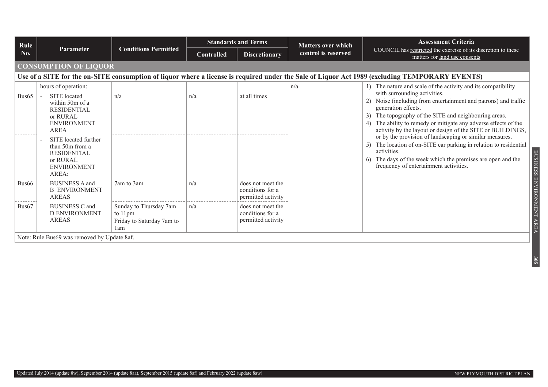| Rule              |                                                                                                                                                |                                                                       |                   | <b>Standards and Terms</b>                                  | <b>Matters over which</b> | <b>Assessment Criteria</b>                                                                                                                                                                                                                                                                                                                                                     |  |  |
|-------------------|------------------------------------------------------------------------------------------------------------------------------------------------|-----------------------------------------------------------------------|-------------------|-------------------------------------------------------------|---------------------------|--------------------------------------------------------------------------------------------------------------------------------------------------------------------------------------------------------------------------------------------------------------------------------------------------------------------------------------------------------------------------------|--|--|
| No.               | <b>Parameter</b>                                                                                                                               | <b>Conditions Permitted</b>                                           | <b>Controlled</b> | <b>Discretionary</b>                                        | control is reserved       | COUNCIL has restricted the exercise of its discretion to these<br>matters for land use consents                                                                                                                                                                                                                                                                                |  |  |
|                   | <b>CONSUMPTION OF LIQUOR</b>                                                                                                                   |                                                                       |                   |                                                             |                           |                                                                                                                                                                                                                                                                                                                                                                                |  |  |
|                   | Use of a SITE for the on-SITE consumption of liquor where a license is required under the Sale of Liquor Act 1989 (excluding TEMPORARY EVENTS) |                                                                       |                   |                                                             |                           |                                                                                                                                                                                                                                                                                                                                                                                |  |  |
| Bus65             | hours of operation:<br>SITE located<br>within 50m of a<br><b>RESIDENTIAL</b><br>or RURAL<br><b>ENVIRONMENT</b><br>AREA                         | n/a                                                                   | n/a               | at all times                                                | n/a                       | 1) The nature and scale of the activity and its compatibility<br>with surrounding activities.<br>Noise (including from entertainment and patrons) and traffic<br>generation effects.<br>The topography of the SITE and neighbouring areas.<br>3)<br>The ability to remedy or mitigate any adverse effects of the<br>activity by the layout or design of the SITE or BUILDINGS, |  |  |
| ----------        | SITE located further<br>than 50m from a<br><b>RESIDENTIAL</b><br>or RURAL<br><b>ENVIRONMENT</b><br>AREA:                                       |                                                                       |                   |                                                             |                           | or by the provision of landscaping or similar measures.<br>5) The location of on-SITE car parking in relation to residential<br>activities.<br>The days of the week which the premises are open and the<br>6)<br>frequency of entertainment activities.                                                                                                                        |  |  |
| Bus <sub>66</sub> | <b>BUSINESS A and</b><br><b>B ENVIRONMENT</b><br><b>AREAS</b>                                                                                  | 7am to 3am                                                            | n/a               | does not meet the<br>conditions for a<br>permitted activity |                           |                                                                                                                                                                                                                                                                                                                                                                                |  |  |
| Bus <sub>67</sub> | <b>BUSINESS C and</b><br><b>D ENVIRONMENT</b><br><b>AREAS</b>                                                                                  | Sunday to Thursday 7am<br>to 11pm<br>Friday to Saturday 7am to<br>1am | n/a               | does not meet the<br>conditions for a<br>permitted activity |                           |                                                                                                                                                                                                                                                                                                                                                                                |  |  |
|                   | Note: Rule Bus69 was removed by Update 8af.                                                                                                    |                                                                       |                   |                                                             |                           |                                                                                                                                                                                                                                                                                                                                                                                |  |  |

Updated July 2014 (update 8w), September 2014 (update 8aa), September 2015 (update 8af) and February 2022 (update 8aw)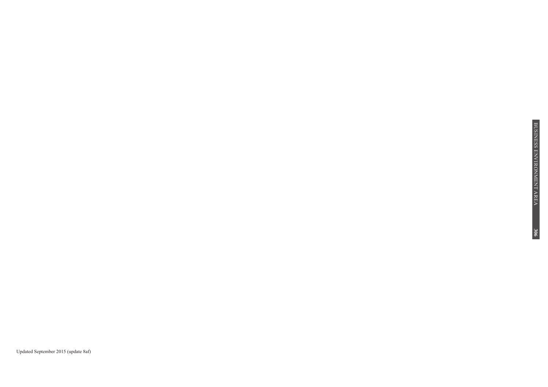Updated September 2015 (update 8af)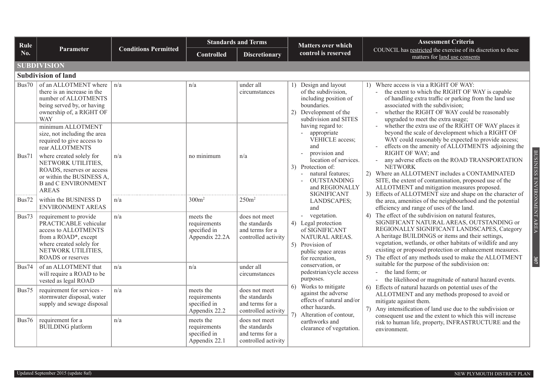| Rule  |                                                                                                                                                                               |                             | <b>Standards and Terms</b>                                  |                                                                          | <b>Matters over which</b>                                                                                                                                                                                | <b>Assessment Criteria</b>                                                                                                                                                                                                                                                                                                                                                                          |
|-------|-------------------------------------------------------------------------------------------------------------------------------------------------------------------------------|-----------------------------|-------------------------------------------------------------|--------------------------------------------------------------------------|----------------------------------------------------------------------------------------------------------------------------------------------------------------------------------------------------------|-----------------------------------------------------------------------------------------------------------------------------------------------------------------------------------------------------------------------------------------------------------------------------------------------------------------------------------------------------------------------------------------------------|
| No.   | Parameter                                                                                                                                                                     | <b>Conditions Permitted</b> | <b>Controlled</b>                                           | <b>Discretionary</b>                                                     | control is reserved                                                                                                                                                                                      | COUNCIL has restricted the exercise of its discretion to these<br>matters for land use consents                                                                                                                                                                                                                                                                                                     |
|       | <b>SUBDIVISION</b>                                                                                                                                                            |                             |                                                             |                                                                          |                                                                                                                                                                                                          |                                                                                                                                                                                                                                                                                                                                                                                                     |
|       | <b>Subdivision of land</b>                                                                                                                                                    |                             |                                                             |                                                                          |                                                                                                                                                                                                          |                                                                                                                                                                                                                                                                                                                                                                                                     |
| Bus70 | of an ALLOTMENT where<br>there is an increase in the<br>number of ALLOTMENTS<br>being served by, or having<br>ownership of, a RIGHT OF<br><b>WAY</b>                          | n/a                         | n/a                                                         | under all<br>circumstances                                               | Design and layout<br>1)<br>of the subdivision,<br>including position of<br>boundaries.<br>2) Development of the<br>subdivision and SITES<br>having regard to:<br>- appropriate<br>VEHICLE access;<br>and | 1) Where access is via a RIGHT OF WAY:<br>the extent to which the RIGHT OF WAY is capable<br>of handling extra traffic or parking from the land use<br>associated with the subdivision;<br>whether the RIGHT OF WAY could be reasonably<br>upgraded to meet the extra usage;                                                                                                                        |
|       | minimum ALLOTMENT<br>size, not including the area<br>required to give access to<br>rear ALLOTMENTS                                                                            |                             |                                                             |                                                                          |                                                                                                                                                                                                          | whether the extra use of the RIGHT OF WAY places it<br>beyond the scale of development which a RIGHT OF<br>WAY could reasonably be expected to provide access;<br>effects on the amenity of ALLOTMENTS adjoining the                                                                                                                                                                                |
| Bus71 | where created solely for<br>NETWORK UTILITIES,<br>ROADS, reserves or access<br>or within the BUSINESS A,<br><b>B</b> and C ENVIRONMENT<br><b>AREAS</b>                        | n/a                         | no minimum                                                  | n/a                                                                      | provision and<br>location of services.<br>3) Protection of:<br>natural features;<br>$\sim$<br><b>OUTSTANDING</b><br>and REGIONALLY<br><b>SIGNIFICANT</b>                                                 | BUSINESS ENVIRONMENT AREA<br>RIGHT OF WAY; and<br>any adverse effects on the ROAD TRANSPORTATION<br><b>NETWORK</b><br>2) Where an ALLOTMENT includes a CONTAMINATED<br>SITE, the extent of contamination, proposed use of the<br>ALLOTMENT and mitigation measures proposed.<br>3) Effects of ALLOTMENT size and shape on the character of                                                          |
| Bus72 | within the BUSINESS D<br><b>ENVIRONMENT AREAS</b>                                                                                                                             | n/a                         | 300m <sup>2</sup>                                           | 250m <sup>2</sup>                                                        | LANDSCAPES;<br>and                                                                                                                                                                                       | the area, amenities of the neighbourhood and the potential<br>efficiency and range of uses of the land.                                                                                                                                                                                                                                                                                             |
| Bus73 | requirement to provide<br>PRACTICABLE vehicular<br>access to ALLOTMENTS<br>from a ROAD*, except<br>where created solely for<br>NETWORK UTILITIES,<br><b>ROADS</b> or reserves | n/a                         | meets the<br>requirements<br>specified in<br>Appendix 22.2A | does not meet<br>the standards<br>and terms for a<br>controlled activity | - vegetation.<br>4) Legal protection<br>of SIGNIFICANT<br>NATURAL AREAS.<br>5) Provision of<br>public space areas<br>for recreation,                                                                     | 4) The effect of the subdivision on natural features,<br>SIGNIFICANT NATURAL AREAS, OUTSTANDING or<br>REGIONALLY SIGNIFICANT LANDSCAPES, Category<br>A heritage BUILDINGS or items and their settings,<br>vegetation, wetlands, or other habitats of wildlife and any<br>existing or proposed protection or enhancement measures.<br>5) The effect of any methods used to make the ALLOTMENT<br>307 |
| Bus74 | of an ALLOTMENT that<br>will require a ROAD to be<br>vested as legal ROAD                                                                                                     | n/a                         | n/a                                                         | under all<br>circumstances                                               | conservation, or<br>pedestrian/cycle access<br>purposes.                                                                                                                                                 | suitable for the purpose of the subdivision on:<br>the land form; or<br>$\mathbf{r}$<br>the likelihood or magnitude of natural hazard events.                                                                                                                                                                                                                                                       |
| Bus75 | requirement for services -<br>stormwater disposal, water<br>supply and sewage disposal                                                                                        | n/a                         | meets the<br>requirements<br>specified in<br>Appendix 22.2  | does not meet<br>the standards<br>and terms for a<br>controlled activity | 6) Works to mitigate<br>against the adverse<br>effects of natural and/or<br>other hazards.<br>7)<br>Alteration of contour,                                                                               | 6) Effects of natural hazards on potential uses of the<br>ALLOTMENT and any methods proposed to avoid or<br>mitigate against them.<br>7) Any intensification of land use due to the subdivision or<br>consequent use and the extent to which this will increase                                                                                                                                     |
| Bus76 | requirement for a<br><b>BUILDING</b> platform                                                                                                                                 | n/a                         | meets the<br>requirements<br>specified in<br>Appendix 22.1  | does not meet<br>the standards<br>and terms for a<br>controlled activity | earthworks and<br>clearance of vegetation.                                                                                                                                                               | risk to human life, property, INFRASTRUCTURE and the<br>environment.                                                                                                                                                                                                                                                                                                                                |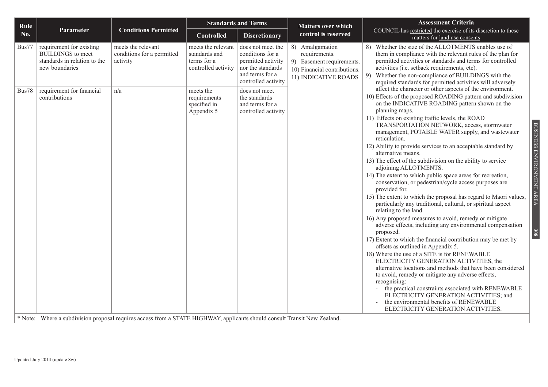| Rule       |                                                                                                        |                                                              | <b>Standards and Terms</b>                                                |                                                                                                                            | <b>Matters over which</b>                                                                                             | <b>Assessment Criteria</b>                                                                                                                                                                                                                                                                                                                                                                                                                                                                                                                                                                                                                                                                                                                                                                                                                                                                                                                                                                                                                                                                                                                                                                                                                                                                                                                                                                                                                                                                                      |
|------------|--------------------------------------------------------------------------------------------------------|--------------------------------------------------------------|---------------------------------------------------------------------------|----------------------------------------------------------------------------------------------------------------------------|-----------------------------------------------------------------------------------------------------------------------|-----------------------------------------------------------------------------------------------------------------------------------------------------------------------------------------------------------------------------------------------------------------------------------------------------------------------------------------------------------------------------------------------------------------------------------------------------------------------------------------------------------------------------------------------------------------------------------------------------------------------------------------------------------------------------------------------------------------------------------------------------------------------------------------------------------------------------------------------------------------------------------------------------------------------------------------------------------------------------------------------------------------------------------------------------------------------------------------------------------------------------------------------------------------------------------------------------------------------------------------------------------------------------------------------------------------------------------------------------------------------------------------------------------------------------------------------------------------------------------------------------------------|
| <b>No.</b> | Parameter                                                                                              | <b>Conditions Permitted</b>                                  | <b>Controlled</b>                                                         | <b>Discretionary</b>                                                                                                       | control is reserved                                                                                                   | COUNCIL has restricted the exercise of its discretion to these<br>matters for land use consents                                                                                                                                                                                                                                                                                                                                                                                                                                                                                                                                                                                                                                                                                                                                                                                                                                                                                                                                                                                                                                                                                                                                                                                                                                                                                                                                                                                                                 |
| Bus77      | requirement for existing<br><b>BUILDINGS</b> to meet<br>standards in relation to the<br>new boundaries | meets the relevant<br>conditions for a permitted<br>activity | meets the relevant<br>standards and<br>terms for a<br>controlled activity | does not meet the<br>conditions for a<br>permitted activity<br>nor the standards<br>and terms for a<br>controlled activity | 8) Amalgamation<br>requirements.<br>9) Easement requirements.<br>10) Financial contributions.<br>11) INDICATIVE ROADS | 8) Whether the size of the ALLOTMENTS enables use of<br>them in compliance with the relevant rules of the plan for<br>permitted activities or standards and terms for controlled<br>activities (i.e. setback requirements, etc).<br>Whether the non-compliance of BUILDINGS with the<br>9)<br>required standards for permitted activities will adversely                                                                                                                                                                                                                                                                                                                                                                                                                                                                                                                                                                                                                                                                                                                                                                                                                                                                                                                                                                                                                                                                                                                                                        |
| Bus78      | requirement for financial<br>contributions                                                             | n/a                                                          | meets the<br>requirements<br>specified in<br>Appendix 5                   | does not meet<br>the standards<br>and terms for a<br>controlled activity                                                   |                                                                                                                       | affect the character or other aspects of the environment.<br>10) Effects of the proposed ROADING pattern and subdivision<br>on the INDICATIVE ROADING pattern shown on the<br>planning maps.<br>11) Effects on existing traffic levels, the ROAD<br>TRANSPORTATION NETWORK, access, stormwater<br>management, POTABLE WATER supply, and wastewater<br>reticulation.<br>12) Ability to provide services to an acceptable standard by<br>alternative means.<br>13) The effect of the subdivision on the ability to service<br>adjoining ALLOTMENTS.<br>14) The extent to which public space areas for recreation,<br>conservation, or pedestrian/cycle access purposes are<br>provided for.<br>15) The extent to which the proposal has regard to Maori values,<br>particularly any traditional, cultural, or spiritual aspect<br>relating to the land.<br>16) Any proposed measures to avoid, remedy or mitigate<br>adverse effects, including any environmental compensation<br>proposed.<br>17) Extent to which the financial contribution may be met by<br>offsets as outlined in Appendix 5.<br>18) Where the use of a SITE is for RENEWABLE<br>ELECTRICITY GENERATION ACTIVITIES, the<br>alternative locations and methods that have been considered<br>to avoid, remedy or mitigate any adverse effects,<br>recognising:<br>the practical constraints associated with RENEWABLE<br>ELECTRICITY GENERATION ACTIVITIES; and<br>the environmental benefits of RENEWABLE<br>ELECTRICITY GENERATION ACTIVITIES. |

Note: Where a subdivision proposal requires access from a STATE HIGHWAY, applicants should consult Transit New Zealand.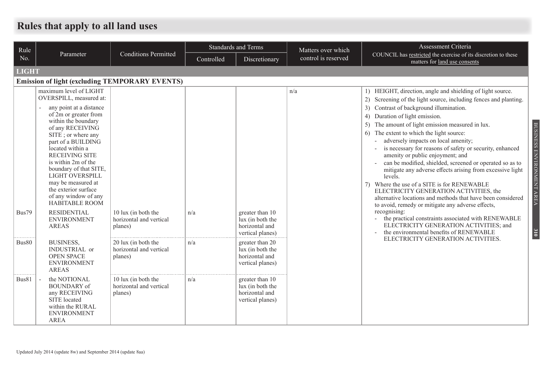# **Rules that apply to all land uses**

| Rule         |                                                                                                                                                                                                                                                                                                                                                                                                              |                                                           | <b>Standards and Terms</b> |                                                                           | Matters over which  | Assessment Criteria                                                                                                                                                                                                                                                                                                                                                                                                                                                                                                                                                                                                                                                                                                                                                                              |
|--------------|--------------------------------------------------------------------------------------------------------------------------------------------------------------------------------------------------------------------------------------------------------------------------------------------------------------------------------------------------------------------------------------------------------------|-----------------------------------------------------------|----------------------------|---------------------------------------------------------------------------|---------------------|--------------------------------------------------------------------------------------------------------------------------------------------------------------------------------------------------------------------------------------------------------------------------------------------------------------------------------------------------------------------------------------------------------------------------------------------------------------------------------------------------------------------------------------------------------------------------------------------------------------------------------------------------------------------------------------------------------------------------------------------------------------------------------------------------|
| No.          | Parameter                                                                                                                                                                                                                                                                                                                                                                                                    | <b>Conditions Permitted</b>                               | Controlled                 | Discretionary                                                             | control is reserved | COUNCIL has restricted the exercise of its discretion to these<br>matters for land use consents                                                                                                                                                                                                                                                                                                                                                                                                                                                                                                                                                                                                                                                                                                  |
| <b>LIGHT</b> |                                                                                                                                                                                                                                                                                                                                                                                                              |                                                           |                            |                                                                           |                     |                                                                                                                                                                                                                                                                                                                                                                                                                                                                                                                                                                                                                                                                                                                                                                                                  |
|              | <b>Emission of light (excluding TEMPORARY EVENTS)</b>                                                                                                                                                                                                                                                                                                                                                        |                                                           |                            |                                                                           |                     |                                                                                                                                                                                                                                                                                                                                                                                                                                                                                                                                                                                                                                                                                                                                                                                                  |
|              | maximum level of LIGHT<br>OVERSPILL, measured at:<br>any point at a distance<br>of 2m or greater from<br>within the boundary<br>of any RECEIVING<br>SITE; or where any<br>part of a BUILDING<br>located within a<br><b>RECEIVING SITE</b><br>is within 2m of the<br>boundary of that SITE,<br>LIGHT OVERSPILL<br>may be measured at<br>the exterior surface<br>of any window of any<br><b>HABITABLE ROOM</b> |                                                           |                            |                                                                           | n/a                 | 1) HEIGHT, direction, angle and shielding of light source.<br>Screening of the light source, including fences and planting.<br>2)<br>Contrast of background illumination.<br>Duration of light emission.<br>The amount of light emission measured in lux.<br>The extent to which the light source:<br>6)<br>adversely impacts on local amenity;<br>is necessary for reasons of safety or security, enhanced<br>amenity or public enjoyment; and<br>can be modified, shielded, screened or operated so as to<br>mitigate any adverse effects arising from excessive light<br>levels.<br>7) Where the use of a SITE is for RENEWABLE<br>ELECTRICITY GENERATION ACTIVITIES, the<br>alternative locations and methods that have been considered<br>to avoid, remedy or mitigate any adverse effects, |
| Bus79        | <b>RESIDENTIAL</b><br><b>ENVIRONMENT</b><br><b>AREAS</b>                                                                                                                                                                                                                                                                                                                                                     | 10 lux (in both the<br>horizontal and vertical<br>planes) | n/a                        | greater than 10<br>lux (in both the<br>horizontal and<br>vertical planes) |                     | recognising:<br>the practical constraints associated with RENEWABLE<br>$\blacksquare$<br>ELECTRICITY GENERATION ACTIVITIES; and<br>the environmental benefits of RENEWABLE                                                                                                                                                                                                                                                                                                                                                                                                                                                                                                                                                                                                                       |
| Bus80        | <b>BUSINESS,</b><br>INDUSTRIAL or<br><b>OPEN SPACE</b><br><b>ENVIRONMENT</b><br><b>AREAS</b>                                                                                                                                                                                                                                                                                                                 | 20 lux (in both the<br>horizontal and vertical<br>planes) | n/a                        | greater than 20<br>lux (in both the<br>horizontal and<br>vertical planes) |                     | ELECTRICITY GENERATION ACTIVITIES.                                                                                                                                                                                                                                                                                                                                                                                                                                                                                                                                                                                                                                                                                                                                                               |
| Bus81        | the NOTIONAL<br><b>BOUNDARY</b> of<br>any RECEIVING<br>SITE located<br>within the RURAL<br><b>ENVIRONMENT</b><br><b>AREA</b>                                                                                                                                                                                                                                                                                 | 10 lux (in both the<br>horizontal and vertical<br>planes) | n/a                        | greater than 10<br>lux (in both the<br>horizontal and<br>vertical planes) |                     |                                                                                                                                                                                                                                                                                                                                                                                                                                                                                                                                                                                                                                                                                                                                                                                                  |

BUSINESS ENVIRONMENT AREA

BUSINESS ENVIRONMENT AREA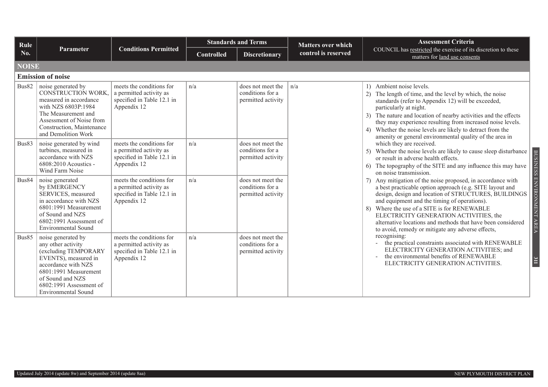| Rule         |                                                                                                                                                                                                                       |                                                                                                  | <b>Standards and Terms</b> |                                                             | <b>Matters over which</b> | <b>Assessment Criteria</b>                                                                                                                                                                                                                                                                                                                                                                                                                                                |
|--------------|-----------------------------------------------------------------------------------------------------------------------------------------------------------------------------------------------------------------------|--------------------------------------------------------------------------------------------------|----------------------------|-------------------------------------------------------------|---------------------------|---------------------------------------------------------------------------------------------------------------------------------------------------------------------------------------------------------------------------------------------------------------------------------------------------------------------------------------------------------------------------------------------------------------------------------------------------------------------------|
| No.          | Parameter                                                                                                                                                                                                             | <b>Conditions Permitted</b>                                                                      | <b>Controlled</b>          | <b>Discretionary</b>                                        | control is reserved       | COUNCIL has restricted the exercise of its discretion to these<br>matters for land use consents                                                                                                                                                                                                                                                                                                                                                                           |
| <b>NOISE</b> |                                                                                                                                                                                                                       |                                                                                                  |                            |                                                             |                           |                                                                                                                                                                                                                                                                                                                                                                                                                                                                           |
|              | <b>Emission of noise</b>                                                                                                                                                                                              |                                                                                                  |                            |                                                             |                           |                                                                                                                                                                                                                                                                                                                                                                                                                                                                           |
| Bus82        | noise generated by<br>CONSTRUCTION WORK,<br>measured in accordance<br>with NZS 6803P:1984<br>The Measurement and<br>Assessment of Noise from<br>Construction, Maintenance<br>and Demolition Work                      | meets the conditions for<br>a permitted activity as<br>specified in Table 12.1 in<br>Appendix 12 | n/a                        | does not meet the<br>conditions for a<br>permitted activity | n/a                       | 1) Ambient noise levels.<br>2) The length of time, and the level by which, the noise<br>standards (refer to Appendix 12) will be exceeded,<br>particularly at night.<br>3) The nature and location of nearby activities and the effects<br>they may experience resulting from increased noise levels.<br>4) Whether the noise levels are likely to detract from the<br>amenity or general environmental quality of the area in                                            |
| Bus83        | noise generated by wind<br>turbines, measured in<br>accordance with NZS<br>6808:2010 Acoustics -<br>Wind Farm Noise                                                                                                   | meets the conditions for<br>a permitted activity as<br>specified in Table 12.1 in<br>Appendix 12 | n/a                        | does not meet the<br>conditions for a<br>permitted activity |                           | which they are received.<br>5) Whether the noise levels are likely to cause sleep disturbance<br>or result in adverse health effects.<br>The topography of the SITE and any influence this may have<br>6)<br>on noise transmission.                                                                                                                                                                                                                                       |
| Bus84        | noise generated<br>by EMERGENCY<br>SERVICES, measured<br>in accordance with NZS<br>6801:1991 Measurement<br>of Sound and NZS<br>6802:1991 Assessment of<br><b>Environmental Sound</b>                                 | meets the conditions for<br>a permitted activity as<br>specified in Table 12.1 in<br>Appendix 12 | n/a                        | does not meet the<br>conditions for a<br>permitted activity |                           | BUSINESS ENVIRONMENT AREA<br>7) Any mitigation of the noise proposed, in accordance with<br>a best practicable option approach (e.g. SITE layout and<br>design, design and location of STRUCTURES, BUILDINGS<br>and equipment and the timing of operations).<br>8) Where the use of a SITE is for RENEWABLE<br>ELECTRICITY GENERATION ACTIVITIES, the<br>alternative locations and methods that have been considered<br>to avoid, remedy or mitigate any adverse effects, |
| Bus85        | noise generated by<br>any other activity<br>(excluding TEMPORARY<br>EVENTS), measured in<br>accordance with NZS<br>6801:1991 Measurement<br>of Sound and NZS<br>6802:1991 Assessment of<br><b>Environmental Sound</b> | meets the conditions for<br>a permitted activity as<br>specified in Table 12.1 in<br>Appendix 12 | n/a                        | does not meet the<br>conditions for a<br>permitted activity |                           | recognising:<br>the practical constraints associated with RENEWABLE<br>ELECTRICITY GENERATION ACTIVITIES; and<br>the environmental benefits of RENEWABLE<br>311<br>ELECTRICITY GENERATION ACTIVITIES.                                                                                                                                                                                                                                                                     |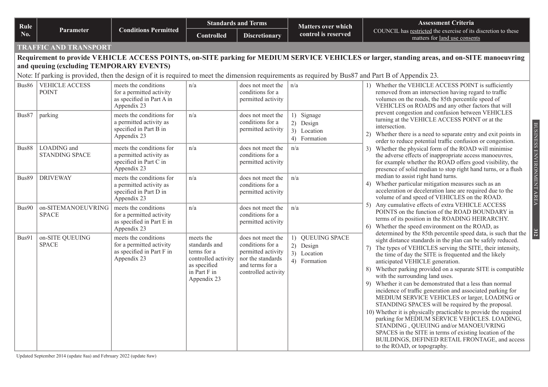| Rule  |                                                                                                                                                                                                |                                                                                              | <b>Standards and Terms</b>                                                                                      |                                                                                                                            | <b>Matters over which</b>                                    | <b>Assessment Criteria</b>                                                                                                                                                                                                                                                                                                                                                                                                                                                                                                                                                                                                                                                                                                                                                                                                                                                                                                                            |  |  |  |  |  |
|-------|------------------------------------------------------------------------------------------------------------------------------------------------------------------------------------------------|----------------------------------------------------------------------------------------------|-----------------------------------------------------------------------------------------------------------------|----------------------------------------------------------------------------------------------------------------------------|--------------------------------------------------------------|-------------------------------------------------------------------------------------------------------------------------------------------------------------------------------------------------------------------------------------------------------------------------------------------------------------------------------------------------------------------------------------------------------------------------------------------------------------------------------------------------------------------------------------------------------------------------------------------------------------------------------------------------------------------------------------------------------------------------------------------------------------------------------------------------------------------------------------------------------------------------------------------------------------------------------------------------------|--|--|--|--|--|
| No.   | <b>Parameter</b>                                                                                                                                                                               | <b>Conditions Permitted</b>                                                                  | <b>Controlled</b>                                                                                               | <b>Discretionary</b>                                                                                                       | control is reserved                                          | COUNCIL has restricted the exercise of its discretion to these<br>matters for land use consents                                                                                                                                                                                                                                                                                                                                                                                                                                                                                                                                                                                                                                                                                                                                                                                                                                                       |  |  |  |  |  |
|       | <b>TRAFFIC AND TRANSPORT</b>                                                                                                                                                                   |                                                                                              |                                                                                                                 |                                                                                                                            |                                                              |                                                                                                                                                                                                                                                                                                                                                                                                                                                                                                                                                                                                                                                                                                                                                                                                                                                                                                                                                       |  |  |  |  |  |
|       | Requirement to provide VEHICLE ACCESS POINTS, on-SITE parking for MEDIUM SERVICE VEHICLES or larger, standing areas, and on-SITE manoeuvring                                                   |                                                                                              |                                                                                                                 |                                                                                                                            |                                                              |                                                                                                                                                                                                                                                                                                                                                                                                                                                                                                                                                                                                                                                                                                                                                                                                                                                                                                                                                       |  |  |  |  |  |
|       | and queuing (excluding TEMPORARY EVENTS)<br>Note: If parking is provided, then the design of it is required to meet the dimension requirements as required by Bus87 and Part B of Appendix 23. |                                                                                              |                                                                                                                 |                                                                                                                            |                                                              |                                                                                                                                                                                                                                                                                                                                                                                                                                                                                                                                                                                                                                                                                                                                                                                                                                                                                                                                                       |  |  |  |  |  |
|       |                                                                                                                                                                                                |                                                                                              |                                                                                                                 |                                                                                                                            |                                                              |                                                                                                                                                                                                                                                                                                                                                                                                                                                                                                                                                                                                                                                                                                                                                                                                                                                                                                                                                       |  |  |  |  |  |
| Bus86 | <b>VEHICLE ACCESS</b><br><b>POINT</b>                                                                                                                                                          | meets the conditions<br>for a permitted activity<br>as specified in Part A in<br>Appendix 23 | n/a                                                                                                             | does not meet the<br>conditions for a<br>permitted activity                                                                | n/a                                                          | 1) Whether the VEHICLE ACCESS POINT is sufficiently<br>removed from an intersection having regard to traffic<br>volumes on the roads, the 85th percentile speed of<br>VEHICLES on ROADS and any other factors that will                                                                                                                                                                                                                                                                                                                                                                                                                                                                                                                                                                                                                                                                                                                               |  |  |  |  |  |
| Bus87 | parking                                                                                                                                                                                        | meets the conditions for<br>a permitted activity as<br>specified in Part B in<br>Appendix 23 | n/a                                                                                                             | does not meet the<br>conditions for a<br>permitted activity                                                                | 1) Signage<br>2) Design<br>3) Location<br>4) Formation       | prevent congestion and confusion between VEHICLES<br>turning at the VEHICLE ACCESS POINT or at the<br>intersection.<br>Whether there is a need to separate entry and exit points in<br>2)<br>order to reduce potential traffic confusion or congestion.                                                                                                                                                                                                                                                                                                                                                                                                                                                                                                                                                                                                                                                                                               |  |  |  |  |  |
| Bus88 | LOADING and<br><b>STANDING SPACE</b>                                                                                                                                                           | meets the conditions for<br>a permitted activity as<br>specified in Part C in<br>Appendix 23 | n/a                                                                                                             | does not meet the<br>conditions for a<br>permitted activity                                                                | n/a                                                          | BUSINESS ENVIRONMENT AREA<br>3) Whether the physical form of the ROAD will minimise<br>the adverse effects of inappropriate access manoeuvres,<br>for example whether the ROAD offers good visibility, the<br>presence of solid median to stop right hand turns, or a flush                                                                                                                                                                                                                                                                                                                                                                                                                                                                                                                                                                                                                                                                           |  |  |  |  |  |
| Bus89 | <b>DRIVEWAY</b>                                                                                                                                                                                | meets the conditions for<br>a permitted activity as<br>specified in Part D in<br>Appendix 23 | n/a                                                                                                             | does not meet the<br>conditions for a<br>permitted activity                                                                | n/a                                                          | median to assist right hand turns.<br>Whether particular mitigation measures such as an<br>4)<br>acceleration or deceleration lane are required due to the<br>volume of and speed of VEHICLES on the ROAD.                                                                                                                                                                                                                                                                                                                                                                                                                                                                                                                                                                                                                                                                                                                                            |  |  |  |  |  |
| Bus90 | on-SITEMANOEUVRING<br><b>SPACE</b>                                                                                                                                                             | meets the conditions<br>for a permitted activity<br>as specified in Part E in<br>Appendix 23 | n/a                                                                                                             | does not meet the<br>conditions for a<br>permitted activity                                                                | n/a                                                          | 5) Any cumulative effects of extra VEHICLE ACCESS<br>POINTS on the function of the ROAD BOUNDARY in<br>terms of its position in the ROADING HEIRARCHY.<br>Whether the speed environment on the ROAD, as<br>6)                                                                                                                                                                                                                                                                                                                                                                                                                                                                                                                                                                                                                                                                                                                                         |  |  |  |  |  |
| Bus91 | on-SITE QUEUING<br><b>SPACE</b>                                                                                                                                                                | meets the conditions<br>for a permitted activity<br>as specified in Part F in<br>Appendix 23 | meets the<br>standards and<br>terms for a<br>controlled activity<br>as specified<br>in Part F in<br>Appendix 23 | does not meet the<br>conditions for a<br>permitted activity<br>nor the standards<br>and terms for a<br>controlled activity | 1) QUEUING SPACE<br>2) Design<br>3) Location<br>4) Formation | 312<br>determined by the 85th percentile speed data, is such that the<br>sight distance standards in the plan can be safely reduced.<br>The types of VEHICLES serving the SITE, their intensity,<br>7)<br>the time of day the SITE is frequented and the likely<br>anticipated VEHICLE generation.<br>Whether parking provided on a separate SITE is compatible<br>8)<br>with the surrounding land uses.<br>Whether it can be demonstrated that a less than normal<br>9)<br>incidence of traffic generation and associated parking for<br>MEDIUM SERVICE VEHICLES or larger, LOADING or<br>STANDING SPACES will be required by the proposal.<br>10) Whether it is physically practicable to provide the required<br>parking for MEDIUM SERVICE VEHICLES. LOADING,<br>STANDING, QUEUING and/or MANOEUVRING<br>SPACES in the SITE in terms of existing location of the<br>BUILDINGS, DEFINED RETAIL FRONTAGE, and access<br>to the ROAD, or topography. |  |  |  |  |  |

Updated September 2014 (update 8aa) and February 2022 (update 8aw)

BUSINESS ENVIRONMENT AREA BUSINESS ENVIRONMENT AREA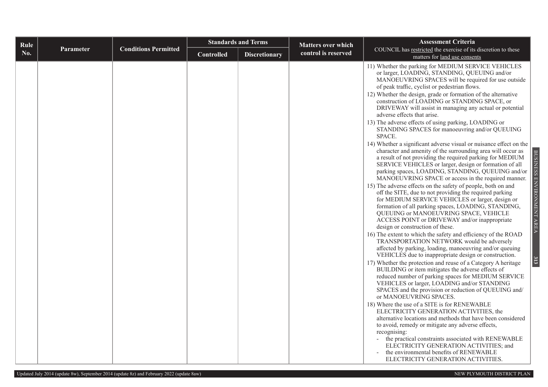| Rule |                  |                             | <b>Standards and Terms</b> |                      | <b>Matters over which</b> | <b>Assessment Criteria</b>                                                                                                                                                                                                                                                                                                                                                                                                                                                                                                                                                                                                                                                                                                                                                                                                                                                                                                                                                                                                                                                                                                                                                                                                                                                                                                                                                                                                                                                                                                                                                                                                                                                                                                                                                                                                                                                                                                                                                                                                                                                                                                                                                                                                                                                                     |
|------|------------------|-----------------------------|----------------------------|----------------------|---------------------------|------------------------------------------------------------------------------------------------------------------------------------------------------------------------------------------------------------------------------------------------------------------------------------------------------------------------------------------------------------------------------------------------------------------------------------------------------------------------------------------------------------------------------------------------------------------------------------------------------------------------------------------------------------------------------------------------------------------------------------------------------------------------------------------------------------------------------------------------------------------------------------------------------------------------------------------------------------------------------------------------------------------------------------------------------------------------------------------------------------------------------------------------------------------------------------------------------------------------------------------------------------------------------------------------------------------------------------------------------------------------------------------------------------------------------------------------------------------------------------------------------------------------------------------------------------------------------------------------------------------------------------------------------------------------------------------------------------------------------------------------------------------------------------------------------------------------------------------------------------------------------------------------------------------------------------------------------------------------------------------------------------------------------------------------------------------------------------------------------------------------------------------------------------------------------------------------------------------------------------------------------------------------------------------------|
| No.  | <b>Parameter</b> | <b>Conditions Permitted</b> | <b>Controlled</b>          | <b>Discretionary</b> | control is reserved       | COUNCIL has restricted the exercise of its discretion to these<br>matters for land use consents                                                                                                                                                                                                                                                                                                                                                                                                                                                                                                                                                                                                                                                                                                                                                                                                                                                                                                                                                                                                                                                                                                                                                                                                                                                                                                                                                                                                                                                                                                                                                                                                                                                                                                                                                                                                                                                                                                                                                                                                                                                                                                                                                                                                |
|      |                  |                             |                            |                      |                           | 11) Whether the parking for MEDIUM SERVICE VEHICLES<br>or larger, LOADING, STANDING, QUEUING and/or<br>MANOEUVRING SPACES will be required for use outside<br>of peak traffic, cyclist or pedestrian flows.<br>12) Whether the design, grade or formation of the alternative<br>construction of LOADING or STANDING SPACE, or<br>DRIVEWAY will assist in managing any actual or potential<br>adverse effects that arise.<br>13) The adverse effects of using parking, LOADING or<br>STANDING SPACES for manoeuvring and/or QUEUING<br>SPACE.<br>14) Whether a significant adverse visual or nuisance effect on the<br>character and amenity of the surrounding area will occur as<br>BUSINESS ENVIRONMENT AREA<br>a result of not providing the required parking for MEDIUM<br>SERVICE VEHICLES or larger, design or formation of all<br>parking spaces, LOADING, STANDING, QUEUING and/or<br>MANOEUVRING SPACE or access in the required manner.<br>15) The adverse effects on the safety of people, both on and<br>off the SITE, due to not providing the required parking<br>for MEDIUM SERVICE VEHICLES or larger, design or<br>formation of all parking spaces, LOADING, STANDING,<br>QUEUING or MANOEUVRING SPACE, VEHICLE<br>ACCESS POINT or DRIVEWAY and/or inappropriate<br>design or construction of these.<br>16) The extent to which the safety and efficiency of the ROAD<br>TRANSPORTATION NETWORK would be adversely<br>affected by parking, loading, manoeuvring and/or queuing<br>VEHICLES due to inappropriate design or construction.<br>313<br>17) Whether the protection and reuse of a Category A heritage<br>BUILDING or item mitigates the adverse effects of<br>reduced number of parking spaces for MEDIUM SERVICE<br>VEHICLES or larger, LOADING and/or STANDING<br>SPACES and the provision or reduction of QUEUING and/<br>or MANOEUVRING SPACES.<br>18) Where the use of a SITE is for RENEWABLE<br>ELECTRICITY GENERATION ACTIVITIES, the<br>alternative locations and methods that have been considered<br>to avoid, remedy or mitigate any adverse effects,<br>recognising:<br>the practical constraints associated with RENEWABLE<br>ELECTRICITY GENERATION ACTIVITIES; and<br>the environmental benefits of RENEWABLE<br>ELECTRICITY GENERATION ACTIVITIES. |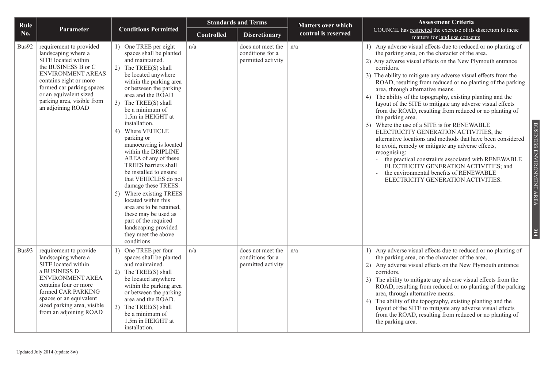| Rule  |                                                                                                                                                                                                                                                              | <b>Standards and Terms</b>                                                                                                                                                                                                                                                                                                                                                                                                                                                                                                                                                                                                                                                            |                   | <b>Matters over which</b>                                   | <b>Assessment Criteria</b> |                                                                                                                                                                                                                                                                                                                                                                                                                                                                                                                                                                                                                                                                                                                                                                                                                                                                                                                                                                                                                              |
|-------|--------------------------------------------------------------------------------------------------------------------------------------------------------------------------------------------------------------------------------------------------------------|---------------------------------------------------------------------------------------------------------------------------------------------------------------------------------------------------------------------------------------------------------------------------------------------------------------------------------------------------------------------------------------------------------------------------------------------------------------------------------------------------------------------------------------------------------------------------------------------------------------------------------------------------------------------------------------|-------------------|-------------------------------------------------------------|----------------------------|------------------------------------------------------------------------------------------------------------------------------------------------------------------------------------------------------------------------------------------------------------------------------------------------------------------------------------------------------------------------------------------------------------------------------------------------------------------------------------------------------------------------------------------------------------------------------------------------------------------------------------------------------------------------------------------------------------------------------------------------------------------------------------------------------------------------------------------------------------------------------------------------------------------------------------------------------------------------------------------------------------------------------|
| No.   | Parameter                                                                                                                                                                                                                                                    | <b>Conditions Permitted</b>                                                                                                                                                                                                                                                                                                                                                                                                                                                                                                                                                                                                                                                           | <b>Controlled</b> | <b>Discretionary</b>                                        | control is reserved        | COUNCIL has restricted the exercise of its discretion to these<br>matters for land use consents                                                                                                                                                                                                                                                                                                                                                                                                                                                                                                                                                                                                                                                                                                                                                                                                                                                                                                                              |
| Bus92 | requirement to provided<br>landscaping where a<br>SITE located within<br>the BUSINESS B or C<br><b>ENVIRONMENT AREAS</b><br>contains eight or more<br>formed car parking spaces<br>or an equivalent sized<br>parking area, visible from<br>an adjoining ROAD | 1) One TREE per eight<br>spaces shall be planted<br>and maintained.<br>2) The TREE(S) shall<br>be located anywhere<br>within the parking area<br>or between the parking<br>area and the ROAD<br>3) The TREE(S) shall<br>be a minimum of<br>1.5m in HEIGHT at<br>installation.<br>4) Where VEHICLE<br>parking or<br>manoeuvring is located<br>within the DRIPLINE<br>AREA of any of these<br>TREES barriers shall<br>be installed to ensure<br>that VEHICLES do not<br>damage these TREES.<br>5) Where existing TREES<br>located within this<br>area are to be retained,<br>these may be used as<br>part of the required<br>landscaping provided<br>they meet the above<br>conditions. | n/a               | does not meet the<br>conditions for a<br>permitted activity | n/a                        | 1) Any adverse visual effects due to reduced or no planting of<br>the parking area, on the character of the area.<br>2) Any adverse visual effects on the New Plymouth entrance<br>corridors.<br>3) The ability to mitigate any adverse visual effects from the<br>ROAD, resulting from reduced or no planting of the parking<br>area, through alternative means.<br>4) The ability of the topography, existing planting and the<br>layout of the SITE to mitigate any adverse visual effects<br>from the ROAD, resulting from reduced or no planting of<br>the parking area.<br>Where the use of a SITE is for RENEWABLE<br>5)<br>ELECTRICITY GENERATION ACTIVITIES, the<br>alternative locations and methods that have been considered<br>to avoid, remedy or mitigate any adverse effects,<br>recognising:<br>the practical constraints associated with RENEWABLE<br>$\bar{\phantom{a}}$<br>ELECTRICITY GENERATION ACTIVITIES; and<br>the environmental benefits of RENEWABLE<br>÷,<br>ELECTRICITY GENERATION ACTIVITIES. |
| Bus93 | requirement to provide<br>landscaping where a<br>SITE located within<br>a BUSINESS D<br>ENVIRONMENT AREA<br>contains four or more<br>formed CAR PARKING<br>spaces or an equivalent<br>sized parking area, visible<br>from an adjoining ROAD                  | 1) One TREE per four<br>spaces shall be planted<br>and maintained.<br>2) The TREE(S) shall<br>be located anywhere<br>within the parking area<br>or between the parking<br>area and the ROAD.<br>3) The TREE(S) shall<br>be a minimum of<br>1.5m in HEIGHT at<br>installation.                                                                                                                                                                                                                                                                                                                                                                                                         | n/a               | does not meet the<br>conditions for a<br>permitted activity | n/a                        | 1) Any adverse visual effects due to reduced or no planting of<br>the parking area, on the character of the area.<br>Any adverse visual effects on the New Plymouth entrance<br>2)<br>corridors.<br>The ability to mitigate any adverse visual effects from the<br>3)<br>ROAD, resulting from reduced or no planting of the parking<br>area, through alternative means.<br>The ability of the topography, existing planting and the<br>4)<br>layout of the SITE to mitigate any adverse visual effects<br>from the ROAD, resulting from reduced or no planting of<br>the parking area.                                                                                                                                                                                                                                                                                                                                                                                                                                       |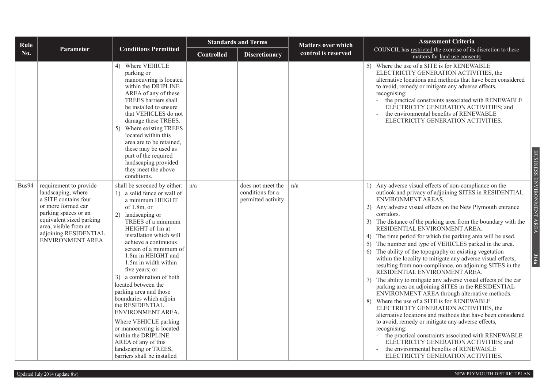| Rule  |                                                                                                                                                                                                                             |                                                                                                                                                                                                                                                                                                                                                                                                                                                                                                                                                                                                                       |                   | <b>Standards and Terms</b>                                  | <b>Matters over which</b> | <b>Assessment Criteria</b>                                                                                                                                                                                                                                                                                                                                                                                                                                                                                                                                                                                                                                                                                                                                                                                                                                                                                                                                                                                                                                                                                                                                                                                                                                                                         |
|-------|-----------------------------------------------------------------------------------------------------------------------------------------------------------------------------------------------------------------------------|-----------------------------------------------------------------------------------------------------------------------------------------------------------------------------------------------------------------------------------------------------------------------------------------------------------------------------------------------------------------------------------------------------------------------------------------------------------------------------------------------------------------------------------------------------------------------------------------------------------------------|-------------------|-------------------------------------------------------------|---------------------------|----------------------------------------------------------------------------------------------------------------------------------------------------------------------------------------------------------------------------------------------------------------------------------------------------------------------------------------------------------------------------------------------------------------------------------------------------------------------------------------------------------------------------------------------------------------------------------------------------------------------------------------------------------------------------------------------------------------------------------------------------------------------------------------------------------------------------------------------------------------------------------------------------------------------------------------------------------------------------------------------------------------------------------------------------------------------------------------------------------------------------------------------------------------------------------------------------------------------------------------------------------------------------------------------------|
| No.   | Parameter                                                                                                                                                                                                                   | <b>Conditions Permitted</b>                                                                                                                                                                                                                                                                                                                                                                                                                                                                                                                                                                                           | <b>Controlled</b> | <b>Discretionary</b>                                        | control is reserved       | COUNCIL has restricted the exercise of its discretion to these<br>matters for land use consents                                                                                                                                                                                                                                                                                                                                                                                                                                                                                                                                                                                                                                                                                                                                                                                                                                                                                                                                                                                                                                                                                                                                                                                                    |
|       |                                                                                                                                                                                                                             | 4) Where VEHICLE<br>parking or<br>manoeuvring is located<br>within the DRIPLINE<br>AREA of any of these<br>TREES barriers shall<br>be installed to ensure<br>that VEHICLES do not<br>damage these TREES.<br>5) Where existing TREES<br>located within this<br>area are to be retained,<br>these may be used as<br>part of the required<br>landscaping provided<br>they meet the above<br>conditions.                                                                                                                                                                                                                  |                   |                                                             |                           | 5) Where the use of a SITE is for RENEWABLE<br>ELECTRICITY GENERATION ACTIVITIES, the<br>alternative locations and methods that have been considered<br>to avoid, remedy or mitigate any adverse effects,<br>recognising:<br>the practical constraints associated with RENEWABLE<br>ELECTRICITY GENERATION ACTIVITIES; and<br>the environmental benefits of RENEWABLE<br>ELECTRICITY GENERATION ACTIVITIES.<br><b>BUSINESS</b>                                                                                                                                                                                                                                                                                                                                                                                                                                                                                                                                                                                                                                                                                                                                                                                                                                                                     |
| Bus94 | requirement to provide<br>landscaping, where<br>a SITE contains four<br>or more formed car<br>parking spaces or an<br>equivalent sized parking<br>area, visible from an<br>adjoining RESIDENTIAL<br><b>ENVIRONMENT AREA</b> | shall be screened by either:<br>1) a solid fence or wall of<br>a minimum HEIGHT<br>of $1.8m$ , or<br>2) landscaping or<br>TREES of a minimum<br>HEIGHT of 1m at<br>installation which will<br>achieve a continuous<br>screen of a minimum of<br>1.8m in HEIGHT and<br>1.5m in width within<br>five years; or<br>a combination of both<br>located between the<br>parking area and those<br>boundaries which adjoin<br>the RESIDENTIAL<br>ENVIRONMENT AREA.<br>Where VEHICLE parking<br>or manoeuvring is located<br>within the DRIPLINE<br>AREA of any of this<br>landscaping or TREES,<br>barriers shall be installed | n/a               | does not meet the<br>conditions for a<br>permitted activity | n/a                       | ENVIRONMENT AREA<br>1) Any adverse visual effects of non-compliance on the<br>outlook and privacy of adjoining SITES in RESIDENTIAL<br>ENVIRONMENT AREAS.<br>2) Any adverse visual effects on the New Plymouth entrance<br>corridors.<br>3) The distance of the parking area from the boundary with the<br>RESIDENTIAL ENVIRONMENT AREA.<br>4) The time period for which the parking area will be used.<br>5) The number and type of VEHICLES parked in the area.<br>The ability of the topography or existing vegetation<br>6)<br>314a<br>within the locality to mitigate any adverse visual effects,<br>resulting from non-compliance, on adjoining SITES in the<br>RESIDENTIAL ENVIRONMENT AREA.<br>The ability to mitigate any adverse visual effects of the car<br>7)<br>parking area on adjoining SITES in the RESIDENTIAL<br>ENVIRONMENT AREA through alternative methods.<br>8) Where the use of a SITE is for RENEWABLE<br>ELECTRICITY GENERATION ACTIVITIES, the<br>alternative locations and methods that have been considered<br>to avoid, remedy or mitigate any adverse effects,<br>recognising:<br>- the practical constraints associated with RENEWABLE<br>ELECTRICITY GENERATION ACTIVITIES; and<br>the environmental benefits of RENEWABLE<br>ELECTRICITY GENERATION ACTIVITIES. |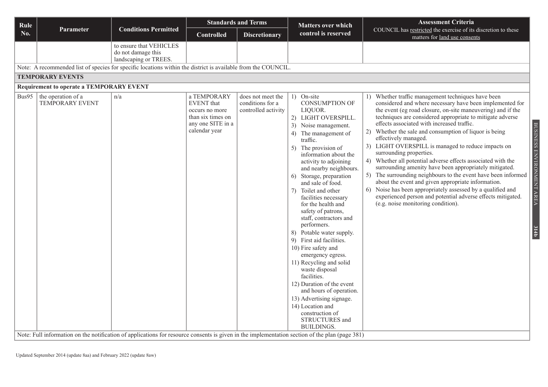| Rule  |                                                                                                                                                                                                |                                                                        | <b>Standards and Terms</b>                                                                             |                                                              | <b>Matters over which</b>                                                                                                                                                                                                                                                                                                                                                                                                                                                                                                                                                                                                                                                                                                                                               | <b>Assessment Criteria</b>                                                                                                                                                                                                                                                                                                                                                                                                                                                                                                                                                                                                                                                                                                                                                                                                                                                                                            |
|-------|------------------------------------------------------------------------------------------------------------------------------------------------------------------------------------------------|------------------------------------------------------------------------|--------------------------------------------------------------------------------------------------------|--------------------------------------------------------------|-------------------------------------------------------------------------------------------------------------------------------------------------------------------------------------------------------------------------------------------------------------------------------------------------------------------------------------------------------------------------------------------------------------------------------------------------------------------------------------------------------------------------------------------------------------------------------------------------------------------------------------------------------------------------------------------------------------------------------------------------------------------------|-----------------------------------------------------------------------------------------------------------------------------------------------------------------------------------------------------------------------------------------------------------------------------------------------------------------------------------------------------------------------------------------------------------------------------------------------------------------------------------------------------------------------------------------------------------------------------------------------------------------------------------------------------------------------------------------------------------------------------------------------------------------------------------------------------------------------------------------------------------------------------------------------------------------------|
| No.   | <b>Parameter</b>                                                                                                                                                                               | <b>Conditions Permitted</b>                                            | <b>Controlled</b>                                                                                      | <b>Discretionary</b>                                         | control is reserved                                                                                                                                                                                                                                                                                                                                                                                                                                                                                                                                                                                                                                                                                                                                                     | COUNCIL has restricted the exercise of its discretion to these<br>matters for land use consents                                                                                                                                                                                                                                                                                                                                                                                                                                                                                                                                                                                                                                                                                                                                                                                                                       |
|       |                                                                                                                                                                                                | to ensure that VEHICLES<br>do not damage this<br>landscaping or TREES. |                                                                                                        |                                                              |                                                                                                                                                                                                                                                                                                                                                                                                                                                                                                                                                                                                                                                                                                                                                                         |                                                                                                                                                                                                                                                                                                                                                                                                                                                                                                                                                                                                                                                                                                                                                                                                                                                                                                                       |
|       | Note: A recommended list of species for specific locations within the district is available from the COUNCIL.                                                                                  |                                                                        |                                                                                                        |                                                              |                                                                                                                                                                                                                                                                                                                                                                                                                                                                                                                                                                                                                                                                                                                                                                         |                                                                                                                                                                                                                                                                                                                                                                                                                                                                                                                                                                                                                                                                                                                                                                                                                                                                                                                       |
|       | <b>TEMPORARY EVENTS</b>                                                                                                                                                                        |                                                                        |                                                                                                        |                                                              |                                                                                                                                                                                                                                                                                                                                                                                                                                                                                                                                                                                                                                                                                                                                                                         |                                                                                                                                                                                                                                                                                                                                                                                                                                                                                                                                                                                                                                                                                                                                                                                                                                                                                                                       |
|       | <b>Requirement to operate a TEMPORARY EVENT</b>                                                                                                                                                |                                                                        |                                                                                                        |                                                              |                                                                                                                                                                                                                                                                                                                                                                                                                                                                                                                                                                                                                                                                                                                                                                         |                                                                                                                                                                                                                                                                                                                                                                                                                                                                                                                                                                                                                                                                                                                                                                                                                                                                                                                       |
| Bus95 | the operation of a<br><b>TEMPORARY EVENT</b><br>Note: Full information on the notification of applications for resource consents is given in the implementation section of the plan (page 381) | n/a                                                                    | a TEMPORARY<br>EVENT that<br>occurs no more<br>than six times on<br>any one SITE in a<br>calendar year | does not meet the<br>conditions for a<br>controlled activity | 1) On-site<br><b>CONSUMPTION OF</b><br>LIQUOR.<br>2) LIGHT OVERSPILL.<br>3) Noise management.<br>The management of<br>4)<br>traffic.<br>5) The provision of<br>information about the<br>activity to adjoining<br>and nearby neighbours.<br>Storage, preparation<br>6)<br>and sale of food.<br>7) Toilet and other<br>facilities necessary<br>for the health and<br>safety of patrons,<br>staff, contractors and<br>performers.<br>8) Potable water supply.<br>9) First aid facilities.<br>10) Fire safety and<br>emergency egress.<br>11) Recycling and solid<br>waste disposal<br>facilities.<br>12) Duration of the event<br>and hours of operation.<br>13) Advertising signage.<br>14) Location and<br>construction of<br><b>STRUCTURES</b> and<br><b>BUILDINGS.</b> | 1) Whether traffic management techniques have been<br>considered and where necessary have been implemented for<br>the event (eg road closure, on-site maneuvering) and if the<br>techniques are considered appropriate to mitigate adverse<br>effects associated with increased traffic.<br>BUSINESS ENVIRONMENT AREA<br>2) Whether the sale and consumption of liquor is being<br>effectively managed.<br>3) LIGHT OVERSPILL is managed to reduce impacts on<br>surrounding properties.<br>4) Whether all potential adverse effects associated with the<br>surrounding amenity have been appropriately mitigated.<br>5) The surrounding neighbours to the event have been informed<br>about the event and given appropriate information.<br>6) Noise has been appropriately assessed by a qualified and<br>experienced person and potential adverse effects mitigated.<br>(e.g. noise monitoring condition).<br>314b |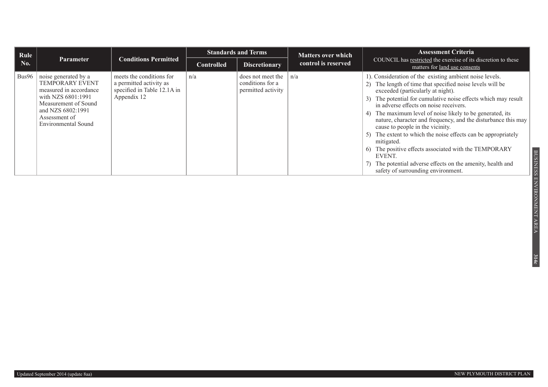| Rule  |                                                                                                                                                                                     |                                                                                                   |                   | <b>Standards and Terms</b>                                  | <b>Matters over which</b> | <b>Assessment Criteria</b>                                                                                                                                                                                                                                                                                                                                                                                                                                                                                                                                                                                                                                                               |
|-------|-------------------------------------------------------------------------------------------------------------------------------------------------------------------------------------|---------------------------------------------------------------------------------------------------|-------------------|-------------------------------------------------------------|---------------------------|------------------------------------------------------------------------------------------------------------------------------------------------------------------------------------------------------------------------------------------------------------------------------------------------------------------------------------------------------------------------------------------------------------------------------------------------------------------------------------------------------------------------------------------------------------------------------------------------------------------------------------------------------------------------------------------|
| No.   | <b>Parameter</b>                                                                                                                                                                    | <b>Conditions Permitted</b>                                                                       | <b>Controlled</b> | <b>Discretionary</b>                                        | control is reserved       | COUNCIL has restricted the exercise of its discretion to these<br>matters for land use consents                                                                                                                                                                                                                                                                                                                                                                                                                                                                                                                                                                                          |
| Bus96 | noise generated by a<br><b>TEMPORARY EVENT</b><br>measured in accordance<br>with NZS 6801:1991<br>Measurement of Sound<br>and NZS 6802:1991<br>Assessment of<br>Environmental Sound | meets the conditions for<br>a permitted activity as<br>specified in Table 12.1A in<br>Appendix 12 | n/a               | does not meet the<br>conditions for a<br>permitted activity | n/a                       | 1). Consideration of the existing ambient noise levels.<br>The length of time that specified noise levels will be<br>exceeded (particularly at night).<br>The potential for cumulative noise effects which may result<br>in adverse effects on noise receivers.<br>The maximum level of noise likely to be generated, its<br>4)<br>nature, character and frequency, and the disturbance this may<br>cause to people in the vicinity.<br>The extent to which the noise effects can be appropriately<br>5)<br>mitigated.<br>The positive effects associated with the TEMPORARY<br>EVENT.<br>The potential adverse effects on the amenity, health and<br>safety of surrounding environment. |

**314c**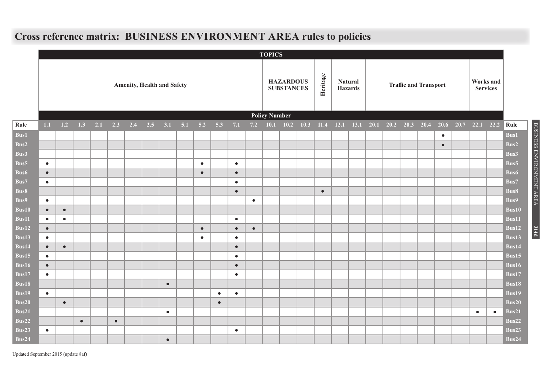#### **TOPICS Amenity, Health and Safety HAZARDOUS SUBSTANCES Heritage Natural Haraffic and Transport Works and** <br>**Haraffic and Transport Works and Services Policy Number** Rule | 1.1 1.2 1.3 2.1 2.3 2.4 2.5 3.1 5.1 5.2 5.3 7.1 7.2 10.1 10.2 10.3 11.4 12.1 13.1 20.1 20.2 20.3 20.4 20.6 20.7 22.1 22.2 Rule **Bus1** ● **Bus1 Bus2** ● **Bus2 Bus3 Bus3 Bus5** ● ● ● **Bus5 Bus6** ● ● ● **Bus6 Bus7** ● ● **Bus7 Bus8** ● ● **Bus8 Bus9** ● ● **Bus9 Bus10** ● ● **Bus10 Bus11** ● ● ● **Bus11 Bus12** ● ● ● ● **Bus12 Bus13** ● ● ● **Bus13 Bus14** ● ● ● **Bus14 Bus15** ● ● **Bus15 Bus16** ● ● **Bus16 Bus17** ● ● **Bus17 Bus18** ● **Bus18 Bus19** ● ● ● **Bus19 Bus20** ● ● **Bus20 Bus21** ● ● ● **Bus21 Bus22** ● ● **Bus22 Bus23** ● ● **Bus23 Bus24** ● **Bus24**

BUSINESS ENVIRONMENT AREA

BUSINESS ENVIRONMENT AREA

**314d**

### **Cross reference matrix: BUSINESS ENVIRONMENT AREA rules to policies**

Updated September 2015 (update 8af)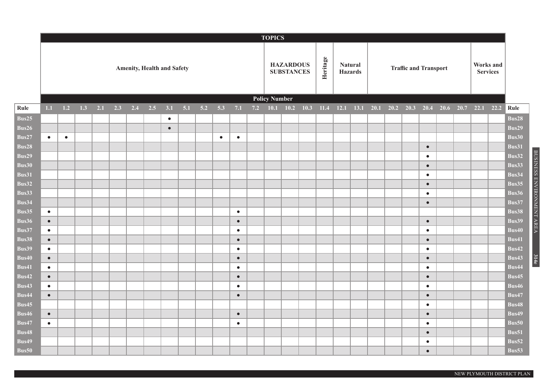|              |                                   |           |     |     |     |     |     |           |     |     |           |           |  | <b>TOPICS</b>           |                                       |          |                                  |                             |  |                              |                              |  |  |           |  |              |
|--------------|-----------------------------------|-----------|-----|-----|-----|-----|-----|-----------|-----|-----|-----------|-----------|--|-------------------------|---------------------------------------|----------|----------------------------------|-----------------------------|--|------------------------------|------------------------------|--|--|-----------|--|--------------|
|              | <b>Amenity, Health and Safety</b> |           |     |     |     |     |     |           |     |     |           |           |  |                         | <b>HAZARDOUS</b><br><b>SUBSTANCES</b> | Heritage | <b>Natural</b><br><b>Hazards</b> |                             |  | <b>Traffic and Transport</b> | Works and<br><b>Services</b> |  |  |           |  |              |
|              |                                   |           |     |     |     |     |     |           |     |     |           |           |  |                         | <b>Policy Number</b>                  |          |                                  |                             |  |                              |                              |  |  |           |  |              |
| Rule         | 1.1                               | 1.2       | 1.3 | 2.1 | 2.3 | 2.4 | 2.5 | 3.1       | 5.1 | 5.2 | 5.3       | 7.1       |  | 7.2 10.1 10.2 10.3 11.4 |                                       |          |                                  | $12.1$ $13.1$ $20.1$ $20.2$ |  | $20.3$ 20.4 20.6 20.7        |                              |  |  | 22.1 22.2 |  | Rule         |
| Bus25        |                                   |           |     |     |     |     |     | $\bullet$ |     |     |           |           |  |                         |                                       |          |                                  |                             |  |                              |                              |  |  |           |  | Bus28        |
| Bus26        |                                   |           |     |     |     |     |     | $\bullet$ |     |     |           |           |  |                         |                                       |          |                                  |                             |  |                              |                              |  |  |           |  | <b>Bus29</b> |
| Bus27        | $\bullet$                         | $\bullet$ |     |     |     |     |     |           |     |     | $\bullet$ | $\bullet$ |  |                         |                                       |          |                                  |                             |  |                              |                              |  |  |           |  | Bus30        |
| Bus28        |                                   |           |     |     |     |     |     |           |     |     |           |           |  |                         |                                       |          |                                  |                             |  |                              | $\bullet$                    |  |  |           |  | Bus31        |
| Bus29        |                                   |           |     |     |     |     |     |           |     |     |           |           |  |                         |                                       |          |                                  |                             |  |                              | $\bullet$                    |  |  |           |  | Bus32        |
| Bus30        |                                   |           |     |     |     |     |     |           |     |     |           |           |  |                         |                                       |          |                                  |                             |  |                              | $\bullet$                    |  |  |           |  | Bus33        |
| Bus31        |                                   |           |     |     |     |     |     |           |     |     |           |           |  |                         |                                       |          |                                  |                             |  |                              | $\bullet$                    |  |  |           |  | Bus34        |
| Bus32        |                                   |           |     |     |     |     |     |           |     |     |           |           |  |                         |                                       |          |                                  |                             |  |                              | $\bullet$                    |  |  |           |  | Bus35        |
| Bus33        |                                   |           |     |     |     |     |     |           |     |     |           |           |  |                         |                                       |          |                                  |                             |  |                              | $\bullet$                    |  |  |           |  | Bus36        |
| Bus34        |                                   |           |     |     |     |     |     |           |     |     |           |           |  |                         |                                       |          |                                  |                             |  |                              | $\bullet$                    |  |  |           |  | Bus37        |
| Bus35        | $\bullet$                         |           |     |     |     |     |     |           |     |     |           | $\bullet$ |  |                         |                                       |          |                                  |                             |  |                              |                              |  |  |           |  | Bus38        |
| Bus36        | $\bullet$                         |           |     |     |     |     |     |           |     |     |           | $\bullet$ |  |                         |                                       |          |                                  |                             |  |                              | $\bullet$                    |  |  |           |  | <b>Bus39</b> |
| <b>Bus37</b> | $\bullet$                         |           |     |     |     |     |     |           |     |     |           | $\bullet$ |  |                         |                                       |          |                                  |                             |  |                              | $\bullet$                    |  |  |           |  | <b>Bus40</b> |
| Bus38        | $\bullet$                         |           |     |     |     |     |     |           |     |     |           | $\bullet$ |  |                         |                                       |          |                                  |                             |  |                              | $\bullet$                    |  |  |           |  | Bus41        |
| Bus39        | $\bullet$                         |           |     |     |     |     |     |           |     |     |           | $\bullet$ |  |                         |                                       |          |                                  |                             |  |                              | $\bullet$                    |  |  |           |  | Bus42        |
| Bus40        | $\bullet$                         |           |     |     |     |     |     |           |     |     |           | $\bullet$ |  |                         |                                       |          |                                  |                             |  |                              | $\bullet$                    |  |  |           |  | Bus43        |
| <b>Bus41</b> | $\bullet$                         |           |     |     |     |     |     |           |     |     |           | $\bullet$ |  |                         |                                       |          |                                  |                             |  |                              | $\bullet$                    |  |  |           |  | Bus44        |
| Bus42        | $\bullet$                         |           |     |     |     |     |     |           |     |     |           | $\bullet$ |  |                         |                                       |          |                                  |                             |  |                              | $\bullet$                    |  |  |           |  | <b>Bus45</b> |
| Bus43        | $\bullet$                         |           |     |     |     |     |     |           |     |     |           | $\bullet$ |  |                         |                                       |          |                                  |                             |  |                              | $\bullet$                    |  |  |           |  | Bus46        |
| Bus44        | $\bullet$                         |           |     |     |     |     |     |           |     |     |           | $\bullet$ |  |                         |                                       |          |                                  |                             |  |                              | $\bullet$                    |  |  |           |  | <b>Bus47</b> |
| Bus45        |                                   |           |     |     |     |     |     |           |     |     |           |           |  |                         |                                       |          |                                  |                             |  |                              | $\bullet$                    |  |  |           |  | Bus48        |
| Bus46        | $\bullet$                         |           |     |     |     |     |     |           |     |     |           | $\bullet$ |  |                         |                                       |          |                                  |                             |  |                              | $\bullet$                    |  |  |           |  | <b>Bus49</b> |
| Bus47        | $\bullet$                         |           |     |     |     |     |     |           |     |     |           | $\bullet$ |  |                         |                                       |          |                                  |                             |  |                              | $\bullet$                    |  |  |           |  | Bus50        |
| <b>Bus48</b> |                                   |           |     |     |     |     |     |           |     |     |           |           |  |                         |                                       |          |                                  |                             |  |                              | $\bullet$                    |  |  |           |  | Bus51        |
| Bus49        |                                   |           |     |     |     |     |     |           |     |     |           |           |  |                         |                                       |          |                                  |                             |  |                              | $\bullet$                    |  |  |           |  | Bus52        |
| Bus50        |                                   |           |     |     |     |     |     |           |     |     |           |           |  |                         |                                       |          |                                  |                             |  |                              | $\bullet$                    |  |  |           |  | Bus53        |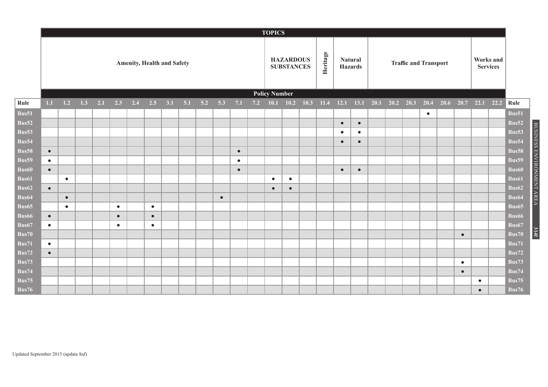|                           |                                   |           |     |     |           |     |           |     |  |                |           |           |     | <b>TOPICS</b>                         |           |      |          |                                  |           |      |                              |           |                     |           |                              |                       |
|---------------------------|-----------------------------------|-----------|-----|-----|-----------|-----|-----------|-----|--|----------------|-----------|-----------|-----|---------------------------------------|-----------|------|----------|----------------------------------|-----------|------|------------------------------|-----------|---------------------|-----------|------------------------------|-----------------------|
|                           | <b>Amenity, Health and Safety</b> |           |     |     |           |     |           |     |  |                |           |           |     | <b>HAZARDOUS</b><br><b>SUBSTANCES</b> |           |      | Heritage | <b>Natural</b><br><b>Hazards</b> |           |      | <b>Traffic and Transport</b> |           |                     |           | Works and<br><b>Services</b> |                       |
|                           |                                   |           |     |     |           |     |           |     |  |                |           |           |     | <b>Policy Number</b>                  |           |      |          |                                  |           |      |                              |           |                     |           |                              |                       |
| Rule                      | 1.1                               | 1.2       | 1.3 | 2.1 | 2.3       | 2.4 | 2.5       | 3.1 |  | $5.1\quad 5.2$ | 5.3       | 7.1       | 7.2 | 10.1                                  | 10.2      | 10.3 | 11.4     | 12.1                             | 13.1      | 20.1 | $20.2$ 20.3 20.4             |           | 20.6 20.7 22.1 22.2 |           |                              | Rule                  |
| Bus51                     |                                   |           |     |     |           |     |           |     |  |                |           |           |     |                                       |           |      |          |                                  |           |      |                              | $\bullet$ |                     |           |                              | Bus51                 |
| Bus52                     |                                   |           |     |     |           |     |           |     |  |                |           |           |     |                                       |           |      |          | $\bullet$                        | $\bullet$ |      |                              |           |                     |           |                              | Bus52                 |
| Bus53                     |                                   |           |     |     |           |     |           |     |  |                |           |           |     |                                       |           |      |          | $\bullet$                        | $\bullet$ |      |                              |           |                     |           |                              | Bus53                 |
| Bus54                     |                                   |           |     |     |           |     |           |     |  |                |           |           |     |                                       |           |      |          | $\bullet$                        | $\bullet$ |      |                              |           |                     |           |                              | Bus54                 |
| <b>Bus58</b>              | $\bullet$                         |           |     |     |           |     |           |     |  |                |           | $\bullet$ |     |                                       |           |      |          |                                  |           |      |                              |           |                     |           |                              | <b>Bus58</b>          |
| Bus59                     | $\bullet$                         |           |     |     |           |     |           |     |  |                |           | $\bullet$ |     |                                       |           |      |          |                                  |           |      |                              |           |                     |           |                              | Bus59                 |
| $\overline{\text{Bus60}}$ | $\bullet$                         |           |     |     |           |     |           |     |  |                |           | $\bullet$ |     |                                       |           |      |          | $\bullet$                        | $\bullet$ |      |                              |           |                     |           |                              | Bus60                 |
| Bus61                     |                                   | $\bullet$ |     |     |           |     |           |     |  |                |           |           |     | $\bullet$                             | $\bullet$ |      |          |                                  |           |      |                              |           |                     |           |                              | Bus <sub>61</sub>     |
| Bus <sub>62</sub>         | $\bullet$                         |           |     |     |           |     |           |     |  |                |           |           |     | $\bullet$                             | $\bullet$ |      |          |                                  |           |      |                              |           |                     |           |                              | Bus <sub>62</sub>     |
| Bus <sub>64</sub>         |                                   | $\bullet$ |     |     |           |     |           |     |  |                | $\bullet$ |           |     |                                       |           |      |          |                                  |           |      |                              |           |                     |           |                              | Bus <sub>64</sub>     |
| Bus <sub>65</sub>         |                                   | $\bullet$ |     |     | $\bullet$ |     | $\bullet$ |     |  |                |           |           |     |                                       |           |      |          |                                  |           |      |                              |           |                     |           |                              | Bus <sub>65</sub>     |
| Bus66                     | $\bullet$                         |           |     |     | $\bullet$ |     | $\bullet$ |     |  |                |           |           |     |                                       |           |      |          |                                  |           |      |                              |           |                     |           |                              | Bus66                 |
| Bus <sub>67</sub>         | $\bullet$                         |           |     |     | $\bullet$ |     | $\bullet$ |     |  |                |           |           |     |                                       |           |      |          |                                  |           |      |                              |           |                     |           |                              | Bus67                 |
| Bus70<br><b>Bus71</b>     |                                   |           |     |     |           |     |           |     |  |                |           |           |     |                                       |           |      |          |                                  |           |      |                              |           | $\bullet$           |           |                              | <b>Bus70</b><br>Bus71 |
| <b>Bus72</b>              | $\bullet$<br>$\bullet$            |           |     |     |           |     |           |     |  |                |           |           |     |                                       |           |      |          |                                  |           |      |                              |           |                     |           |                              | <b>Bus72</b>          |
| <b>Bus73</b>              |                                   |           |     |     |           |     |           |     |  |                |           |           |     |                                       |           |      |          |                                  |           |      |                              |           | $\bullet$           |           |                              | Bus73                 |
| Bus74                     |                                   |           |     |     |           |     |           |     |  |                |           |           |     |                                       |           |      |          |                                  |           |      |                              |           | $\bullet$           |           |                              | Bus74                 |
| Bus75                     |                                   |           |     |     |           |     |           |     |  |                |           |           |     |                                       |           |      |          |                                  |           |      |                              |           |                     | $\bullet$ |                              | Bus75                 |
| Bus76                     |                                   |           |     |     |           |     |           |     |  |                |           |           |     |                                       |           |      |          |                                  |           |      |                              |           |                     | $\bullet$ |                              | Bus76                 |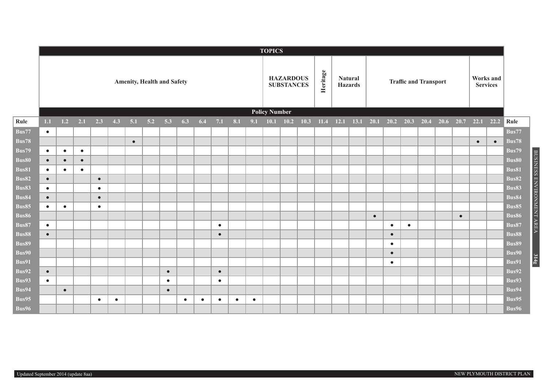|                                    |                                   |           |           |           |           |           |     |           |           |           |           |           |           | <b>TOPICS</b>                         |             |             |                                  |      |  |                              |                                                |           |  |           |           |           |              |
|------------------------------------|-----------------------------------|-----------|-----------|-----------|-----------|-----------|-----|-----------|-----------|-----------|-----------|-----------|-----------|---------------------------------------|-------------|-------------|----------------------------------|------|--|------------------------------|------------------------------------------------|-----------|--|-----------|-----------|-----------|--------------|
|                                    | <b>Amenity, Health and Safety</b> |           |           |           |           |           |     |           |           |           |           |           |           | <b>HAZARDOUS</b><br><b>SUBSTANCES</b> |             | Heritage    | <b>Natural</b><br><b>Hazards</b> |      |  | <b>Traffic and Transport</b> | Works and<br><b>Services</b>                   |           |  |           |           |           |              |
|                                    |                                   |           |           |           |           |           |     |           |           |           |           |           |           | <b>Policy Number</b>                  |             |             |                                  |      |  |                              |                                                |           |  |           |           |           |              |
| Rule                               | 1.1                               | 1.2       | 2.1       | 2.3       | 4.3       | 5.1       | 5.2 | 5.3       | 6.3       | 6.4       | 7.1       | 8.1       | 9.1       |                                       | $10.1$ 10.2 | $10.3$ 11.4 |                                  | 12.1 |  |                              | $13.1$ 20.1 20.2 20.3 20.4 20.6 20.7 22.1 22.2 |           |  |           |           |           | Rule         |
| Bus77                              | $\bullet$                         |           |           |           |           |           |     |           |           |           |           |           |           |                                       |             |             |                                  |      |  |                              |                                                |           |  |           |           |           | Bus77        |
| <b>Bus78</b>                       |                                   |           |           |           |           | $\bullet$ |     |           |           |           |           |           |           |                                       |             |             |                                  |      |  |                              |                                                |           |  |           | $\bullet$ | $\bullet$ | <b>Bus78</b> |
| Bus79                              | $\bullet$                         | $\bullet$ | $\bullet$ |           |           |           |     |           |           |           |           |           |           |                                       |             |             |                                  |      |  |                              |                                                |           |  |           |           |           | Bus79        |
| Bus80                              | $\bullet$                         | $\bullet$ | $\bullet$ |           |           |           |     |           |           |           |           |           |           |                                       |             |             |                                  |      |  |                              |                                                |           |  |           |           |           | <b>Bus80</b> |
| <b>Bus81</b>                       | $\bullet$                         | $\bullet$ | $\bullet$ |           |           |           |     |           |           |           |           |           |           |                                       |             |             |                                  |      |  |                              |                                                |           |  |           |           |           | <b>Bus81</b> |
| <b>Bus82</b>                       | $\bullet$                         |           |           | $\bullet$ |           |           |     |           |           |           |           |           |           |                                       |             |             |                                  |      |  |                              |                                                |           |  |           |           |           | <b>Bus82</b> |
| <b>Bus83</b>                       | $\bullet$                         |           |           | $\bullet$ |           |           |     |           |           |           |           |           |           |                                       |             |             |                                  |      |  |                              |                                                |           |  |           |           |           | <b>Bus83</b> |
| <b>Bus84</b>                       | $\bullet$                         |           |           | $\bullet$ |           |           |     |           |           |           |           |           |           |                                       |             |             |                                  |      |  |                              |                                                |           |  |           |           |           | Bus84        |
| $\overline{B}$ us $\overline{8}$ 5 | $\bullet$                         | $\bullet$ |           | $\bullet$ |           |           |     |           |           |           |           |           |           |                                       |             |             |                                  |      |  |                              |                                                |           |  |           |           |           | Bus85        |
| Bus86                              |                                   |           |           |           |           |           |     |           |           |           |           |           |           |                                       |             |             |                                  |      |  | $\bullet$                    |                                                |           |  | $\bullet$ |           |           | <b>Bus86</b> |
| <b>Bus87</b>                       | $\bullet$                         |           |           |           |           |           |     |           |           |           | $\bullet$ |           |           |                                       |             |             |                                  |      |  |                              | $\bullet$                                      | $\bullet$ |  |           |           |           | Bus87        |
| Bus88                              | $\bullet$                         |           |           |           |           |           |     |           |           |           | $\bullet$ |           |           |                                       |             |             |                                  |      |  |                              | $\bullet$                                      |           |  |           |           |           | <b>Bus88</b> |
| Bus89                              |                                   |           |           |           |           |           |     |           |           |           |           |           |           |                                       |             |             |                                  |      |  |                              | $\bullet$                                      |           |  |           |           |           | Bus89        |
| <b>Bus90</b>                       |                                   |           |           |           |           |           |     |           |           |           |           |           |           |                                       |             |             |                                  |      |  |                              | $\bullet$                                      |           |  |           |           |           | Bus90        |
| <b>Bus91</b>                       |                                   |           |           |           |           |           |     |           |           |           |           |           |           |                                       |             |             |                                  |      |  |                              | $\bullet$                                      |           |  |           |           |           | Bus91        |
| <b>Bus92</b>                       | $\bullet$                         |           |           |           |           |           |     | $\bullet$ |           |           | $\bullet$ |           |           |                                       |             |             |                                  |      |  |                              |                                                |           |  |           |           |           | Bus92        |
| Bus93                              | $\bullet$                         |           |           |           |           |           |     | $\bullet$ |           |           | $\bullet$ |           |           |                                       |             |             |                                  |      |  |                              |                                                |           |  |           |           |           | Bus93        |
| Bus94                              |                                   | $\bullet$ |           |           |           |           |     | $\bullet$ |           |           |           |           |           |                                       |             |             |                                  |      |  |                              |                                                |           |  |           |           |           | Bus94        |
| Bus95                              |                                   |           |           | $\bullet$ | $\bullet$ |           |     |           | $\bullet$ | $\bullet$ | $\bullet$ | $\bullet$ | $\bullet$ |                                       |             |             |                                  |      |  |                              |                                                |           |  |           |           |           | Bus95        |
| Bus96                              |                                   |           |           |           |           |           |     |           |           |           |           |           |           |                                       |             |             |                                  |      |  |                              |                                                |           |  |           |           |           | Bus96        |